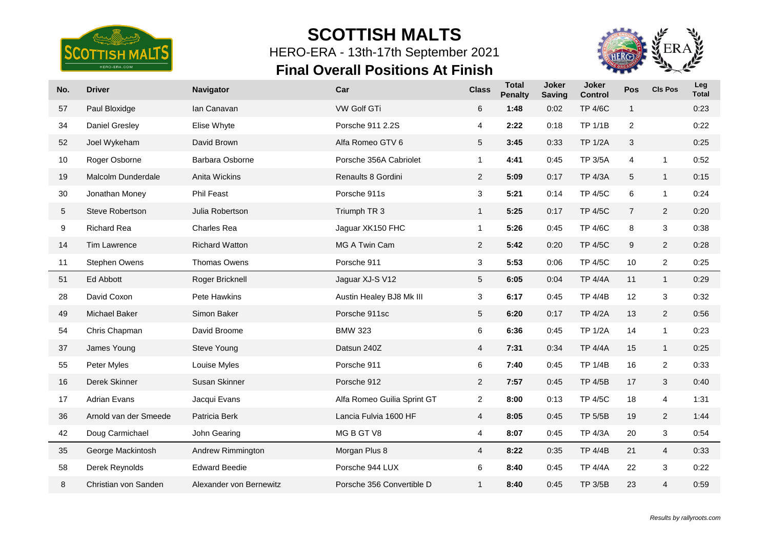

### **Final Overall Positions At Finish** HERO-ERA - 13th-17th September 2021



| No. | <b>Driver</b>          | <b>Navigator</b>        | Car                         | <b>Class</b>            | <b>Total</b><br><b>Penalty</b> | Joker<br><b>Saving</b> | <b>Joker</b><br><b>Control</b> | Pos            | <b>CIs Pos</b> | Leg<br><b>Total</b> |
|-----|------------------------|-------------------------|-----------------------------|-------------------------|--------------------------------|------------------------|--------------------------------|----------------|----------------|---------------------|
| 57  | Paul Bloxidge          | lan Canavan             | <b>VW Golf GTi</b>          | 6                       | 1:48                           | 0:02                   | <b>TP 4/6C</b>                 | $\mathbf{1}$   |                | 0:23                |
| 34  | <b>Daniel Gresley</b>  | Elise Whyte             | Porsche 911 2.2S            | 4                       | 2:22                           | 0:18                   | <b>TP 1/1B</b>                 | $\overline{2}$ |                | 0:22                |
| 52  | Joel Wykeham           | David Brown             | Alfa Romeo GTV 6            | 5                       | 3:45                           | 0:33                   | <b>TP 1/2A</b>                 | 3              |                | 0:25                |
| 10  | Roger Osborne          | Barbara Osborne         | Porsche 356A Cabriolet      | $\mathbf{1}$            | 4:41                           | 0:45                   | <b>TP 3/5A</b>                 | $\overline{4}$ | $\mathbf{1}$   | 0:52                |
| 19  | Malcolm Dunderdale     | Anita Wickins           | Renaults 8 Gordini          | $\overline{2}$          | 5:09                           | 0:17                   | <b>TP 4/3A</b>                 | 5              | $\mathbf{1}$   | 0:15                |
| 30  | Jonathan Money         | <b>Phil Feast</b>       | Porsche 911s                | 3                       | 5:21                           | 0:14                   | <b>TP 4/5C</b>                 | $\,6\,$        | $\mathbf{1}$   | 0:24                |
| 5   | <b>Steve Robertson</b> | Julia Robertson         | Triumph TR 3                | $\mathbf{1}$            | 5:25                           | 0:17                   | <b>TP 4/5C</b>                 | $\overline{7}$ | $\overline{2}$ | 0:20                |
| 9   | <b>Richard Rea</b>     | <b>Charles Rea</b>      | Jaguar XK150 FHC            | 1                       | 5:26                           | 0:45                   | <b>TP 4/6C</b>                 | $\,8\,$        | 3              | 0:38                |
| 14  | <b>Tim Lawrence</b>    | <b>Richard Watton</b>   | MG A Twin Cam               | $\overline{2}$          | 5:42                           | 0:20                   | <b>TP 4/5C</b>                 | 9              | $\overline{2}$ | 0:28                |
| 11  | Stephen Owens          | Thomas Owens            | Porsche 911                 | 3                       | 5:53                           | 0:06                   | <b>TP 4/5C</b>                 | 10             | $\overline{2}$ | 0:25                |
| 51  | Ed Abbott              | Roger Bricknell         | Jaguar XJ-S V12             | 5                       | 6:05                           | 0:04                   | <b>TP 4/4A</b>                 | 11             | $\mathbf{1}$   | 0:29                |
| 28  | David Coxon            | Pete Hawkins            | Austin Healey BJ8 Mk III    | 3                       | 6:17                           | 0:45                   | <b>TP 4/4B</b>                 | 12             | 3              | 0:32                |
| 49  | <b>Michael Baker</b>   | Simon Baker             | Porsche 911sc               | $5\phantom{.0}$         | 6:20                           | 0:17                   | <b>TP 4/2A</b>                 | 13             | $\overline{2}$ | 0:56                |
| 54  | Chris Chapman          | David Broome            | <b>BMW 323</b>              | 6                       | 6:36                           | 0:45                   | <b>TP 1/2A</b>                 | 14             | $\mathbf{1}$   | 0:23                |
| 37  | James Young            | Steve Young             | Datsun 240Z                 | $\overline{4}$          | 7:31                           | 0:34                   | <b>TP 4/4A</b>                 | 15             | $\mathbf{1}$   | 0:25                |
| 55  | Peter Myles            | Louise Myles            | Porsche 911                 | 6                       | 7:40                           | 0:45                   | <b>TP 1/4B</b>                 | 16             | $\overline{2}$ | 0:33                |
| 16  | Derek Skinner          | Susan Skinner           | Porsche 912                 | $\overline{2}$          | 7:57                           | 0:45                   | <b>TP 4/5B</b>                 | 17             | 3              | 0:40                |
| 17  | <b>Adrian Evans</b>    | Jacqui Evans            | Alfa Romeo Guilia Sprint GT | $\overline{\mathbf{c}}$ | 8:00                           | 0:13                   | <b>TP 4/5C</b>                 | 18             | $\overline{4}$ | 1:31                |
| 36  | Arnold van der Smeede  | Patricia Berk           | Lancia Fulvia 1600 HF       | $\overline{4}$          | 8:05                           | 0:45                   | <b>TP 5/5B</b>                 | 19             | $\overline{2}$ | 1:44                |
| 42  | Doug Carmichael        | John Gearing            | MG B GT V8                  | 4                       | 8:07                           | 0:45                   | <b>TP 4/3A</b>                 | 20             | 3              | 0:54                |
| 35  | George Mackintosh      | Andrew Rimmington       | Morgan Plus 8               | 4                       | 8:22                           | 0:35                   | <b>TP 4/4B</b>                 | 21             | $\overline{4}$ | 0:33                |
| 58  | Derek Reynolds         | <b>Edward Beedie</b>    | Porsche 944 LUX             | 6                       | 8:40                           | 0:45                   | <b>TP 4/4A</b>                 | 22             | 3              | 0:22                |
| 8   | Christian von Sanden   | Alexander von Bernewitz | Porsche 356 Convertible D   | $\mathbf 1$             | 8:40                           | 0:45                   | <b>TP 3/5B</b>                 | 23             | $\overline{4}$ | 0:59                |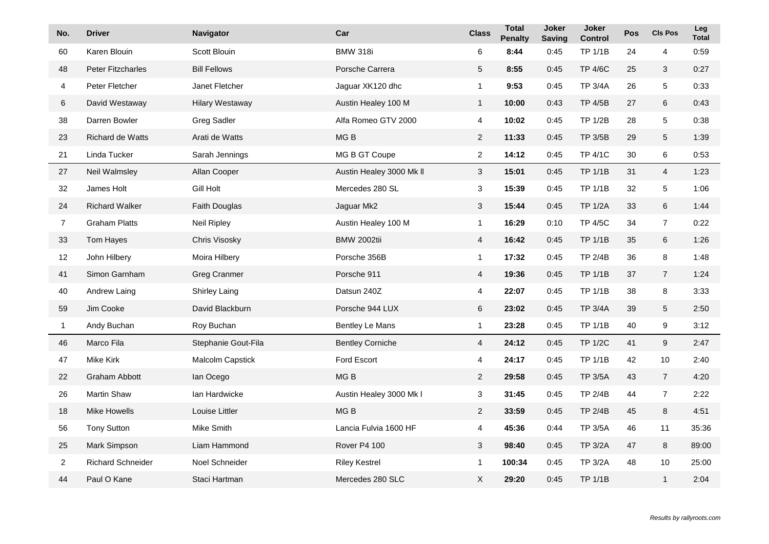| No.            | <b>Driver</b>            | Navigator              | Car                      | <b>Class</b>   | <b>Total</b><br><b>Penalty</b> | <b>Joker</b><br><b>Saving</b> | <b>Joker</b><br><b>Control</b> | <b>Pos</b> | <b>CIs Pos</b>  | Leg<br><b>Total</b> |
|----------------|--------------------------|------------------------|--------------------------|----------------|--------------------------------|-------------------------------|--------------------------------|------------|-----------------|---------------------|
| 60             | Karen Blouin             | Scott Blouin           | <b>BMW 318i</b>          | 6              | 8:44                           | 0:45                          | <b>TP 1/1B</b>                 | 24         | 4               | 0:59                |
| 48             | <b>Peter Fitzcharles</b> | <b>Bill Fellows</b>    | Porsche Carrera          | $5\,$          | 8:55                           | 0:45                          | <b>TP 4/6C</b>                 | 25         | 3               | 0:27                |
| 4              | Peter Fletcher           | Janet Fletcher         | Jaguar XK120 dhc         | $\mathbf{1}$   | 9:53                           | 0:45                          | <b>TP 3/4A</b>                 | 26         | 5               | 0:33                |
| 6              | David Westaway           | <b>Hilary Westaway</b> | Austin Healey 100 M      | $\mathbf{1}$   | 10:00                          | 0:43                          | <b>TP 4/5B</b>                 | 27         | 6               | 0:43                |
| 38             | Darren Bowler            | <b>Greg Sadler</b>     | Alfa Romeo GTV 2000      | 4              | 10:02                          | 0:45                          | TP 1/2B                        | 28         | 5               | 0:38                |
| 23             | <b>Richard de Watts</b>  | Arati de Watts         | MG <sub>B</sub>          | $\overline{2}$ | 11:33                          | 0:45                          | <b>TP 3/5B</b>                 | 29         | 5               | 1:39                |
| 21             | Linda Tucker             | Sarah Jennings         | MG B GT Coupe            | $\overline{2}$ | 14:12                          | 0:45                          | <b>TP 4/1C</b>                 | 30         | 6               | 0:53                |
| 27             | Neil Walmsley            | Allan Cooper           | Austin Healey 3000 Mk II | $\mathbf{3}$   | 15:01                          | 0:45                          | <b>TP 1/1B</b>                 | 31         | $\overline{4}$  | 1:23                |
| 32             | James Holt               | <b>Gill Holt</b>       | Mercedes 280 SL          | 3              | 15:39                          | 0:45                          | TP 1/1B                        | 32         | $5\overline{)}$ | 1:06                |
| 24             | <b>Richard Walker</b>    | Faith Douglas          | Jaguar Mk2               | 3              | 15:44                          | 0:45                          | <b>TP 1/2A</b>                 | 33         | 6               | 1:44                |
| $\overline{7}$ | <b>Graham Platts</b>     | <b>Neil Ripley</b>     | Austin Healey 100 M      | $\mathbf{1}$   | 16:29                          | 0:10                          | <b>TP 4/5C</b>                 | 34         | $\overline{7}$  | 0:22                |
| 33             | Tom Hayes                | Chris Visosky          | <b>BMW 2002tii</b>       | $\overline{4}$ | 16:42                          | 0:45                          | <b>TP 1/1B</b>                 | 35         | 6               | 1:26                |
| 12             | John Hilbery             | Moira Hilbery          | Porsche 356B             | $\mathbf{1}$   | 17:32                          | 0:45                          | <b>TP 2/4B</b>                 | 36         | 8               | 1:48                |
| 41             | Simon Garnham            | <b>Greg Cranmer</b>    | Porsche 911              | $\overline{4}$ | 19:36                          | 0:45                          | <b>TP 1/1B</b>                 | 37         | 7 <sup>1</sup>  | 1:24                |
| 40             | Andrew Laing             | <b>Shirley Laing</b>   | Datsun 240Z              | 4              | 22:07                          | 0:45                          | <b>TP 1/1B</b>                 | 38         | 8               | 3:33                |
| 59             | Jim Cooke                | David Blackburn        | Porsche 944 LUX          | 6              | 23:02                          | 0:45                          | <b>TP 3/4A</b>                 | 39         | 5               | 2:50                |
| $\mathbf{1}$   | Andy Buchan              | Roy Buchan             | <b>Bentley Le Mans</b>   | $\mathbf{1}$   | 23:28                          | 0.45                          | TP 1/1B                        | 40         | 9               | 3:12                |
| 46             | Marco Fila               | Stephanie Gout-Fila    | <b>Bentley Corniche</b>  | $\overline{4}$ | 24:12                          | 0:45                          | <b>TP 1/2C</b>                 | 41         | 9               | 2:47                |
| 47             | Mike Kirk                | Malcolm Capstick       | Ford Escort              | 4              | 24:17                          | 0:45                          | TP 1/1B                        | 42         | 10              | 2:40                |
| 22             | Graham Abbott            | lan Ocego              | MG <sub>B</sub>          | $\overline{2}$ | 29:58                          | 0:45                          | <b>TP 3/5A</b>                 | 43         | $\overline{7}$  | 4:20                |
| 26             | <b>Martin Shaw</b>       | lan Hardwicke          | Austin Healey 3000 Mk I  | 3              | 31:45                          | 0:45                          | <b>TP 2/4B</b>                 | 44         | $\overline{7}$  | 2:22                |
| 18             | <b>Mike Howells</b>      | Louise Littler         | MG <sub>B</sub>          | $\overline{2}$ | 33:59                          | 0:45                          | <b>TP 2/4B</b>                 | 45         | 8               | 4:51                |
| 56             | <b>Tony Sutton</b>       | <b>Mike Smith</b>      | Lancia Fulvia 1600 HF    | 4              | 45:36                          | 0:44                          | <b>TP 3/5A</b>                 | 46         | 11              | 35:36               |
| 25             | Mark Simpson             | Liam Hammond           | Rover P4 100             | 3              | 98:40                          | 0:45                          | <b>TP 3/2A</b>                 | 47         | 8               | 89:00               |
| $\overline{a}$ | <b>Richard Schneider</b> | Noel Schneider         | <b>Riley Kestrel</b>     | $\mathbf{1}$   | 100:34                         | 0:45                          | TP 3/2A                        | 48         | 10              | 25:00               |
| 44             | Paul O Kane              | Staci Hartman          | Mercedes 280 SLC         | X              | 29:20                          | 0:45                          | <b>TP 1/1B</b>                 |            | $\mathbf{1}$    | 2:04                |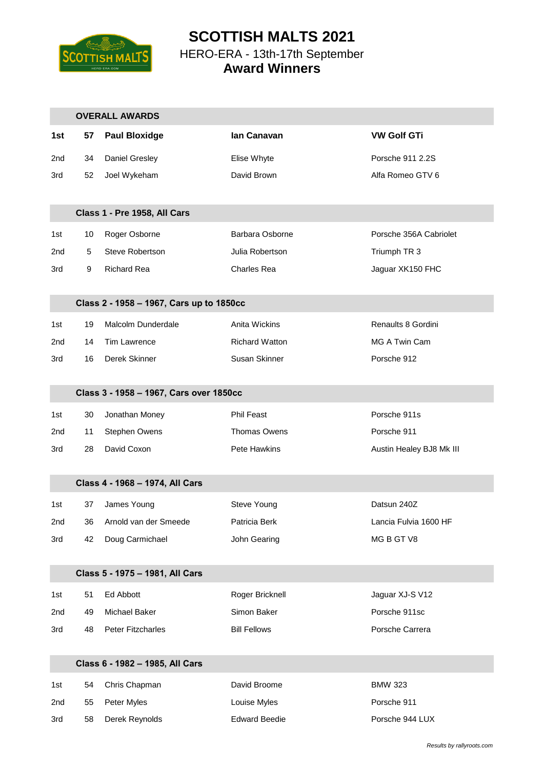

#### **SCOTTISH MALTS 2021** HERO-ERA - 13th-17th September **Award Winners**

|     |    | <b>OVERALL AWARDS</b>                    |                       |                          |
|-----|----|------------------------------------------|-----------------------|--------------------------|
| 1st | 57 | <b>Paul Bloxidge</b>                     | lan Canavan           | <b>VW Golf GTi</b>       |
| 2nd | 34 | <b>Daniel Gresley</b>                    | Elise Whyte           | Porsche 911 2.2S         |
| 3rd | 52 | Joel Wykeham                             | David Brown           | Alfa Romeo GTV 6         |
|     |    |                                          |                       |                          |
|     |    | Class 1 - Pre 1958, All Cars             |                       |                          |
| 1st | 10 | Roger Osborne                            | Barbara Osborne       | Porsche 356A Cabriolet   |
| 2nd | 5  | Steve Robertson                          | Julia Robertson       | Triumph TR 3             |
| 3rd | 9  | <b>Richard Rea</b>                       | <b>Charles Rea</b>    | Jaguar XK150 FHC         |
|     |    |                                          |                       |                          |
|     |    | Class 2 - 1958 - 1967, Cars up to 1850cc |                       |                          |
| 1st | 19 | Malcolm Dunderdale                       | Anita Wickins         | Renaults 8 Gordini       |
| 2nd | 14 | <b>Tim Lawrence</b>                      | <b>Richard Watton</b> | MG A Twin Cam            |
| 3rd | 16 | Derek Skinner                            | Susan Skinner         | Porsche 912              |
|     |    | Class 3 - 1958 - 1967, Cars over 1850cc  |                       |                          |
|     |    |                                          |                       |                          |
| 1st | 30 | Jonathan Money                           | <b>Phil Feast</b>     | Porsche 911s             |
| 2nd | 11 | Stephen Owens                            | Thomas Owens          | Porsche 911              |
| 3rd | 28 | David Coxon                              | Pete Hawkins          | Austin Healey BJ8 Mk III |
|     |    | Class 4 - 1968 - 1974, All Cars          |                       |                          |
| 1st | 37 | James Young                              | Steve Young           | Datsun 240Z              |
| 2nd | 36 | Arnold van der Smeede                    | Patricia Berk         | Lancia Fulvia 1600 HF    |
| 3rd | 42 | Doug Carmichael                          | John Gearing          | MG B GT V8               |
|     |    |                                          |                       |                          |
|     |    | Class 5 - 1975 - 1981, All Cars          |                       |                          |
| 1st | 51 | Ed Abbott                                | Roger Bricknell       | Jaguar XJ-S V12          |
| 2nd | 49 | Michael Baker                            | Simon Baker           | Porsche 911sc            |
| 3rd | 48 | Peter Fitzcharles                        | <b>Bill Fellows</b>   | Porsche Carrera          |
|     |    |                                          |                       |                          |
|     |    | Class 6 - 1982 - 1985, All Cars          |                       |                          |
| 1st | 54 | Chris Chapman                            | David Broome          | <b>BMW 323</b>           |
| 2nd | 55 | Peter Myles                              | Louise Myles          | Porsche 911              |
| 3rd | 58 | Derek Reynolds                           | <b>Edward Beedie</b>  | Porsche 944 LUX          |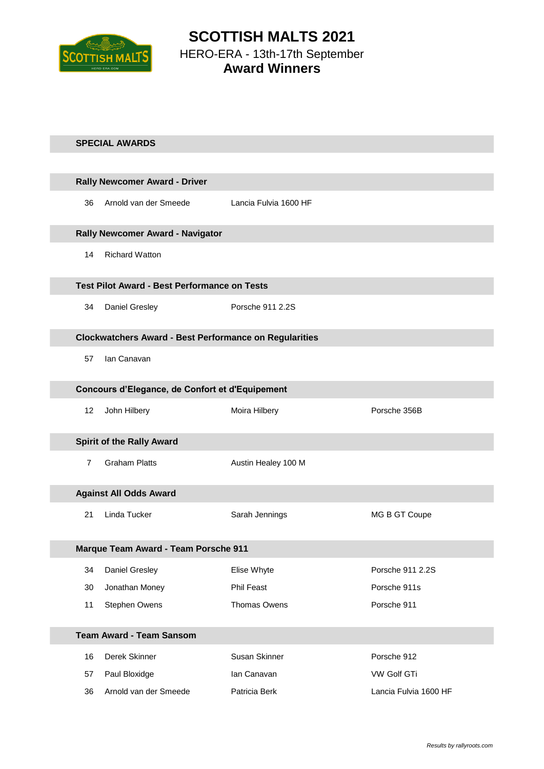

**SCOTTISH MALTS 2021** HERO-ERA - 13th-17th September **Award Winners**

#### **SPECIAL AWARDS**

|                | <b>Rally Newcomer Award - Driver</b>                          |                       |                       |
|----------------|---------------------------------------------------------------|-----------------------|-----------------------|
| 36             | Arnold van der Smeede                                         | Lancia Fulvia 1600 HF |                       |
|                | <b>Rally Newcomer Award - Navigator</b>                       |                       |                       |
| 14             | <b>Richard Watton</b>                                         |                       |                       |
|                | <b>Test Pilot Award - Best Performance on Tests</b>           |                       |                       |
| 34             | Daniel Gresley                                                | Porsche 911 2.2S      |                       |
|                | <b>Clockwatchers Award - Best Performance on Regularities</b> |                       |                       |
| 57             | Ian Canavan                                                   |                       |                       |
|                | Concours d'Elegance, de Confort et d'Equipement               |                       |                       |
| 12             | John Hilbery                                                  | Moira Hilbery         | Porsche 356B          |
|                | <b>Spirit of the Rally Award</b>                              |                       |                       |
| $\overline{7}$ | <b>Graham Platts</b>                                          | Austin Healey 100 M   |                       |
|                | <b>Against All Odds Award</b>                                 |                       |                       |
| 21             | Linda Tucker                                                  | Sarah Jennings        | MG B GT Coupe         |
|                | Marque Team Award - Team Porsche 911                          |                       |                       |
| 34             | <b>Daniel Gresley</b>                                         | Elise Whyte           | Porsche 911 2.2S      |
| 30             | Jonathan Money                                                | <b>Phil Feast</b>     | Porsche 911s          |
| 11             | Stephen Owens                                                 | <b>Thomas Owens</b>   | Porsche 911           |
|                | <b>Team Award - Team Sansom</b>                               |                       |                       |
| 16             | Derek Skinner                                                 | Susan Skinner         | Porsche 912           |
| 57             | Paul Bloxidge                                                 | lan Canavan           | VW Golf GTi           |
| 36             | Arnold van der Smeede                                         | Patricia Berk         | Lancia Fulvia 1600 HF |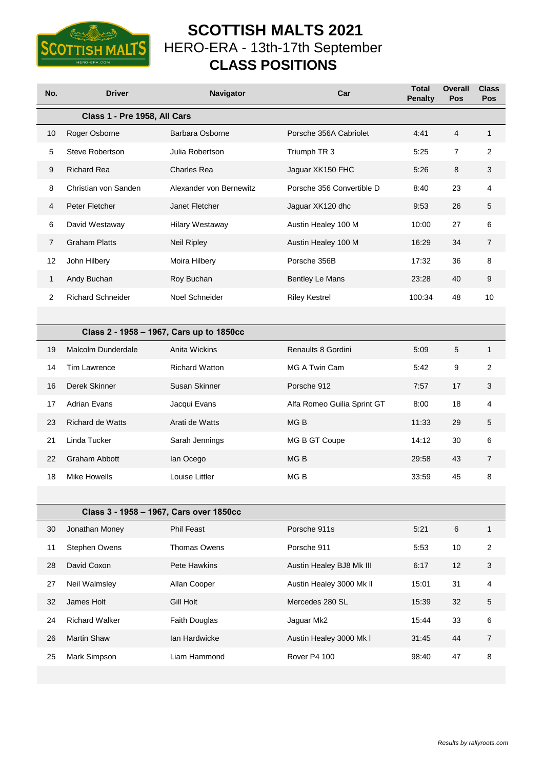

### **SCOTTISH MALTS 2021** HERO-ERA - 13th-17th September **CLASS POSITIONS**

| No.            | <b>Driver</b>                            | Navigator               | Car                         | <b>Total</b><br><b>Penalty</b> | <b>Overall</b><br>Pos | <b>Class</b><br>Pos |
|----------------|------------------------------------------|-------------------------|-----------------------------|--------------------------------|-----------------------|---------------------|
|                | Class 1 - Pre 1958, All Cars             |                         |                             |                                |                       |                     |
| 10             | Roger Osborne                            | <b>Barbara Osborne</b>  | Porsche 356A Cabriolet      | 4:41                           | $\overline{4}$        | $\mathbf{1}$        |
| 5              | Steve Robertson                          | Julia Robertson         | Triumph TR 3                | 5:25                           | $\overline{7}$        | $\overline{2}$      |
| 9              | <b>Richard Rea</b>                       | <b>Charles Rea</b>      | Jaguar XK150 FHC            | 5:26                           | 8                     | 3                   |
| 8              | Christian von Sanden                     | Alexander von Bernewitz | Porsche 356 Convertible D   | 8:40                           | 23                    | 4                   |
| 4              | Peter Fletcher                           | Janet Fletcher          | Jaguar XK120 dhc            | 9:53                           | 26                    | 5                   |
| 6              | David Westaway                           | <b>Hilary Westaway</b>  | Austin Healey 100 M         | 10:00                          | 27                    | 6                   |
| $\overline{7}$ | <b>Graham Platts</b>                     | <b>Neil Ripley</b>      | Austin Healey 100 M         | 16:29                          | 34                    | $\overline{7}$      |
| 12             | John Hilbery                             | Moira Hilbery           | Porsche 356B                | 17:32                          | 36                    | 8                   |
| $\mathbf{1}$   | Andy Buchan                              | Roy Buchan              | Bentley Le Mans             | 23:28                          | 40                    | 9                   |
| $\mathbf{2}$   | <b>Richard Schneider</b>                 | Noel Schneider          | <b>Riley Kestrel</b>        | 100:34                         | 48                    | 10                  |
|                |                                          |                         |                             |                                |                       |                     |
|                | Class 2 - 1958 - 1967, Cars up to 1850cc |                         |                             |                                |                       |                     |
| 19             | Malcolm Dunderdale                       | Anita Wickins           | Renaults 8 Gordini          | 5:09                           | 5                     | $\mathbf{1}$        |
| 14             | <b>Tim Lawrence</b>                      | <b>Richard Watton</b>   | MG A Twin Cam               | 5:42                           | 9                     | 2                   |
| 16             | Derek Skinner                            | <b>Susan Skinner</b>    | Porsche 912                 | 7:57                           | 17                    | 3                   |
| 17             | <b>Adrian Evans</b>                      | Jacqui Evans            | Alfa Romeo Guilia Sprint GT | 8:00                           | 18                    | 4                   |
| 23             | <b>Richard de Watts</b>                  | Arati de Watts          | MG <sub>B</sub>             | 11:33                          | 29                    | 5                   |
| 21             | Linda Tucker                             | Sarah Jennings          | MG B GT Coupe               | 14:12                          | 30                    | 6                   |
| 22             | <b>Graham Abbott</b>                     | lan Ocego               | MG <sub>B</sub>             | 29:58                          | 43                    | 7                   |
| 18             | <b>Mike Howells</b>                      | Louise Littler          | MG <sub>B</sub>             | 33:59                          | 45                    | 8                   |
|                |                                          |                         |                             |                                |                       |                     |
|                | Class 3 - 1958 - 1967, Cars over 1850cc  |                         |                             |                                |                       |                     |
| 30             | Jonathan Money                           | Phil Feast              | Porsche 911s                | 5:21                           | $\,6$                 | $\mathbf{1}$        |
| 11             | Stephen Owens                            | Thomas Owens            | Porsche 911                 | 5:53                           | $10$                  | 2                   |
| 28             | David Coxon                              | Pete Hawkins            | Austin Healey BJ8 Mk III    | 6:17                           | 12                    | 3                   |
| 27             | Neil Walmsley                            | Allan Cooper            | Austin Healey 3000 Mk II    | 15:01                          | 31                    | 4                   |
| 32             | James Holt                               | Gill Holt               | Mercedes 280 SL             | 15:39                          | 32                    | 5                   |
| 24             | <b>Richard Walker</b>                    | Faith Douglas           | Jaguar Mk2                  | 15:44                          | 33                    | 6                   |
| 26             | <b>Martin Shaw</b>                       | Ian Hardwicke           | Austin Healey 3000 Mk I     | 31:45                          | 44                    | $\overline{7}$      |
| 25             | Mark Simpson                             | Liam Hammond            | Rover P4 100                | 98:40                          | 47                    | 8                   |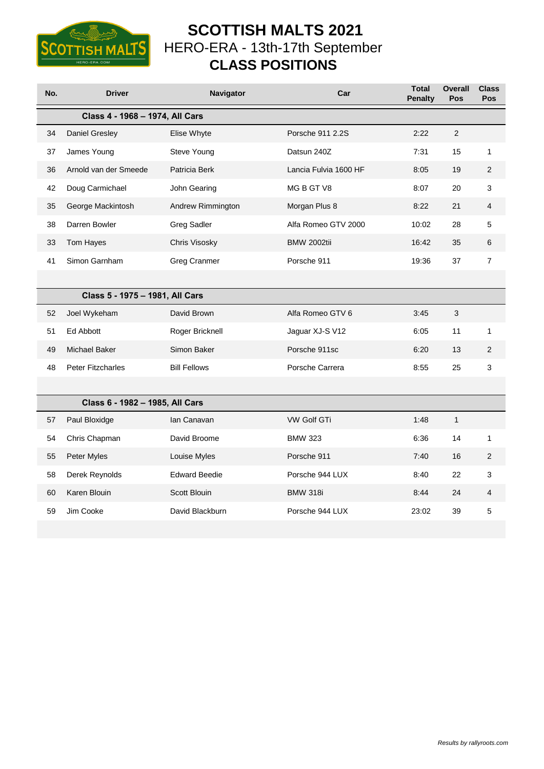

### **SCOTTISH MALTS 2021** HERO-ERA - 13th-17th September **CLASS POSITIONS**

| No. | <b>Driver</b>                   | <b>Navigator</b>     | Car                   | <b>Total</b><br><b>Penalty</b> | <b>Overall</b><br>Pos | <b>Class</b><br>Pos |
|-----|---------------------------------|----------------------|-----------------------|--------------------------------|-----------------------|---------------------|
|     | Class 4 - 1968 - 1974, All Cars |                      |                       |                                |                       |                     |
| 34  | Daniel Gresley                  | Elise Whyte          | Porsche 911 2.2S      | 2:22                           | $\overline{2}$        |                     |
| 37  | James Young                     | Steve Young          | Datsun 240Z           | 7:31                           | 15                    | $\mathbf{1}$        |
| 36  | Arnold van der Smeede           | Patricia Berk        | Lancia Fulvia 1600 HF | 8:05                           | 19                    | $\overline{2}$      |
| 42  | Doug Carmichael                 | John Gearing         | MG B GT V8            | 8:07                           | 20                    | 3                   |
| 35  | George Mackintosh               | Andrew Rimmington    | Morgan Plus 8         | 8:22                           | 21                    | 4                   |
| 38  | Darren Bowler                   | <b>Greg Sadler</b>   | Alfa Romeo GTV 2000   | 10:02                          | 28                    | 5                   |
| 33  | Tom Hayes                       | Chris Visosky        | <b>BMW 2002tii</b>    | 16:42                          | 35                    | 6                   |
| 41  | Simon Garnham                   | <b>Greg Cranmer</b>  | Porsche 911           | 19:36                          | 37                    | $\overline{7}$      |
|     |                                 |                      |                       |                                |                       |                     |
|     | Class 5 - 1975 - 1981, All Cars |                      |                       |                                |                       |                     |
| 52  | Joel Wykeham                    | David Brown          | Alfa Romeo GTV 6      | 3:45                           | 3                     |                     |
| 51  | Ed Abbott                       | Roger Bricknell      | Jaguar XJ-S V12       | 6:05                           | 11                    | $\mathbf{1}$        |
| 49  | Michael Baker                   | Simon Baker          | Porsche 911sc         | 6:20                           | 13                    | $\overline{2}$      |
| 48  | <b>Peter Fitzcharles</b>        | <b>Bill Fellows</b>  | Porsche Carrera       | 8:55                           | 25                    | 3                   |
|     |                                 |                      |                       |                                |                       |                     |
|     | Class 6 - 1982 - 1985, All Cars |                      |                       |                                |                       |                     |
| 57  | Paul Bloxidge                   | lan Canavan          | <b>VW Golf GTi</b>    | 1:48                           | $\mathbf{1}$          |                     |
| 54  | Chris Chapman                   | David Broome         | <b>BMW 323</b>        | 6:36                           | 14                    | $\mathbf 1$         |
| 55  | Peter Myles                     | Louise Myles         | Porsche 911           | 7:40                           | 16                    | $\overline{2}$      |
| 58  | Derek Reynolds                  | <b>Edward Beedie</b> | Porsche 944 LUX       | 8:40                           | 22                    | 3                   |
| 60  | Karen Blouin                    | Scott Blouin         | <b>BMW 318i</b>       | 8:44                           | 24                    | 4                   |
| 59  | Jim Cooke                       | David Blackburn      | Porsche 944 LUX       | 23:02                          | 39                    | 5                   |
|     |                                 |                      |                       |                                |                       |                     |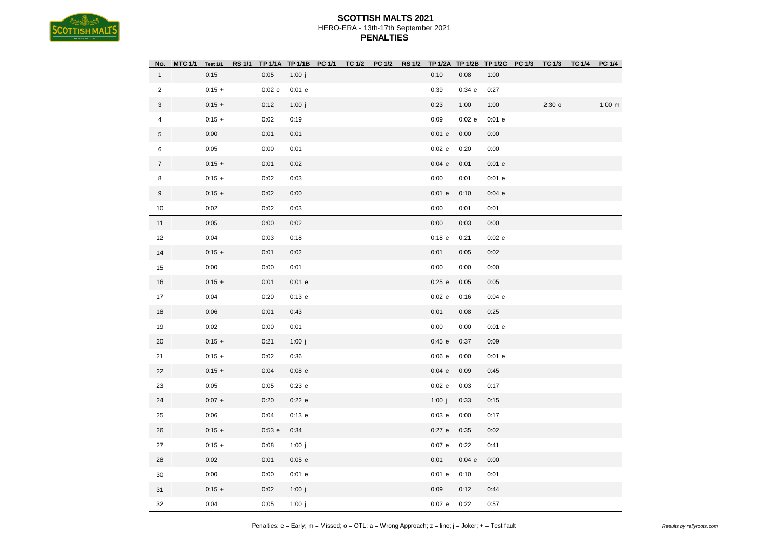

| No.              | <b>MTC 1/1</b> | <b>Test 1/1</b> | <b>RS 1/1</b> |        |          | TP 1/1A TP 1/1B PC 1/1 TC 1/2 PC 1/2 RS 1/2 |  |          |        | TP 1/2A TP 1/2B TP 1/2C PC 1/3 TC 1/3 TC 1/4 PC 1/4 |          |             |
|------------------|----------------|-----------------|---------------|--------|----------|---------------------------------------------|--|----------|--------|-----------------------------------------------------|----------|-------------|
| $\mathbf{1}$     |                | 0:15            |               | 0:05   | 1:00 $j$ |                                             |  | 0:10     | 0:08   | 1:00                                                |          |             |
| $\overline{c}$   |                | $0:15 +$        |               | 0:02 e | 0:01 e   |                                             |  | 0:39     | 0:34 e | 0:27                                                |          |             |
| 3                |                | $0:15 +$        |               | 0:12   | 1:00 $j$ |                                             |  | 0:23     | 1:00   | 1:00                                                | $2:30$ o | $1:00 \; m$ |
| 4                |                | $0:15 +$        |               | 0:02   | 0:19     |                                             |  | 0:09     | 0:02 e | 0:01 e                                              |          |             |
| 5                |                | 0:00            |               | 0:01   | 0:01     |                                             |  | $0:01$ e | 0:00   | 0:00                                                |          |             |
| 6                |                | 0:05            |               | 0:00   | 0:01     |                                             |  | 0:02 e   | 0:20   | 0:00                                                |          |             |
| $\boldsymbol{7}$ |                | $0:15 +$        |               | 0:01   | 0:02     |                                             |  | 0:04 e   | 0:01   | $0:01$ e                                            |          |             |
| 8                |                | $0:15 +$        |               | 0:02   | 0:03     |                                             |  | 0:00     | 0:01   | $0:01$ e                                            |          |             |
| 9                |                | $0:15 +$        |               | 0:02   | 0:00     |                                             |  | $0:01$ e | 0:10   | 0:04 e                                              |          |             |
| 10               |                | 0:02            |               | 0:02   | 0:03     |                                             |  | 0:00     | 0:01   | 0:01                                                |          |             |
| 11               |                | 0:05            |               | 0:00   | 0:02     |                                             |  | 0:00     | 0:03   | 0:00                                                |          |             |
| 12               |                | 0:04            |               | 0:03   | 0:18     |                                             |  | $0:18$ e | 0:21   | $0:02$ e                                            |          |             |
| 14               |                | $0:15 +$        |               | 0:01   | 0:02     |                                             |  | 0:01     | 0:05   | 0:02                                                |          |             |
| 15               |                | 0:00            |               | 0:00   | 0:01     |                                             |  | 0:00     | 0:00   | 0:00                                                |          |             |
| 16               |                | $0:15 +$        |               | 0:01   | $0:01$ e |                                             |  | 0:25 e   | 0:05   | 0:05                                                |          |             |
| 17               |                | 0:04            |               | 0:20   | 0:13 e   |                                             |  | $0:02$ e | 0:16   | 0:04 e                                              |          |             |
| 18               |                | 0:06            |               | 0:01   | 0:43     |                                             |  | 0:01     | 0:08   | 0:25                                                |          |             |
| 19               |                | 0:02            |               | 0:00   | 0:01     |                                             |  | 0:00     | 0:00   | $0:01$ e                                            |          |             |
| 20               |                | $0:15 +$        |               | 0:21   | 1:00j    |                                             |  | 0:45 e   | 0:37   | 0:09                                                |          |             |
| 21               |                | $0:15 +$        |               | 0:02   | 0:36     |                                             |  | 0:06 e   | 0:00   | $0:01$ e                                            |          |             |
| 22               |                | $0:15 +$        |               | 0:04   | $0:08$ e |                                             |  | 0:04 e   | 0:09   | 0:45                                                |          |             |
| 23               |                | 0:05            |               | 0:05   | 0:23 e   |                                             |  | 0:02 e   | 0:03   | 0:17                                                |          |             |
| 24               |                | $0:07 +$        |               | 0:20   | 0:22 e   |                                             |  | 1:00 $j$ | 0:33   | 0:15                                                |          |             |
| 25               |                | 0:06            |               | 0:04   | 0:13 e   |                                             |  | 0:03 e   | 0:00   | 0:17                                                |          |             |
| 26               |                | $0:15 +$        |               | 0:53 e | 0:34     |                                             |  | 0:27e    | 0:35   | 0:02                                                |          |             |
| 27               |                | $0:15 +$        |               | 0:08   | 1:00 $j$ |                                             |  | 0:07e    | 0:22   | 0:41                                                |          |             |
| 28               |                | 0:02            |               | 0:01   | 0:05 e   |                                             |  | 0:01     | 0:04 e | 0:00                                                |          |             |
| $30\,$           |                | 0:00            |               | 0:00   | $0:01$ e |                                             |  | $0:01$ e | 0:10   | 0:01                                                |          |             |
| 31               |                | $0:15 +$        |               | 0:02   | 1:00j    |                                             |  | 0:09     | 0:12   | 0:44                                                |          |             |
| 32               |                | 0:04            |               | 0:05   | 1:00 $j$ |                                             |  | 0:02 e   | 0:22   | 0:57                                                |          |             |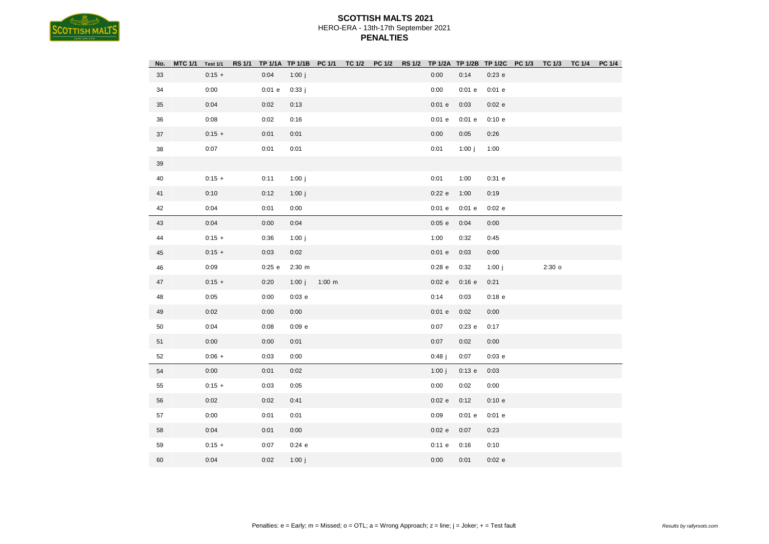

| No. | <b>MTC 1/1</b> | <b>Test 1/1</b> |          |             | RS 1/1 TP 1/1A TP 1/1B PC 1/1 TC 1/2 PC 1/2 RS 1/2 TP 1/2A TP 1/2B TP 1/2C PC 1/3 TC 1/3 |  |          |          |          |          | <b>TC 1/4</b> | PC 1/4 |
|-----|----------------|-----------------|----------|-------------|------------------------------------------------------------------------------------------|--|----------|----------|----------|----------|---------------|--------|
| 33  |                | $0:15 +$        | 0:04     | $1:00$ j    |                                                                                          |  | 0:00     | 0:14     | 0:23 e   |          |               |        |
| 34  |                | 0:00            | $0:01$ e | 0:33j       |                                                                                          |  | 0:00     | $0:01$ e | 0:01e    |          |               |        |
| 35  |                | 0:04            | 0:02     | 0:13        |                                                                                          |  | 0:01 e   | 0:03     | 0:02 e   |          |               |        |
| 36  |                | 0:08            | 0:02     | 0:16        |                                                                                          |  | 0:01 e   | 0:01 e   | 0:10 e   |          |               |        |
| 37  |                | $0:15 +$        | 0:01     | 0:01        |                                                                                          |  | 0:00     | 0:05     | 0:26     |          |               |        |
| 38  |                | 0:07            | 0:01     | 0:01        |                                                                                          |  | 0:01     | 1:00j    | 1:00     |          |               |        |
| 39  |                |                 |          |             |                                                                                          |  |          |          |          |          |               |        |
| 40  |                | $0:15 +$        | 0:11     | $1:00$ j    |                                                                                          |  | 0:01     | 1:00     | 0:31 e   |          |               |        |
| 41  |                | 0:10            | 0:12     | 1:00 $j$    |                                                                                          |  | 0:22 e   | 1:00     | 0:19     |          |               |        |
| 42  |                | 0:04            | 0:01     | 0:00        |                                                                                          |  | 0:01 e   | $0:01$ e | 0:02 e   |          |               |        |
| 43  |                | 0:04            | 0:00     | 0:04        |                                                                                          |  | 0:05 e   | 0:04     | 0:00     |          |               |        |
| 44  |                | $0:15 +$        | 0:36     | 1:00 $j$    |                                                                                          |  | 1:00     | 0:32     | 0:45     |          |               |        |
| 45  |                | $0:15 +$        | 0:03     | 0:02        |                                                                                          |  | $0:01$ e | 0:03     | 0:00     |          |               |        |
| 46  |                | 0:09            | 0:25 e   | $2:30 \; m$ |                                                                                          |  | $0:28$ e | 0:32     | $1:00$ j | $2:30$ o |               |        |
| 47  |                | $0:15 +$        | 0:20     | 1:00 $j$    | $1:00 \; m$                                                                              |  | $0:02$ e | 0:16 e   | 0:21     |          |               |        |
| 48  |                | 0:05            | 0:00     | 0:03 e      |                                                                                          |  | 0:14     | 0:03     | $0:18$ e |          |               |        |
| 49  |                | 0:02            | 0:00     | 0:00        |                                                                                          |  | 0:01 e   | 0:02     | 0:00     |          |               |        |
| 50  |                | 0:04            | 0:08     | 0:09e       |                                                                                          |  | 0:07     | 0:23 e   | 0:17     |          |               |        |
| 51  |                | 0:00            | 0:00     | 0:01        |                                                                                          |  | 0:07     | 0:02     | 0:00     |          |               |        |
| 52  |                | $0:06 +$        | 0:03     | 0:00        |                                                                                          |  | 0:48j    | 0:07     | 0:03 e   |          |               |        |
| 54  |                | 0:00            | 0:01     | 0:02        |                                                                                          |  | $1:00$ j | 0:13 e   | 0:03     |          |               |        |
| 55  |                | $0:15 +$        | 0:03     | 0:05        |                                                                                          |  | 0:00     | 0:02     | 0:00     |          |               |        |
| 56  |                | 0:02            | 0:02     | 0:41        |                                                                                          |  | 0:02 e   | 0:12     | 0:10 e   |          |               |        |
| 57  |                | 0:00            | 0:01     | 0:01        |                                                                                          |  | 0:09     | $0:01$ e | 0:01 e   |          |               |        |
| 58  |                | 0:04            | 0:01     | 0:00        |                                                                                          |  | 0:02 e   | 0:07     | 0:23     |          |               |        |
| 59  |                | $0:15 +$        | 0:07     | 0:24e       |                                                                                          |  | 0:11 e   | 0:16     | 0:10     |          |               |        |
| 60  |                | 0:04            | 0:02     | 1:00 $j$    |                                                                                          |  | 0:00     | 0:01     | $0:02$ e |          |               |        |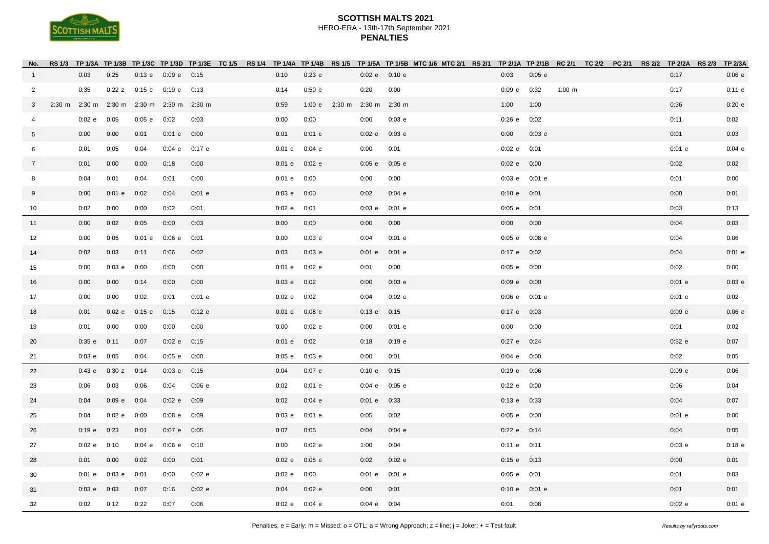

| No.             |                                   |                 |                             |                    |          |  |          |          |               |                   | RS 1/3 TP 1/3A TP 1/3B TP 1/3C TP 1/3D TP 1/3E TC 1/5 RS 1/4 TP 1/4A TP 1/4B RS 1/5 TP 1/5A TP 1/5B MTC 1/6 MTC 2/1 RS 2/1 TP 2/1A TP 2/1B RC 2/1 TC 2/2 PC 2/1 RS 2/2 TP 2/2A RS 2/3 TP 2/3A |                   |        |             |  |        |          |
|-----------------|-----------------------------------|-----------------|-----------------------------|--------------------|----------|--|----------|----------|---------------|-------------------|-----------------------------------------------------------------------------------------------------------------------------------------------------------------------------------------------|-------------------|--------|-------------|--|--------|----------|
| $\overline{1}$  | 0:03                              | 0:25            |                             | 0:13 e 0:09 e 0:15 |          |  | 0:10     | 0:23 e   |               | 0:02 e 0:10 e     |                                                                                                                                                                                               | 0:03              | 0:05 e |             |  | 0:17   | 0:06 e   |
| $\overline{2}$  | 0:35                              |                 | 0:22 z 0:15 e 0:19 e 0:13   |                    |          |  | 0:14     | 0:50 e   |               | 0:20              | 0:00                                                                                                                                                                                          | 0:09 e 0:32       |        | $1:00 \; m$ |  | 0:17   | 0:11 e   |
| 3               | $2:30 \text{ m}$ $2:30 \text{ m}$ |                 | 2:30 m 2:30 m 2:30 m 2:30 m |                    |          |  | 0:59     |          | 1:00 e 2:30 m | 2:30 m 2:30 m     |                                                                                                                                                                                               | 1:00              | 1:00   |             |  | 0:36   | 0:20 e   |
| 4               | 0:02 e                            | 0:05            | 0:05 e                      | 0:02               | 0:03     |  | 0:00     | 0:00     |               | 0:00              | 0:03 e                                                                                                                                                                                        | 0:26 e 0:02       |        |             |  | 0:11   | 0:02     |
| $5\overline{)}$ | 0:00                              | 0:00            | 0:01                        | 0:01 e             | 0:00     |  | 0:01     | 0:01 e   |               | $0:02 e$ $0:03 e$ |                                                                                                                                                                                               | 0:00              | 0:03 e |             |  | 0:01   | 0:03     |
| 6               | 0:01                              | 0:05            | 0:04                        | 0:04e              | $0:17$ e |  | $0:01$ e | 0:04 e   |               | 0:00              | 0:01                                                                                                                                                                                          | 0:02 e 0:01       |        |             |  | 0:01 e | 0:04 e   |
| $\overline{7}$  | 0:01                              | 0:00            | 0:00                        | 0:18               | 0:00     |  | 0:01 e   | 0:02 e   |               | $0:05 e$ $0:05 e$ |                                                                                                                                                                                               | 0:02 e 0:00       |        |             |  | 0:02   | 0:02     |
| 8               | 0:04                              | 0:01            | 0:04                        | 0:01               | 0:00     |  | 0:01 e   | 0:00     |               | 0:00              | 0:00                                                                                                                                                                                          | $0:03$ e $0:01$ e |        |             |  | 0:01   | 0:00     |
| 9               | 0:00                              | $0:01$ e        | 0:02                        | 0:04               | 0:01 e   |  | 0:03 e   | 0:00     |               | 0:02              | 0:04 e                                                                                                                                                                                        | 0:10 e 0:01       |        |             |  | 0:00   | 0:01     |
| 10              | 0:02                              | 0:00            | 0:00                        | 0:02               | 0:01     |  | 0:02 e   | 0:01     |               | 0:03e             | 0:01 e                                                                                                                                                                                        | 0:05 e 0:01       |        |             |  | 0:03   | 0:13     |
| 11              | 0:00                              | 0:02            | 0:05                        | 0:00               | 0:03     |  | 0:00     | 0:00     |               | 0:00              | 0:00                                                                                                                                                                                          | 0:00              | 0:00   |             |  | 0:04   | 0:03     |
| 12              | 0:00                              | 0:05            | 0:01 e                      | 0:06e              | 0:01     |  | 0:00     | 0:03 e   |               | 0:04              | 0:01 e                                                                                                                                                                                        | $0:05 e$ $0:08 e$ |        |             |  | 0:04   | 0:06     |
| 14              | 0:02                              | 0:03            | 0:11                        | 0:06               | 0:02     |  | 0:03     | 0:03 e   |               | 0:01 e 0:01 e     |                                                                                                                                                                                               | $0:17$ e $0:02$   |        |             |  | 0:04   | 0:01 e   |
| 15              | 0:00                              | 0:03 e          | 0:00                        | 0:00               | 0:00     |  | 0:01 e   | 0:02e    |               | 0:01              | 0:00                                                                                                                                                                                          | 0:05 e 0:00       |        |             |  | 0:02   | 0:00     |
| 16              | 0:00                              | 0:00            | 0:14                        | 0:00               | 0:00     |  | 0:03 e   | 0:02     |               | 0:00              | 0:03 e                                                                                                                                                                                        | 0:09 e 0:00       |        |             |  | 0:01 e | 0:03 e   |
| 17              | 0:00                              | 0:00            | 0:02                        | 0:01               | $0:01$ e |  | 0:02 e   | 0:02     |               | 0:04              | 0:02 e                                                                                                                                                                                        | $0:06 e$ $0:01 e$ |        |             |  | 0:01 e | 0:02     |
| 18              | 0:01                              | 0:02e           | 0:15 e                      | 0:15               | 0:12 e   |  | 0:01 e   | $0:08$ e |               | 0:13 e 0:15       |                                                                                                                                                                                               | $0:17$ e $0:03$   |        |             |  | 0:09 e | 0:06 e   |
| 19              | 0:01                              | 0:00            | 0:00                        | 0:00               | 0:00     |  | 0:00     | 0:02e    |               | 0:00              | 0:01e                                                                                                                                                                                         | 0:00              | 0:00   |             |  | 0:01   | 0:02     |
| 20              | 0:35 e                            | 0:11            | 0:07                        | 0:02e              | 0:15     |  | 0:01 e   | 0:02     |               | 0:18              | 0:19 e                                                                                                                                                                                        | $0:27$ e $0:24$   |        |             |  | 0:52 e | 0:07     |
| 21              | 0:03e                             | 0:05            | 0:04                        | 0:05 e 0:00        |          |  | 0:05 e   | 0:03 e   |               | 0:00              | 0:01                                                                                                                                                                                          | $0:04$ e $0:00$   |        |             |  | 0:02   | 0:05     |
| 22              | 0:43 e                            | $0:30 z$ $0:14$ |                             | $0:03 e$ 0:15      |          |  | 0:04     | 0:07e    |               | 0:10 e 0:15       |                                                                                                                                                                                               | 0:19 e 0:06       |        |             |  | 0:09 e | 0:06     |
| 23              | 0:06                              | 0:03            | 0:06                        | 0:04               | 0:06 e   |  | 0:02     | 0:01 e   |               | $0:04$ e $0:05$ e |                                                                                                                                                                                               | 0:22 e 0:00       |        |             |  | 0:06   | 0:04     |
| 24              | 0:04                              | $0:09$ e $0:04$ |                             | 0:02 e             | 0:09     |  | 0:02     | 0:04 e   |               | $0:01$ e $0:33$   |                                                                                                                                                                                               | 0:13 e 0:33       |        |             |  | 0:04   | 0:07     |
| 25              | 0:04                              | 0:02e           | 0:00                        | $0:08$ e           | 0:09     |  | 0:03 e   | 0:01 e   |               | 0:05              | 0:02                                                                                                                                                                                          | 0:05 e 0:00       |        |             |  | 0:01 e | 0:00     |
| 26              | 0:19e                             | 0:23            | 0:01                        | $0:07$ e $0:05$    |          |  | 0:07     | 0:05     |               | 0:04              | 0:04 e                                                                                                                                                                                        | 0:22 e 0:14       |        |             |  | 0:04   | 0:05     |
| 27              | 0:02 e                            | 0:10            | 0:04 e                      | 0:06e              | 0:10     |  | 0:00     | 0:02 e   |               | 1:00              | 0:04                                                                                                                                                                                          | $0:11$ e $0:11$   |        |             |  | 0:03 e | $0:18$ e |
| 28              | 0:01                              | 0:00            | 0:02                        | 0:00               | 0:01     |  | 0:02 e   | 0:05 e   |               | 0:02              | 0:02 e                                                                                                                                                                                        | 0:15 e 0:13       |        |             |  | 0:00   | 0:01     |
| 30              | 0:01 e                            | 0:03e           | 0:01                        | 0:00               | 0:02 e   |  | 0:02 e   | 0:00     |               | $0:01$ e          | 0:01 e                                                                                                                                                                                        | 0:05 e 0:01       |        |             |  | 0:01   | 0:03     |
| 31              | 0:03 e                            | 0:03            | 0:07                        | 0:16               | 0:02 e   |  | 0:04     | 0:02 e   |               | 0:00              | 0:01                                                                                                                                                                                          | $0:10 e$ $0:01 e$ |        |             |  | 0:01   | 0:01     |
| 32              | 0:02                              | 0:12            | 0:22                        | 0:07               | 0:06     |  | 0:02 e   | $0:04$ e |               | $0:04$ e $0:04$   |                                                                                                                                                                                               | 0:01              | 0:08   |             |  | 0:02 e | 0:01 e   |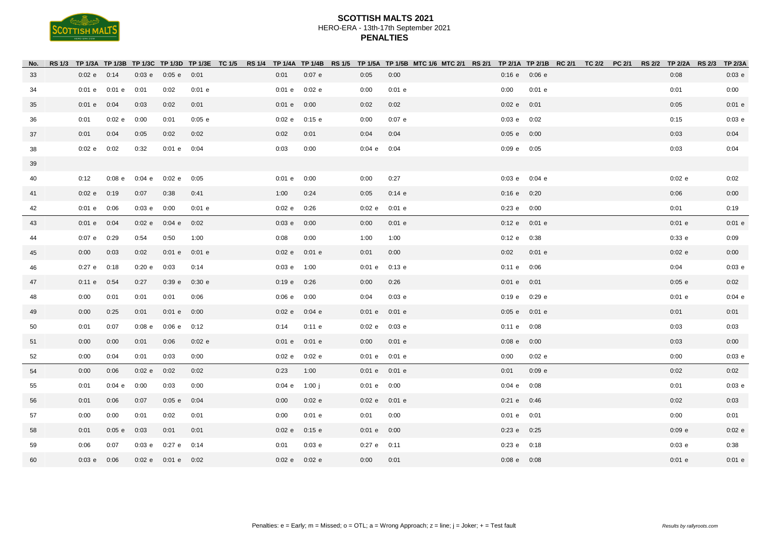

| No. | <b>RS 1/3</b> |                 |                          |             |                    |          |        |          |                   | TP1/3A TP1/3B TP1/3C TP1/3D TP1/3E TC1/5 RS1/4 TP1/4A TP1/4B RS1/5 TP1/5A TP1/5B MTC1/6 MTC2/1 RS2/1 TP2/1A TP2/1B RC2/1 TC2/2 PC2/1 |                         |        |  | RS 2/2 TP 2/2A RS 2/3 | <b>TP 2/3A</b> |
|-----|---------------|-----------------|--------------------------|-------------|--------------------|----------|--------|----------|-------------------|--------------------------------------------------------------------------------------------------------------------------------------|-------------------------|--------|--|-----------------------|----------------|
| 33  |               | $0:02 e$ 0:14   |                          |             | $0:03$ e $0:05$ e  | 0:01     | 0:01   | 0:07e    | 0:05              | 0:00                                                                                                                                 | $0:16$ e $0:06$ e       |        |  | 0:08                  | 0:03 e         |
| 34  |               |                 | $0:01$ e $0:01$ e $0:01$ |             | 0:02               | 0:01e    | 0:01 e | 0:02e    | 0:00              | $0:01$ e                                                                                                                             | 0:00                    | 0:01e  |  | 0:01                  | 0:00           |
| 35  |               | 0:01 e          | 0:04                     | 0:03        | 0:02               | 0:01     | 0:01 e | 0:00     | 0:02              | 0:02                                                                                                                                 | 0:02 e 0:01             |        |  | 0:05                  | $0:01$ e       |
| 36  |               | 0:01            | 0:02 e 0:00              |             | 0:01               | 0:05 e   | 0:02 e | 0:15 e   | 0:00              | 0:07e                                                                                                                                | 0:03 e 0:02             |        |  | 0:15                  | 0:03 e         |
| 37  |               | 0:01            | 0:04                     | 0:05        | 0:02               | 0:02     | 0:02   | 0:01     | 0:04              | 0:04                                                                                                                                 | 0:05 e 0:00             |        |  | 0:03                  | 0:04           |
| 38  |               | 0:02e           | 0:02                     | 0:32        | 0:01e              | 0:04     | 0:03   | 0:00     | $0:04$ e $0:04$   |                                                                                                                                      | $0:09$ e $0:05$         |        |  | 0:03                  | 0:04           |
| 39  |               |                 |                          |             |                    |          |        |          |                   |                                                                                                                                      |                         |        |  |                       |                |
| 40  |               | 0:12            | $0:08$ e                 | 0:04 e      | 0:02e              | 0:05     | 0:01 e | 0:00     | 0:00              | 0:27                                                                                                                                 | $0:03$ e $0:04$ e       |        |  | 0:02 e                | 0:02           |
| 41  |               | 0:02e           | 0:19                     | 0:07        | 0:38               | 0:41     | 1:00   | 0:24     | 0:05              | 0:14 e                                                                                                                               | 0:16 e 0:20             |        |  | 0:06                  | 0:00           |
| 42  |               | $0:01$ e $0:06$ |                          | 0:03 e 0:00 |                    | 0:01 e   | 0:02 e | 0:26     | $0:02 e$ 0:01 e   |                                                                                                                                      | 0:23 e 0:00             |        |  | 0:01                  | 0:19           |
| 43  |               | $0:01$ e $0:04$ |                          | 0:02 e      | $0:04$ e           | 0:02     | 0:03 e | 0:00     | 0:00              | 0:01 e                                                                                                                               | 0:12 e 0:01 e           |        |  | 0:01 e                | $0:01$ e       |
| 44  |               | 0:07e           | 0:29                     | 0:54        | 0:50               | 1:00     | 0:08   | 0:00     | 1:00              | 1:00                                                                                                                                 | 0:12 e 0:38             |        |  | 0:33 e                | 0:09           |
| 45  |               | 0:00            | 0:03                     | 0:02        | 0:01 e             | $0:01$ e | 0:02 e | $0:01$ e | 0:01              | 0:00                                                                                                                                 | 0:02                    | 0:01 e |  | 0:02 e                | 0:00           |
| 46  |               | $0:27$ e        | 0:18                     | 0:20 e      | 0:03               | 0:14     | 0:03 e | 1:00     | $0:01$ e $0:13$ e |                                                                                                                                      | $0:11 \text{ e}$ $0:06$ |        |  | 0:04                  | 0:03 e         |
| 47  |               | 0:11 e          | 0:54                     | 0:27        | 0:39e              | 0:30 e   | 0:19 e | 0:26     | 0:00              | 0:26                                                                                                                                 | $0:01$ e $0:01$         |        |  | 0:05 e                | 0:02           |
| 48  |               | 0:00            | 0:01                     | 0:01        | 0:01               | 0:06     | 0:06 e | 0:00     | 0:04              | 0:03 e                                                                                                                               | 0:19 e 0:29 e           |        |  | 0:01 e                | 0:04 e         |
| 49  |               | 0:00            | 0:25                     | 0:01        | 0:01 e             | 0:00     | 0:02 e | 0:04 e   | $0:01$ e $0:01$ e |                                                                                                                                      | $0:05 e$ 0:01 e         |        |  | 0:01                  | 0:01           |
| 50  |               | 0:01            | 0:07                     | $0:08$ e    | $0:06 e$ $0:12$    |          | 0:14   | 0:11 e   | 0:02 e 0:03 e     |                                                                                                                                      | 0:11 e 0:08             |        |  | 0:03                  | 0:03           |
| 51  |               | 0:00            | 0:00                     | 0:01        | 0:06               | 0:02 e   | 0:01 e | $0:01$ e | 0:00              | $0:01$ e                                                                                                                             | $0:08$ e $0:00$         |        |  | 0:03                  | 0:00           |
| 52  |               | 0:00            | 0:04                     | 0:01        | 0:03               | 0:00     | 0:02 e | 0:02e    | $0:01$ e $0:01$ e |                                                                                                                                      | 0:00                    | 0:02e  |  | 0:00                  | 0:03 e         |
| 54  |               | 0:00            | 0:06                     | 0:02 e      | 0:02               | 0:02     | 0:23   | 1:00     | $0:01$ e $0:01$ e |                                                                                                                                      | 0:01                    | 0:09e  |  | 0:02                  | 0:02           |
| 55  |               | 0:01            | 0:04 e                   | 0:00        | 0:03               | 0:00     | 0:04 e | 1:00 j   | $0:01$ e $0:00$   |                                                                                                                                      | $0:04$ e $0:08$         |        |  | 0:01                  | 0:03 e         |
| 56  |               | 0:01            | 0:06                     | 0:07        | 0:05 e             | 0:04     | 0:00   | 0:02e    | 0:02 e 0:01 e     |                                                                                                                                      | $0:21 e$ 0:46           |        |  | 0:02                  | 0:03           |
| 57  |               | 0:00            | 0:00                     | 0:01        | 0:02               | 0:01     | 0:00   | $0:01$ e | 0:01              | 0:00                                                                                                                                 | $0:01$ e $0:01$         |        |  | 0:00                  | 0:01           |
| 58  |               | 0:01            | 0:05 e                   | 0:03        | 0:01               | 0:01     | 0:02 e | 0:15 e   | $0:01$ e $0:00$   |                                                                                                                                      | 0:23 e 0:25             |        |  | 0:09 e                | 0:02 e         |
| 59  |               | 0:06            | 0:07                     | 0:03 e      | $0:27$ e           | 0:14     | 0:01   | 0:03 e   | $0:27$ e $0:11$   |                                                                                                                                      | 0:23 e 0:18             |        |  | 0:03 e                | 0:38           |
| 60  |               | 0:03 e 0:06     |                          |             | 0:02 e 0:01 e 0:02 |          | 0:02 e | $0:02$ e | 0:00              | 0:01                                                                                                                                 | $0:08$ e $0:08$         |        |  | 0:01 e                | 0:01 e         |
|     |               |                 |                          |             |                    |          |        |          |                   |                                                                                                                                      |                         |        |  |                       |                |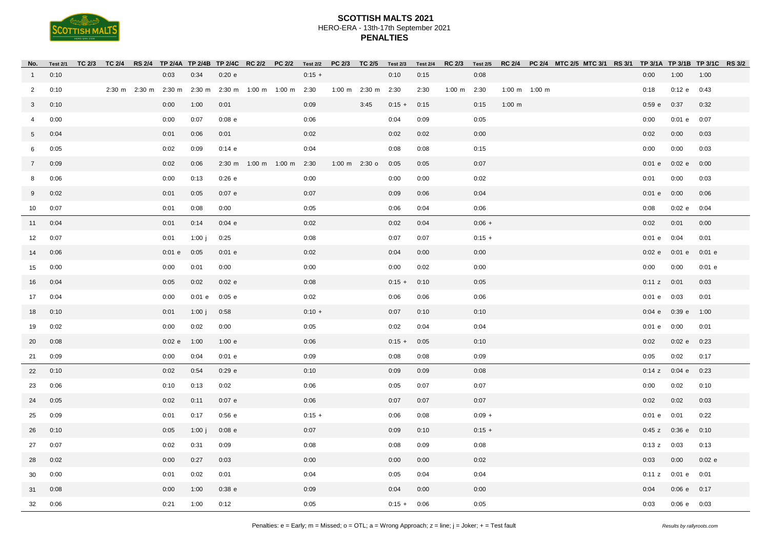

| No.             | <b>Test 2/1</b> | TC 2/3 |  |        |          | TC 2/4 RS 2/4 TP 2/4A TP 2/4B TP 2/4C RC 2/2 PC 2/2 Test 2/2 PC 2/3 TC 2/5 Test 2/3 |                           |          |                 |                    |               |      |                       |          |             |               | Test 2/4 RC 2/3 Test 2/5 RC 2/4 PC 2/4 MTC 2/5 MTC 3/1 RS 3/1 TP 3/1A TP 3/1B TP 3/1C RS 3/2 |                 |                    |          |  |
|-----------------|-----------------|--------|--|--------|----------|-------------------------------------------------------------------------------------|---------------------------|----------|-----------------|--------------------|---------------|------|-----------------------|----------|-------------|---------------|----------------------------------------------------------------------------------------------|-----------------|--------------------|----------|--|
| $\overline{1}$  | 0:10            |        |  | 0:03   | 0:34     | 0:20 e                                                                              |                           | $0:15 +$ |                 |                    | 0:10          | 0:15 |                       | 0:08     |             |               |                                                                                              | 0:00            | 1:00               | 1:00     |  |
| $\overline{2}$  | 0:10            |        |  |        |          | 2:30 m 2:30 m 2:30 m 2:30 m 2:30 m 1:00 m 1:00 m 2:30                               |                           |          |                 | 1:00 m 2:30 m 2:30 |               | 2:30 | $1:00 \text{ m}$ 2:30 |          |             | 1:00 m 1:00 m |                                                                                              | 0:18            | 0:12 e 0:43        |          |  |
| $\mathbf{3}$    | 0:10            |        |  | 0:00   | 1:00     | 0:01                                                                                |                           | 0:09     |                 | 3:45               | $0:15 +$      | 0:15 |                       | 0:15     | $1:00 \; m$ |               |                                                                                              | 0:59 e          | 0:37               | 0:32     |  |
| 4               | 0:00            |        |  | 0:00   | 0:07     | $0:08$ e                                                                            |                           | 0:06     |                 |                    | 0:04          | 0:09 |                       | 0:05     |             |               |                                                                                              | 0:00            | $0:01$ e $0:07$    |          |  |
| $5\overline{)}$ | 0:04            |        |  | 0:01   | 0:06     | 0:01                                                                                |                           | 0:02     |                 |                    | 0:02          | 0:02 |                       | 0:00     |             |               |                                                                                              | 0:02            | 0:00               | 0:03     |  |
| 6               | 0:05            |        |  | 0:02   | 0:09     | 0:14 e                                                                              |                           | 0:04     |                 |                    | 0:08          | 0:08 |                       | 0:15     |             |               |                                                                                              | 0:00            | 0:00               | 0:03     |  |
| $7\overline{ }$ | 0:09            |        |  | 0:02   | 0:06     |                                                                                     | 2:30 m 1:00 m 1:00 m 2:30 |          | 1:00 m $2:30$ o |                    | 0:05          | 0:05 |                       | 0:07     |             |               |                                                                                              | 0:01 e          | 0:02 e             | 0:00     |  |
| 8               | 0:06            |        |  | 0:00   | 0:13     | 0:26 e                                                                              |                           | 0:00     |                 |                    | 0:00          | 0:00 |                       | 0:02     |             |               |                                                                                              | 0:01            | 0:00               | 0:03     |  |
| 9               | 0:02            |        |  | 0:01   | 0:05     | 0:07e                                                                               |                           | 0:07     |                 |                    | 0:09          | 0:06 |                       | 0:04     |             |               |                                                                                              | 0:01 e          | 0:00               | 0:06     |  |
| 10              | 0:07            |        |  | 0:01   | 0:08     | 0:00                                                                                |                           | 0:05     |                 |                    | 0:06          | 0:04 |                       | 0:06     |             |               |                                                                                              | 0:08            | 0:02 e             | 0:04     |  |
| 11              | 0:04            |        |  | 0:01   | 0:14     | 0:04 e                                                                              |                           | 0:02     |                 |                    | 0:02          | 0:04 |                       | $0:06 +$ |             |               |                                                                                              | 0:02            | 0:01               | 0:00     |  |
| 12              | 0:07            |        |  | 0:01   | 1:00 $j$ | 0:25                                                                                |                           | 0:08     |                 |                    | 0:07          | 0:07 |                       | $0:15 +$ |             |               |                                                                                              | 0:01 e          | 0:04               | 0:01     |  |
| 14              | 0:06            |        |  | 0:01 e | 0:05     | 0:01 e                                                                              |                           | 0:02     |                 |                    | 0:04          | 0:00 |                       | 0:00     |             |               |                                                                                              | 0:02 e          | 0:01 e             | $0:01$ e |  |
| 15              | 0:00            |        |  | 0:00   | 0:01     | 0:00                                                                                |                           | 0:00     |                 |                    | 0:00          | 0:02 |                       | 0:00     |             |               |                                                                                              | 0:00            | 0:00               | 0:01 e   |  |
| 16              | 0:04            |        |  | 0:05   | 0:02     | 0:02 e                                                                              |                           | 0:08     |                 |                    | $0:15 +$      | 0:10 |                       | 0:05     |             |               |                                                                                              | $0:11 z$ $0:01$ |                    | 0:03     |  |
| 17              | 0:04            |        |  | 0:00   | 0:01e    | 0:05 e                                                                              |                           | 0:02     |                 |                    | 0:06          | 0:06 |                       | 0:06     |             |               |                                                                                              | $0:01$ e $0:03$ |                    | 0:01     |  |
| 18              | 0:10            |        |  | 0:01   | 1:00j    | 0:58                                                                                |                           | $0:10 +$ |                 |                    | 0:07          | 0:10 |                       | 0:10     |             |               |                                                                                              | 0:04 e          | 0:39e              | 1:00     |  |
| 19              | 0:02            |        |  | 0:00   | 0:02     | 0:00                                                                                |                           | 0:05     |                 |                    | 0:02          | 0:04 |                       | 0:04     |             |               |                                                                                              | 0:01 e          | 0:00               | 0:01     |  |
| 20              | 0:08            |        |  | 0:02 e | 1:00     | 1:00 e                                                                              |                           | 0:06     |                 |                    | $0:15 +$      | 0:05 |                       | 0:10     |             |               |                                                                                              | 0:02            | 0:02 e             | 0:23     |  |
| 21              | 0:09            |        |  | 0:00   | 0:04     | 0:01 e                                                                              |                           | 0:09     |                 |                    | 0:08          | 0:08 |                       | 0:09     |             |               |                                                                                              | 0:05            | 0:02               | 0:17     |  |
| 22              | 0:10            |        |  | 0:02   | 0:54     | 0:29 e                                                                              |                           | 0:10     |                 |                    | 0:09          | 0:09 |                       | 0:08     |             |               |                                                                                              | 0:14z           | 0:04 e             | 0:23     |  |
| 23              | 0:06            |        |  | 0:10   | 0:13     | 0:02                                                                                |                           | 0:06     |                 |                    | 0:05          | 0:07 |                       | 0:07     |             |               |                                                                                              | 0:00            | 0:02               | 0:10     |  |
| 24              | 0:05            |        |  | 0:02   | 0:11     | 0:07e                                                                               |                           | 0:06     |                 |                    | 0:07          | 0:07 |                       | 0:07     |             |               |                                                                                              | 0:02            | 0:02               | 0:03     |  |
| 25              | 0:09            |        |  | 0:01   | 0:17     | 0:56 e                                                                              |                           | $0:15 +$ |                 |                    | 0:06          | 0:08 |                       | $0:09 +$ |             |               |                                                                                              | 0:01 e          | 0:01               | 0:22     |  |
| 26              | 0:10            |        |  | 0:05   | 1:00 $j$ | $0:08$ e                                                                            |                           | 0:07     |                 |                    | 0:09          | 0:10 |                       | $0:15 +$ |             |               |                                                                                              |                 | 0:45 z 0:36 e 0:10 |          |  |
| 27              | 0:07            |        |  | 0:02   | 0:31     | 0:09                                                                                |                           | 0:08     |                 |                    | 0:08          | 0:09 |                       | 0:08     |             |               |                                                                                              | 0:13z           | 0:03               | 0:13     |  |
| 28              | 0:02            |        |  | 0:00   | 0:27     | 0:03                                                                                |                           | 0:00     |                 |                    | 0:00          | 0:00 |                       | 0:02     |             |               |                                                                                              | 0:03            | 0:00               | 0:02 e   |  |
| 30              | 0:00            |        |  | 0:01   | 0:02     | 0:01                                                                                |                           | 0:04     |                 |                    | 0:05          | 0:04 |                       | 0:04     |             |               |                                                                                              | 0:11 z          | 0:01 e             | 0:01     |  |
| 31              | 0:08            |        |  | 0:00   | 1:00     | 0:38 e                                                                              |                           | 0:09     |                 |                    | 0:04          | 0:00 |                       | 0:00     |             |               |                                                                                              | 0:04            | 0:06 e             | 0:17     |  |
| 32              | 0:06            |        |  | 0:21   | 1:00     | 0:12                                                                                |                           | 0:05     |                 |                    | $0:15 + 0:06$ |      |                       | 0:05     |             |               |                                                                                              | 0:03            | 0:06 e 0:03        |          |  |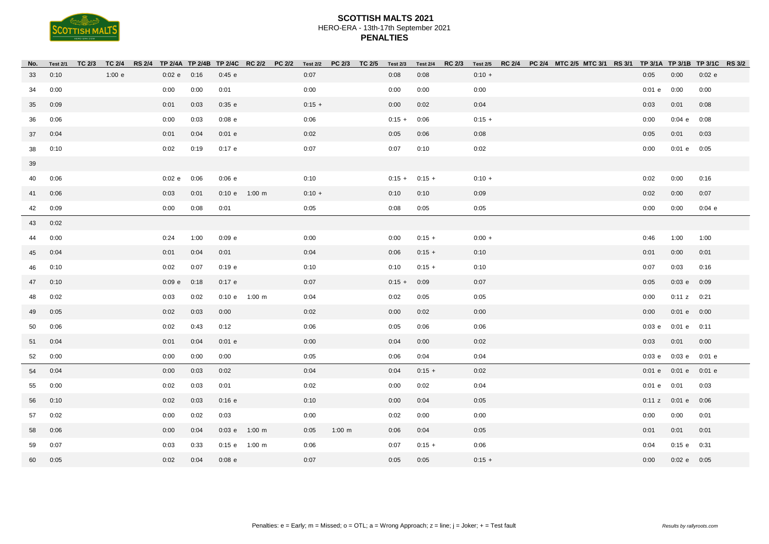

| No. | <b>Test 2/1</b> | TC 2/3 | TC 2/4 |             |      |          | RS 2/4 TP 2/4A TP 2/4B TP 2/4C RC 2/2 PC 2/2 Test 2/2 |          | PC 2/3      | TC 2/5 | <b>Test 2/3</b> | <b>Test 2/4</b> | RC 2/3 Test 2/5 |          |  | RC 2/4 PC 2/4 MTC 2/5 MTC 3/1 RS 3/1 TP 3/1A TP 3/1B TP 3/1C RS 3/2 |        |                      |        |  |
|-----|-----------------|--------|--------|-------------|------|----------|-------------------------------------------------------|----------|-------------|--------|-----------------|-----------------|-----------------|----------|--|---------------------------------------------------------------------|--------|----------------------|--------|--|
| 33  | 0:10            |        | 1:00 e | 0:02 e 0:16 |      | 0:45 e   |                                                       | 0:07     |             |        | 0:08            | 0:08            |                 | $0:10 +$ |  |                                                                     | 0:05   | 0:00                 | 0:02 e |  |
| 34  | 0:00            |        |        | 0:00        | 0:00 | 0:01     |                                                       | 0:00     |             |        | 0:00            | 0:00            |                 | 0:00     |  |                                                                     | 0:01 e | 0:00                 | 0:00   |  |
| 35  | 0:09            |        |        | 0:01        | 0:03 | 0:35 e   |                                                       | $0:15 +$ |             |        | 0:00            | 0:02            |                 | 0:04     |  |                                                                     | 0:03   | 0:01                 | 0:08   |  |
| 36  | 0:06            |        |        | 0:00        | 0:03 | $0:08$ e |                                                       | 0:06     |             |        | $0:15 +$        | 0:06            |                 | $0:15 +$ |  |                                                                     | 0:00   | 0:04 e               | 0:08   |  |
| 37  | 0:04            |        |        | 0:01        | 0:04 | 0:01 e   |                                                       | 0:02     |             |        | 0:05            | 0:06            |                 | 0:08     |  |                                                                     | 0:05   | 0:01                 | 0:03   |  |
| 38  | 0:10            |        |        | 0:02        | 0:19 | $0:17$ e |                                                       | 0:07     |             |        | 0:07            | 0:10            |                 | 0:02     |  |                                                                     | 0:00   | $0:01$ e $0:05$      |        |  |
| 39  |                 |        |        |             |      |          |                                                       |          |             |        |                 |                 |                 |          |  |                                                                     |        |                      |        |  |
| 40  | 0:06            |        |        | 0:02e       | 0:06 | 0:06 e   |                                                       | 0:10     |             |        | $0:15 +$        | $0:15 +$        |                 | $0:10 +$ |  |                                                                     | 0:02   | 0:00                 | 0:16   |  |
| 41  | 0:06            |        |        | 0:03        | 0:01 |          | $0:10 e$ 1:00 m                                       | $0:10 +$ |             |        | 0:10            | 0:10            |                 | 0:09     |  |                                                                     | 0:02   | 0:00                 | 0:07   |  |
| 42  | 0:09            |        |        | 0:00        | 0:08 | 0:01     |                                                       | 0:05     |             |        | 0:08            | 0:05            |                 | 0:05     |  |                                                                     | 0:00   | 0:00                 | 0:04 e |  |
| 43  | 0:02            |        |        |             |      |          |                                                       |          |             |        |                 |                 |                 |          |  |                                                                     |        |                      |        |  |
| 44  | 0:00            |        |        | 0:24        | 1:00 | 0:09e    |                                                       | 0:00     |             |        | 0:00            | $0:15 +$        |                 | $0:00 +$ |  |                                                                     | 0:46   | 1:00                 | 1:00   |  |
| 45  | 0:04            |        |        | 0:01        | 0:04 | 0:01     |                                                       | 0:04     |             |        | 0:06            | $0:15 +$        |                 | 0:10     |  |                                                                     | 0:01   | 0:00                 | 0:01   |  |
| 46  | 0:10            |        |        | 0:02        | 0:07 | 0:19 e   |                                                       | 0:10     |             |        | 0:10            | $0:15 +$        |                 | 0:10     |  |                                                                     | 0:07   | 0:03                 | 0:16   |  |
| 47  | 0:10            |        |        | 0:09e       | 0:18 | 0:17e    |                                                       | 0:07     |             |        | $0:15 +$        | 0:09            |                 | 0:07     |  |                                                                     | 0:05   | 0:03 e 0:09          |        |  |
| 48  | 0:02            |        |        | 0:03        | 0:02 |          | 0:10 e 1:00 m                                         | 0:04     |             |        | 0:02            | 0:05            |                 | 0:05     |  |                                                                     | 0:00   | $0:11 z$ $0:21$      |        |  |
| 49  | 0:05            |        |        | 0:02        | 0:03 | 0:00     |                                                       | 0:02     |             |        | 0:00            | 0:02            |                 | 0:00     |  |                                                                     | 0:00   | $0:01$ e $0:00$      |        |  |
| 50  | 0:06            |        |        | 0:02        | 0:43 | 0:12     |                                                       | 0:06     |             |        | 0:05            | 0:06            |                 | 0:06     |  |                                                                     | 0:03 e | $0:01$ e $0:11$      |        |  |
| 51  | 0:04            |        |        | 0:01        | 0:04 | 0:01 e   |                                                       | 0:00     |             |        | 0:04            | 0:00            |                 | 0:02     |  |                                                                     | 0:03   | 0:01                 | 0:00   |  |
| 52  | 0:00            |        |        | 0:00        | 0:00 | 0:00     |                                                       | 0:05     |             |        | 0:06            | 0:04            |                 | 0:04     |  |                                                                     | 0:03 e | $0:03 e$ 0:01 e      |        |  |
| 54  | 0:04            |        |        | 0:00        | 0:03 | 0:02     |                                                       | 0:04     |             |        | 0:04            | $0:15 +$        |                 | 0:02     |  |                                                                     |        | 0:01 e 0:01 e 0:01 e |        |  |
| 55  | 0:00            |        |        | 0:02        | 0:03 | 0:01     |                                                       | 0:02     |             |        | 0:00            | 0:02            |                 | 0:04     |  |                                                                     | 0:01 e | 0:01                 | 0:03   |  |
| 56  | 0:10            |        |        | 0:02        | 0:03 | 0:16 e   |                                                       | 0:10     |             |        | 0:00            | 0:04            |                 | 0:05     |  |                                                                     | 0:11 z | $0:01$ e $0:06$      |        |  |
| 57  | 0:02            |        |        | 0:00        | 0:02 | 0:03     |                                                       | 0:00     |             |        | 0:02            | 0:00            |                 | 0:00     |  |                                                                     | 0:00   | 0:00                 | 0:01   |  |
| 58  | 0:06            |        |        | 0:00        | 0:04 |          | 0:03 e 1:00 m                                         | 0:05     | $1:00 \; m$ |        | 0:06            | 0:04            |                 | 0:05     |  |                                                                     | 0:01   | 0:01                 | 0:01   |  |
| 59  | 0:07            |        |        | 0:03        | 0:33 |          | 0:15 e 1:00 m                                         | 0:06     |             |        | 0:07            | $0:15 +$        |                 | 0:06     |  |                                                                     | 0:04   | 0:15 e 0:31          |        |  |
| 60  | 0:05            |        |        | 0:02        | 0:04 | $0:08$ e |                                                       | 0:07     |             |        | 0:05            | 0:05            |                 | $0:15 +$ |  |                                                                     | 0:00   | 0:02 e 0:05          |        |  |
|     |                 |        |        |             |      |          |                                                       |          |             |        |                 |                 |                 |          |  |                                                                     |        |                      |        |  |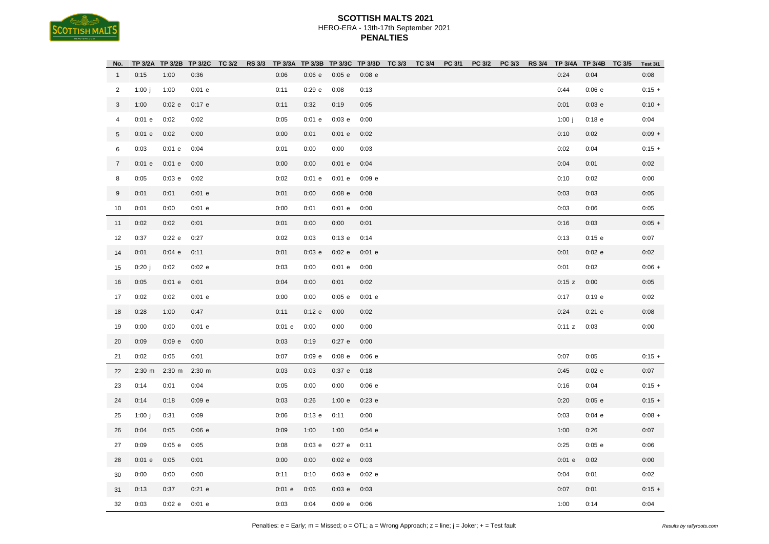| No.            |          |                 |             | TP 3/2A TP 3/2B TP 3/2C TC 3/2 RS 3/3 TP 3/3A TP 3/3B TP 3/3C TP 3/3D TC 3/3 TC 3/4 PC 3/1 |          |          |                 |          |  | PC 3/2 |  | PC 3/3 RS 3/4 TP 3/4A TP 3/4B TC 3/5 |          | <b>Test 3/1</b> |
|----------------|----------|-----------------|-------------|--------------------------------------------------------------------------------------------|----------|----------|-----------------|----------|--|--------|--|--------------------------------------|----------|-----------------|
| $\mathbf{1}$   | 0:15     | 1:00            | 0:36        |                                                                                            | 0:06     | 0:06 e   | 0:05 e          | $0:08$ e |  |        |  | 0:24                                 | 0:04     | 0:08            |
| $\overline{2}$ | 1:00 $j$ | 1:00            | 0:01 e      |                                                                                            | 0:11     | 0:29e    | 0:08            | 0:13     |  |        |  | 0:44                                 | 0:06e    | $0:15 +$        |
| 3              | 1:00     | 0:02 e          | 0:17e       |                                                                                            | 0:11     | 0:32     | 0:19            | 0:05     |  |        |  | 0:01                                 | 0:03 e   | $0:10 +$        |
| $\overline{4}$ | 0:01 e   | 0:02            | 0:02        |                                                                                            | 0:05     | 0:01 e   | 0:03 e          | 0:00     |  |        |  | $1:00$ j                             | $0:18$ e | 0:04            |
| $\sqrt{5}$     | 0:01 e   | 0:02            | 0:00        |                                                                                            | 0:00     | 0:01     | 0:01 e          | 0:02     |  |        |  | 0:10                                 | 0:02     | $0:09 +$        |
| 6              | 0:03     | 0:01 e          | 0:04        |                                                                                            | 0:01     | 0:00     | 0:00            | 0:03     |  |        |  | 0:02                                 | 0:04     | $0:15 +$        |
| $\overline{7}$ | 0:01 e   | 0:01 e          | 0:00        |                                                                                            | 0:00     | 0:00     | 0:01 e          | 0:04     |  |        |  | 0:04                                 | 0:01     | 0:02            |
| 8              | 0:05     | 0:03 e          | 0:02        |                                                                                            | 0:02     | $0:01$ e | 0:01 e          | 0:09e    |  |        |  | 0:10                                 | 0:02     | 0:00            |
| $9\,$          | 0:01     | 0:01            | 0:01e       |                                                                                            | 0:01     | 0:00     | $0:08$ e        | 0:08     |  |        |  | 0:03                                 | 0:03     | 0:05            |
| 10             | 0:01     | 0:00            | 0:01e       |                                                                                            | 0:00     | 0:01     | 0:01 e          | 0:00     |  |        |  | 0:03                                 | 0:06     | 0:05            |
| 11             | 0:02     | 0:02            | 0:01        |                                                                                            | 0:01     | 0:00     | 0:00            | 0:01     |  |        |  | 0:16                                 | 0:03     | $0:05 +$        |
| 12             | 0:37     | 0:22e           | 0:27        |                                                                                            | 0:02     | 0:03     | 0:13 e          | 0:14     |  |        |  | 0:13                                 | 0:15 e   | 0:07            |
| 14             | 0:01     | 0:04 e          | 0:11        |                                                                                            | 0:01     | 0:03 e   | 0:02 e          | 0:01 e   |  |        |  | 0:01                                 | 0:02 e   | 0:02            |
| 15             | 0:20j    | 0:02            | 0:02 e      |                                                                                            | 0:03     | 0:00     | 0:01 e          | 0:00     |  |        |  | 0:01                                 | 0:02     | $0:06 +$        |
| 16             | 0:05     | 0:01 e          | 0:01        |                                                                                            | 0:04     | 0:00     | 0:01            | 0:02     |  |        |  | 0:15 z                               | 0:00     | 0:05            |
| 17             | 0:02     | 0:02            | 0:01 e      |                                                                                            | 0:00     | 0:00     | 0:05 e          | $0:01$ e |  |        |  | 0:17                                 | 0:19e    | 0:02            |
| 18             | 0:28     | 1:00            | 0:47        |                                                                                            | 0:11     | 0:12 e   | 0:00            | 0:02     |  |        |  | 0:24                                 | 0:21 e   | 0:08            |
| 19             | 0:00     | 0:00            | 0:01 e      |                                                                                            | 0:01 e   | 0:00     | 0:00            | 0:00     |  |        |  | 0:11 z                               | 0:03     | 0:00            |
| 20             | 0:09     | 0:09e           | 0:00        |                                                                                            | 0:03     | 0:19     | 0:27e           | 0:00     |  |        |  |                                      |          |                 |
| 21             | 0:02     | 0:05            | 0:01        |                                                                                            | 0:07     | 0:09e    | $0:08$ e        | 0:06 e   |  |        |  | 0:07                                 | 0:05     | $0:15 +$        |
| 22             |          | 2:30 m 2:30 m   | $2:30 \; m$ |                                                                                            | 0:03     | 0:03     | 0:37e           | 0:18     |  |        |  | 0:45                                 | 0:02e    | 0:07            |
| 23             | 0:14     | 0:01            | 0:04        |                                                                                            | 0:05     | 0:00     | 0:00            | 0:06 e   |  |        |  | 0:16                                 | 0:04     | $0:15 +$        |
| 24             | 0:14     | 0:18            | 0:09e       |                                                                                            | 0:03     | 0:26     | 1:00 e          | 0:23 e   |  |        |  | 0:20                                 | 0:05 e   | $0:15 +$        |
| 25             | 1:00 $j$ | 0:31            | 0:09        |                                                                                            | 0:06     | 0:13 e   | 0:11            | 0:00     |  |        |  | 0:03                                 | 0:04e    | $0:08 +$        |
| 26             | 0:04     | 0:05            | 0:06e       |                                                                                            | 0:09     | 1:00     | 1:00            | 0:54 e   |  |        |  | 1:00                                 | 0:26     | 0:07            |
| 27             | 0:09     | 0:05 e          | 0:05        |                                                                                            | 0:08     | 0:03 e   | 0:27e           | 0:11     |  |        |  | 0:25                                 | 0:05 e   | 0:06            |
| 28             | 0:01 e   | 0:05            | 0:01        |                                                                                            | 0:00     | 0:00     | 0:02 e          | 0:03     |  |        |  | 0:01 e                               | 0:02     | 0:00            |
| 30             | 0:00     | 0:00            | 0:00        |                                                                                            | 0:11     | 0:10     | 0:03 e          | $0:02$ e |  |        |  | 0:04                                 | 0:01     | 0:02            |
| 31             | 0:13     | 0:37            | $0:21$ e    |                                                                                            | $0:01$ e | 0:06     | 0:03 e          | 0:03     |  |        |  | 0:07                                 | 0:01     | $0:15 +$        |
| 32             | 0:03     | $0:02 e$ 0:01 e |             |                                                                                            | 0:03     | 0:04     | $0:09$ e $0:06$ |          |  |        |  | 1:00                                 | 0:14     | 0:04            |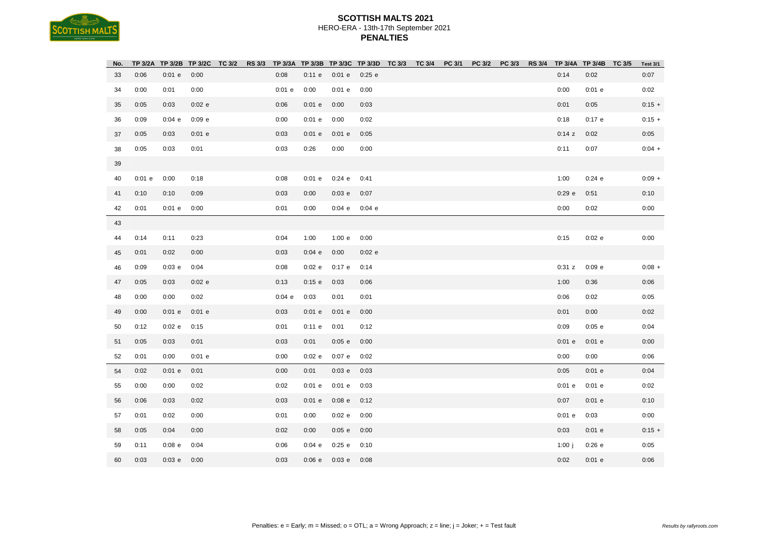| No. |        |          |        |  |        |        |                   |        |  |  |  |          | TP 3/2A TP 3/2B TP 3/2C TC 3/2 RS 3/3 TP 3/3A TP 3/3B TP 3/3C TP 3/3D TC 3/3 TC 3/4 PC 3/1 PC 3/2 PC 3/3 RS 3/4 TP 3/4A TP 3/4B TC 3/5 | <b>Test 3/1</b> |
|-----|--------|----------|--------|--|--------|--------|-------------------|--------|--|--|--|----------|----------------------------------------------------------------------------------------------------------------------------------------|-----------------|
| 33  | 0:06   | 0:01 e   | 0:00   |  | 0:08   | 0:11 e | 0:01 e 0:25 e     |        |  |  |  | 0:14     | 0:02                                                                                                                                   | 0:07            |
| 34  | 0:00   | 0:01     | 0:00   |  | 0:01 e | 0:00   | 0:01 e            | 0:00   |  |  |  | 0:00     | $0:01$ e                                                                                                                               | 0:02            |
| 35  | 0:05   | 0:03     | 0:02 e |  | 0:06   | 0:01 e | 0:00              | 0:03   |  |  |  | 0:01     | 0:05                                                                                                                                   | $0:15 +$        |
| 36  | 0:09   | 0:04 e   | 0:09e  |  | 0:00   | 0:01 e | 0:00              | 0:02   |  |  |  | 0:18     | 0:17e                                                                                                                                  | $0:15 +$        |
| 37  | 0:05   | 0:03     | 0:01 e |  | 0:03   | 0:01 e | 0:01 e            | 0:05   |  |  |  | 0:14z    | 0:02                                                                                                                                   | 0:05            |
| 38  | 0:05   | 0:03     | 0:01   |  | 0:03   | 0:26   | 0:00              | 0:00   |  |  |  | 0:11     | 0:07                                                                                                                                   | $0:04 +$        |
| 39  |        |          |        |  |        |        |                   |        |  |  |  |          |                                                                                                                                        |                 |
| 40  | 0:01 e | 0:00     | 0:18   |  | 0:08   | 0:01 e | $0:24$ e $0:41$   |        |  |  |  | 1:00     | 0:24e                                                                                                                                  | $0:09 +$        |
| 41  | 0:10   | 0:10     | 0:09   |  | 0:03   | 0:00   | 0:03 e 0:07       |        |  |  |  | 0:29e    | 0:51                                                                                                                                   | 0:10            |
| 42  | 0:01   | 0:01 e   | 0:00   |  | 0:01   | 0:00   | $0:04$ e $0:04$ e |        |  |  |  | 0:00     | 0:02                                                                                                                                   | 0:00            |
| 43  |        |          |        |  |        |        |                   |        |  |  |  |          |                                                                                                                                        |                 |
| 44  | 0:14   | 0:11     | 0:23   |  | 0:04   | 1:00   | 1:00 e            | 0:00   |  |  |  | 0:15     | 0:02 e                                                                                                                                 | 0:00            |
| 45  | 0:01   | 0:02     | 0:00   |  | 0:03   | 0:04 e | 0:00              | 0:02 e |  |  |  |          |                                                                                                                                        |                 |
| 46  | 0:09   | 0:03 e   | 0:04   |  | 0:08   | 0:02 e | 0:17e             | 0:14   |  |  |  | 0:31z    | 0:09e                                                                                                                                  | $0:08 +$        |
| 47  | 0:05   | 0:03     | 0:02 e |  | 0:13   | 0:15 e | 0:03              | 0:06   |  |  |  | 1:00     | 0:36                                                                                                                                   | 0:06            |
| 48  | 0:00   | 0:00     | 0:02   |  | 0:04 e | 0:03   | 0:01              | 0:01   |  |  |  | 0:06     | 0:02                                                                                                                                   | 0:05            |
| 49  | 0:00   | 0:01 e   | 0:01 e |  | 0:03   | 0:01 e | 0:01 e            | 0:00   |  |  |  | 0:01     | 0:00                                                                                                                                   | 0:02            |
| 50  | 0:12   | 0:02 e   | 0:15   |  | 0:01   | 0:11 e | 0:01              | 0:12   |  |  |  | 0:09     | 0:05 e                                                                                                                                 | 0:04            |
| 51  | 0:05   | 0:03     | 0:01   |  | 0:03   | 0:01   | 0:05 e            | 0:00   |  |  |  | 0:01 e   | 0:01e                                                                                                                                  | 0:00            |
| 52  | 0:01   | 0:00     | 0:01 e |  | 0:00   | 0:02 e | $0:07$ e $0:02$   |        |  |  |  | 0:00     | 0:00                                                                                                                                   | 0:06            |
| 54  | 0:02   | 0:01 e   | 0:01   |  | 0:00   | 0:01   | 0:03 e 0:03       |        |  |  |  | 0:05     | 0:01 e                                                                                                                                 | 0:04            |
| 55  | 0:00   | 0:00     | 0:02   |  | 0:02   | 0:01 e | 0:01 e            | 0:03   |  |  |  | 0:01 e   | 0:01 e                                                                                                                                 | 0:02            |
| 56  | 0:06   | 0:03     | 0:02   |  | 0:03   | 0:01 e | $0:08$ e $0:12$   |        |  |  |  | 0:07     | 0:01e                                                                                                                                  | 0:10            |
| 57  | 0:01   | 0:02     | 0:00   |  | 0:01   | 0:00   | 0:02 e            | 0:00   |  |  |  | $0:01$ e | 0:03                                                                                                                                   | 0:00            |
| 58  | 0:05   | 0:04     | 0:00   |  | 0:02   | 0:00   | 0:05 e            | 0:00   |  |  |  | 0:03     | 0:01 e                                                                                                                                 | $0:15 +$        |
| 59  | 0:11   | $0:08$ e | 0:04   |  | 0:06   | 0:04 e | 0:25 e 0:10       |        |  |  |  | 1:00 j   | 0:26 e                                                                                                                                 | 0:05            |
| 60  | 0:03   | 0:03 e   | 0:00   |  | 0:03   | 0:06e  | 0:03 e 0:08       |        |  |  |  | 0:02     | 0:01 e                                                                                                                                 | 0:06            |
|     |        |          |        |  |        |        |                   |        |  |  |  |          |                                                                                                                                        |                 |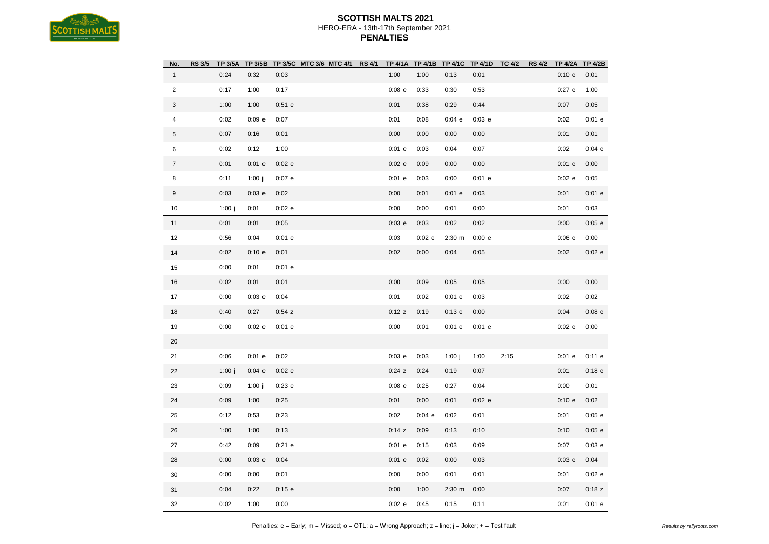

| No.              | <b>RS 3/5</b> |          |          |          | TP 3/5A TP 3/5B TP 3/5C MTC 3/6 MTC 4/1 RS 4/1 TP 4/1A TP 4/1B TP 4/1C TP 4/1D TC 4/2 |  |          |        |             |          |      | RS 4/2 TP 4/2A TP 4/2B |          |
|------------------|---------------|----------|----------|----------|---------------------------------------------------------------------------------------|--|----------|--------|-------------|----------|------|------------------------|----------|
| $\mathbf{1}$     |               | 0:24     | 0:32     | 0:03     |                                                                                       |  | 1:00     | 1:00   | 0:13        | 0:01     |      | 0:10 e                 | 0:01     |
| $\overline{c}$   |               | 0:17     | 1:00     | 0:17     |                                                                                       |  | $0:08$ e | 0:33   | 0:30        | 0:53     |      | $0:27$ e               | 1:00     |
| 3                |               | 1:00     | 1:00     | 0:51 e   |                                                                                       |  | 0:01     | 0:38   | 0:29        | 0:44     |      | 0:07                   | 0:05     |
| 4                |               | 0:02     | 0:09e    | 0:07     |                                                                                       |  | 0:01     | 0:08   | 0:04 e      | 0:03 e   |      | 0:02                   | $0:01$ e |
| 5                |               | 0:07     | 0:16     | 0:01     |                                                                                       |  | 0:00     | 0:00   | 0:00        | 0:00     |      | 0:01                   | 0:01     |
| 6                |               | 0:02     | 0:12     | 1:00     |                                                                                       |  | $0:01$ e | 0:03   | 0:04        | 0:07     |      | 0:02                   | 0:04 e   |
| $\overline{7}$   |               | 0:01     | $0:01$ e | 0:02 e   |                                                                                       |  | 0:02 e   | 0:09   | 0:00        | 0:00     |      | $0:01$ e               | 0:00     |
| 8                |               | 0:11     | 1:00 $j$ | 0:07e    |                                                                                       |  | 0:01 e   | 0:03   | 0:00        | $0:01$ e |      | 0:02 e                 | 0:05     |
| $\boldsymbol{9}$ |               | 0:03     | 0:03 e   | 0:02     |                                                                                       |  | 0:00     | 0:01   | $0:01$ e    | 0:03     |      | 0:01                   | $0:01$ e |
| 10               |               | 1:00 $j$ | 0:01     | 0:02 e   |                                                                                       |  | 0:00     | 0:00   | 0:01        | 0:00     |      | 0:01                   | 0:03     |
| 11               |               | 0:01     | 0:01     | 0:05     |                                                                                       |  | 0:03 e   | 0:03   | 0:02        | 0:02     |      | 0:00                   | $0:05$ e |
| 12               |               | 0:56     | 0:04     | 0:01 e   |                                                                                       |  | 0:03     | 0:02 e | $2:30 \; m$ | 0:00 e   |      | 0:06 e                 | 0:00     |
| 14               |               | 0:02     | 0:10 e   | 0:01     |                                                                                       |  | 0:02     | 0:00   | 0:04        | 0:05     |      | 0:02                   | 0:02 e   |
| 15               |               | 0:00     | 0:01     | $0:01$ e |                                                                                       |  |          |        |             |          |      |                        |          |
| 16               |               | 0:02     | 0:01     | 0:01     |                                                                                       |  | 0:00     | 0:09   | 0:05        | 0:05     |      | 0:00                   | 0:00     |
| 17               |               | 0:00     | 0:03 e   | 0:04     |                                                                                       |  | 0:01     | 0:02   | $0:01$ e    | 0:03     |      | 0:02                   | 0:02     |
| 18               |               | 0:40     | 0:27     | 0:54z    |                                                                                       |  | 0:12 z   | 0:19   | 0:13 e      | 0:00     |      | 0:04                   | $0:08$ e |
| 19               |               | 0:00     | $0:02$ e | 0:01 e   |                                                                                       |  | 0:00     | 0:01   | $0:01$ e    | $0:01$ e |      | $0:02$ e               | 0:00     |
| 20               |               |          |          |          |                                                                                       |  |          |        |             |          |      |                        |          |
| 21               |               | 0:06     | 0:01 e   | 0:02     |                                                                                       |  | 0:03 e   | 0:03   | 1:00 $j$    | 1:00     | 2:15 | 0:01 e                 | 0:11 e   |
| 22               |               | 1:00 $j$ | 0:04 e   | 0:02 e   |                                                                                       |  | 0:24z    | 0:24   | 0:19        | 0:07     |      | 0:01                   | $0:18$ e |
| 23               |               | 0:09     | 1:00 $j$ | 0:23 e   |                                                                                       |  | $0:08$ e | 0:25   | 0:27        | 0:04     |      | 0:00                   | 0:01     |
| 24               |               | 0:09     | 1:00     | 0:25     |                                                                                       |  | 0:01     | 0:00   | 0:01        | 0:02 e   |      | 0:10 e                 | 0:02     |
| 25               |               | 0:12     | 0:53     | 0:23     |                                                                                       |  | 0:02     | 0:04 e | 0:02        | 0:01     |      | 0:01                   | 0:05 e   |
| 26               |               | 1:00     | 1:00     | 0:13     |                                                                                       |  | 0:14 z   | 0:09   | 0:13        | 0:10     |      | 0:10                   | $0:05$ e |
| 27               |               | 0:42     | 0:09     | 0:21 e   |                                                                                       |  | $0:01$ e | 0:15   | 0:03        | 0:09     |      | 0:07                   | 0:03e    |
| 28               |               | 0:00     | 0:03 e   | 0:04     |                                                                                       |  | 0:01 e   | 0:02   | 0:00        | 0:03     |      | 0:03 e                 | 0:04     |
| 30               |               | 0:00     | 0:00     | 0:01     |                                                                                       |  | 0:00     | 0:00   | 0:01        | 0:01     |      | 0:01                   | 0:02e    |
| 31               |               | 0:04     | 0:22     | 0:15 e   |                                                                                       |  | 0:00     | 1:00   | $2:30 \; m$ | 0:00     |      | 0:07                   | $0:18$ z |
| 32               |               | 0:02     | 1:00     | 0:00     |                                                                                       |  | 0:02 e   | 0:45   | 0:15        | 0:11     |      | 0:01                   | 0:01e    |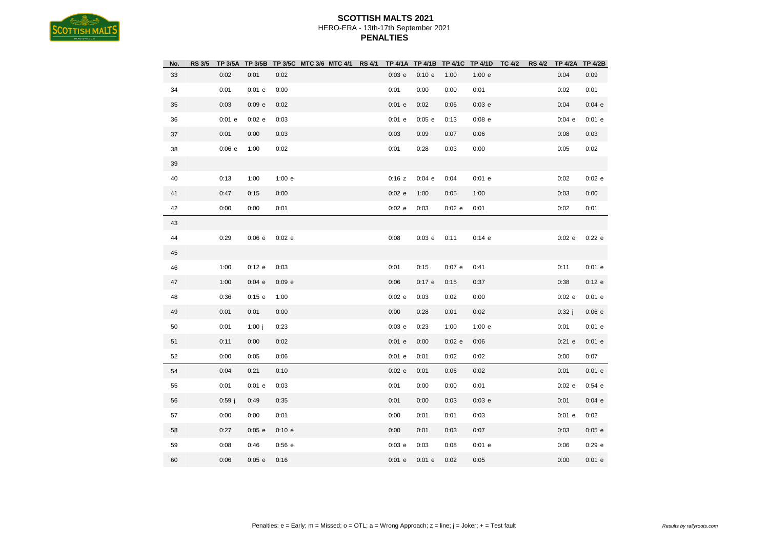

| No. |        |          |        | RS 3/5 TP 3/5A TP 3/5B TP 3/5C MTC 3/6 MTC 4/1 RS 4/1 TP 4/1A TP 4/1B TP 4/1C TP 4/1D TC 4/2 RS 4/2 TP 4/2B TP 4/2B |          |        |          |          |  |          |          |
|-----|--------|----------|--------|---------------------------------------------------------------------------------------------------------------------|----------|--------|----------|----------|--|----------|----------|
| 33  | 0:02   | 0:01     | 0:02   |                                                                                                                     | 0:03 e   | 0:10 e | 1:00     | 1:00 e   |  | 0:04     | 0:09     |
| 34  | 0:01   | $0:01$ e | 0:00   |                                                                                                                     | 0:01     | 0:00   | 0:00     | 0:01     |  | 0:02     | 0:01     |
| 35  | 0:03   | 0:09e    | 0:02   |                                                                                                                     | $0:01$ e | 0:02   | 0:06     | 0:03 e   |  | 0:04     | 0:04 e   |
| 36  | 0:01 e | 0:02 e   | 0:03   |                                                                                                                     | 0:01 e   | 0:05 e | 0:13     | $0:08$ e |  | 0:04 e   | 0:01 e   |
| 37  | 0:01   | 0:00     | 0:03   |                                                                                                                     | 0:03     | 0:09   | 0:07     | 0:06     |  | 0:08     | 0:03     |
| 38  | 0:06 e | 1:00     | 0:02   |                                                                                                                     | 0:01     | 0:28   | 0:03     | 0:00     |  | 0:05     | 0:02     |
| 39  |        |          |        |                                                                                                                     |          |        |          |          |  |          |          |
| 40  | 0:13   | 1:00     | 1:00 e |                                                                                                                     | 0:16z    | 0:04 e | 0:04     | $0:01$ e |  | 0:02     | 0:02e    |
| 41  | 0:47   | 0:15     | 0:00   |                                                                                                                     | 0:02 e   | 1:00   | 0:05     | 1:00     |  | 0:03     | 0:00     |
| 42  | 0:00   | 0:00     | 0:01   |                                                                                                                     | 0:02 e   | 0:03   | 0:02 e   | 0:01     |  | 0:02     | 0:01     |
| 43  |        |          |        |                                                                                                                     |          |        |          |          |  |          |          |
| 44  | 0:29   | 0:06 e   | 0:02e  |                                                                                                                     | 0:08     | 0:03 e | 0:11     | 0:14 e   |  | 0:02 e   | 0:22e    |
| 45  |        |          |        |                                                                                                                     |          |        |          |          |  |          |          |
| 46  | 1:00   | 0:12 e   | 0:03   |                                                                                                                     | 0:01     | 0:15   | 0:07e    | 0:41     |  | 0:11     | 0:01e    |
| 47  | 1:00   | 0:04 e   | 0:09 e |                                                                                                                     | 0:06     | 0:17e  | 0:15     | 0:37     |  | 0:38     | 0:12 e   |
| 48  | 0:36   | 0:15 e   | 1:00   |                                                                                                                     | 0:02 e   | 0:03   | 0:02     | 0:00     |  | $0:02$ e | $0:01$ e |
| 49  | 0:01   | 0:01     | 0:00   |                                                                                                                     | 0:00     | 0:28   | 0:01     | 0:02     |  | 0:32j    | 0:06 e   |
| 50  | 0:01   | $1:00$ j | 0:23   |                                                                                                                     | 0:03 e   | 0:23   | 1:00     | 1:00 e   |  | 0:01     | $0:01$ e |
| 51  | 0:11   | 0:00     | 0:02   |                                                                                                                     | $0:01$ e | 0:00   | $0:02$ e | 0:06     |  | $0:21$ e | 0:01 e   |
| 52  | 0:00   | 0:05     | 0:06   |                                                                                                                     | $0:01$ e | 0:01   | 0:02     | 0:02     |  | 0:00     | 0:07     |
| 54  | 0:04   | 0:21     | 0:10   |                                                                                                                     | 0:02 e   | 0:01   | 0:06     | 0:02     |  | 0:01     | 0:01 e   |
| 55  | 0:01   | $0:01$ e | 0:03   |                                                                                                                     | 0:01     | 0:00   | 0:00     | 0:01     |  | $0:02$ e | 0:54e    |
| 56  | 0:59j  | 0:49     | 0:35   |                                                                                                                     | 0:01     | 0:00   | 0:03     | 0:03 e   |  | 0:01     | 0:04e    |
| 57  | 0:00   | 0:00     | 0:01   |                                                                                                                     | 0:00     | 0:01   | 0:01     | 0:03     |  | 0:01 e   | 0:02     |
| 58  | 0:27   | 0:05 e   | 0:10 e |                                                                                                                     | 0:00     | 0:01   | 0:03     | 0:07     |  | 0:03     | 0:05 e   |
| 59  | 0:08   | 0:46     | 0:56 e |                                                                                                                     | 0:03 e   | 0:03   | 0:08     | $0:01$ e |  | 0:06     | 0:29e    |
| 60  | 0:06   | 0:05 e   | 0:16   |                                                                                                                     | 0:01 e   | 0:01 e | 0:02     | 0:05     |  | 0:00     | 0:01 e   |
|     |        |          |        |                                                                                                                     |          |        |          |          |  |          |          |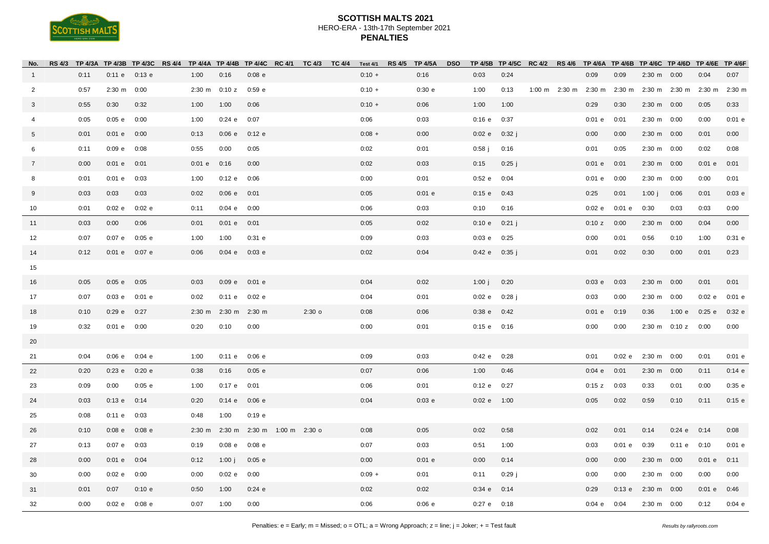

| No.             |      |                       | RS 4/3 TP 4/3A TP 4/3B TP 4/3C RS 4/4 TP 4/4A TP 4/4B TP 4/4C RC 4/1 TC 4/3 TC 4/4 Test 4/1 |             |                         |                             |       |          | RS 4/5 TP 4/5A | <b>DSO</b> |                 |          |  | TP 4/5B TP 4/5C RC 4/2 RS 4/6 TP 4/6A TP 4/6B TP 4/6C TP 4/6D TP 4/6E TP 4/6F |        |                       |                             |        |          |
|-----------------|------|-----------------------|---------------------------------------------------------------------------------------------|-------------|-------------------------|-----------------------------|-------|----------|----------------|------------|-----------------|----------|--|-------------------------------------------------------------------------------|--------|-----------------------|-----------------------------|--------|----------|
| $\overline{1}$  | 0:11 | 0:11 e 0:13 e         |                                                                                             | 1:00        | 0:16                    | $0:08$ e                    |       | $0:10 +$ | 0:16           |            | 0:03            | 0:24     |  | 0:09                                                                          | 0:09   | $2:30 \text{ m}$ 0:00 |                             | 0:04   | 0:07     |
| $\overline{2}$  | 0:57 | $2:30 \text{ m}$ 0:00 |                                                                                             |             | $2:30 \text{ m}$ 0:10 z | 0:59e                       |       | $0:10 +$ | 0:30 e         |            | 1:00            | 0:13     |  | 1:00 m 2:30 m 2:30 m 2:30 m                                                   |        |                       | 2:30 m 2:30 m 2:30 m 2:30 m |        |          |
| $\mathbf{3}$    | 0:55 | 0:30                  | 0:32                                                                                        | 1:00        | 1:00                    | 0:06                        |       | $0:10 +$ | 0:06           |            | 1:00            | 1:00     |  | 0:29                                                                          | 0:30   | 2:30 m 0:00           |                             | 0:05   | 0:33     |
| $\overline{4}$  | 0:05 | 0:05 e 0:00           |                                                                                             | 1:00        | 0:24 e                  | 0:07                        |       | 0:06     | 0:03           |            | 0:16e           | 0:37     |  | 0:01 e                                                                        | 0:01   | 2:30 m 0:00           |                             | 0:00   | 0:01e    |
| $5\overline{)}$ | 0:01 | $0:01$ e $0:00$       |                                                                                             | 0:13        | 0:06 e                  | 0:12 e                      |       | $0:08 +$ | 0:00           |            | 0:02 e          | $0:32$ j |  | 0:00                                                                          | 0:00   | 2:30 m 0:00           |                             | 0:01   | 0:00     |
| 6               | 0:11 | $0:09$ e $0:08$       |                                                                                             | 0:55        | 0:00                    | 0:05                        |       | 0:02     | 0:01           |            | $0:58$ j        | 0:16     |  | 0:01                                                                          | 0:05   | 2:30 m 0:00           |                             | 0:02   | 0:08     |
| $\overline{7}$  | 0:00 | $0:01$ e $0:01$       |                                                                                             | 0:01 e      | 0:16                    | 0:00                        |       | 0:02     | 0:03           |            | 0:15            | $0:25$ j |  | 0:01 e                                                                        | 0:01   | 2:30 m 0:00           |                             | 0:01 e | 0:01     |
| 8               | 0:01 | $0:01$ e $0:03$       |                                                                                             | 1:00        | 0:12 e                  | 0:06                        |       | 0:00     | 0:01           |            | 0:52 e 0:04     |          |  | $0:01$ e                                                                      | 0:00   | 2:30 m 0:00           |                             | 0:00   | 0:01     |
| 9               | 0:03 | 0:03                  | 0:03                                                                                        | 0:02        | $0:06 e$ $0:01$         |                             |       | 0:05     | 0:01 e         |            | 0:15 e 0:43     |          |  | 0:25                                                                          | 0:01   | 1:00 $j$              | 0:06                        | 0:01   | 0:03 e   |
| 10              | 0:01 | 0:02e                 | 0:02e                                                                                       | 0:11        | $0:04$ e $0:00$         |                             |       | 0:06     | 0:03           |            | 0:10            | 0:16     |  | 0:02 e                                                                        | 0:01 e | 0:30                  | 0:03                        | 0:03   | 0:00     |
| 11              | 0:03 | 0:00                  | 0:06                                                                                        | 0:01        | $0:01$ e $0:01$         |                             |       | 0:05     | 0:02           |            | $0:10 e$ 0:21 j |          |  | 0:10z                                                                         | 0:00   | 2:30 m 0:00           |                             | 0:04   | 0:00     |
| 12              | 0:07 | 0:07e                 | 0:05 e                                                                                      | 1:00        | 1:00                    | 0:31 e                      |       | 0:09     | 0:03           |            | $0:03 e$ 0:25   |          |  | 0:00                                                                          | 0:01   | 0:56                  | 0:10                        | 1:00   | 0:31 e   |
| 14              | 0:12 |                       | 0:01 e 0:07 e                                                                               | 0:06        | 0:04e                   | $0:03$ e                    |       | 0:02     | 0:04           |            | $0:42 e$ 0:35 j |          |  | 0:01                                                                          | 0:02   | 0:30                  | 0:00                        | 0:01   | 0:23     |
| 15              |      |                       |                                                                                             |             |                         |                             |       |          |                |            |                 |          |  |                                                                               |        |                       |                             |        |          |
| 16              | 0:05 | 0:05 e 0:05           |                                                                                             | 0:03        | 0:09 e                  | 0:01 e                      |       | 0:04     | 0:02           |            | 1:00 j          | 0:20     |  | 0:03 e                                                                        | 0:03   | $2:30 \; m$           | 0:00                        | 0:01   | 0:01     |
| 17              | 0:07 | $0:03 e$ 0:01 e       |                                                                                             | 0:02        | 0:11 e                  | $0:02$ e                    |       | 0:04     | 0:01           |            | $0:02 e$ 0:28 j |          |  | 0:03                                                                          | 0:00   | $2:30 \text{ m}$ 0:00 |                             | 0:02 e | 0:01e    |
| 18              | 0:10 | 0:29 e 0:27           |                                                                                             |             | 2:30 m 2:30 m 2:30 m    |                             | 2:30o | 0:08     | 0:06           |            | $0:38$ e $0:42$ |          |  | 0:01 e                                                                        | 0:19   | 0:36                  | 1:00 e                      | 0:25 e | 0:32 e   |
| 19              | 0:32 | 0:01 e 0:00           |                                                                                             | 0:20        | 0:10                    | 0:00                        |       | 0:00     | 0:01           |            | 0:15 e 0:16     |          |  | 0:00                                                                          | 0:00   |                       | 2:30 m 0:10 z 0:00          |        | 0:00     |
| 20              |      |                       |                                                                                             |             |                         |                             |       |          |                |            |                 |          |  |                                                                               |        |                       |                             |        |          |
| 21              | 0:04 |                       | $0:06$ e $0:04$ e                                                                           | 1:00        | 0:11 e                  | 0:06e                       |       | 0:09     | 0:03           |            | 0:42 e 0:28     |          |  | 0:01                                                                          | 0:02e  | $2:30 \; m$           | 0:00                        | 0:01   | $0:01$ e |
| 22              | 0:20 | 0:23 e 0:20 e         |                                                                                             | 0:38        | 0:16                    | 0:05 e                      |       | 0:07     | 0:06           |            | 1:00            | 0:46     |  | 0:04 e                                                                        | 0:01   | $2:30 \; m$           | 0:00                        | 0:11   | 0:14 e   |
| 23              | 0:09 | 0:00                  | 0:05 e                                                                                      | 1:00        | $0:17$ e                | 0:01                        |       | 0:06     | 0:01           |            | 0:12 e          | 0:27     |  | 0:15z                                                                         | 0:03   | 0:33                  | 0:01                        | 0:00   | 0:35 e   |
| 24              | 0:03 | 0:13 e 0:14           |                                                                                             | 0:20        | 0:14 e                  | 0:06e                       |       | 0:04     | 0:03 e         |            | 0:02 e 1:00     |          |  | 0:05                                                                          | 0:02   | 0:59                  | 0:10                        | 0:11   | 0:15 e   |
| 25              | 0:08 | $0:11$ e $0:03$       |                                                                                             | 0:48        | 1:00                    | 0:19 e                      |       |          |                |            |                 |          |  |                                                                               |        |                       |                             |        |          |
| 26              | 0:10 | $0:08$ e $0:08$ e     |                                                                                             | $2:30 \; m$ |                         | 2:30 m 2:30 m 1:00 m 2:30 o |       | 0:08     | 0:05           |            | 0:02            | 0:58     |  | 0:02                                                                          | 0:01   | 0:14                  | $0:24$ e $0:14$             |        | 0:08     |
| 27              | 0:13 | $0:07$ e $0:03$       |                                                                                             | 0:19        | $0:08$ e                | $0:08$ e                    |       | 0:07     | 0:03           |            | 0:51            | 1:00     |  | 0:03                                                                          | 0:01 e | 0:39                  | $0:11$ e $0:10$             |        | 0:01e    |
| 28              | 0:00 | $0:01$ e $0:04$       |                                                                                             | 0:12        | 1:00 $j$                | 0:05 e                      |       | 0:00     | 0:01 e         |            | 0:00            | 0:14     |  | 0:00                                                                          | 0:00   | $2:30 \text{ m}$ 0:00 |                             | 0:01 e | 0:11     |
| 30              | 0:00 | 0:02e                 | 0:00                                                                                        | 0:00        | 0:02 e                  | 0:00                        |       | $0:09 +$ | 0:01           |            | 0:11            | 0:29j    |  | 0:00                                                                          | 0:00   | $2:30 \; m$           | 0:00                        | 0:00   | 0:00     |
| 31              | 0:01 | 0:07                  | 0:10 e                                                                                      | 0:50        | 1:00                    | 0:24 e                      |       | 0:02     | 0:02           |            | 0:34 e          | 0:14     |  | 0:29                                                                          | 0:13 e | 2:30 m 0:00           |                             | 0:01 e | 0:46     |
| 32              | 0:00 | $0:02 e$ 0:08 e       |                                                                                             | 0:07        | 1:00                    | 0:00                        |       | 0:06     | 0:06 e         |            | $0:27$ e $0:18$ |          |  | 0:04 e                                                                        | 0:04   | $2:30 \text{ m}$ 0:00 |                             | 0:12   | 0:04 e   |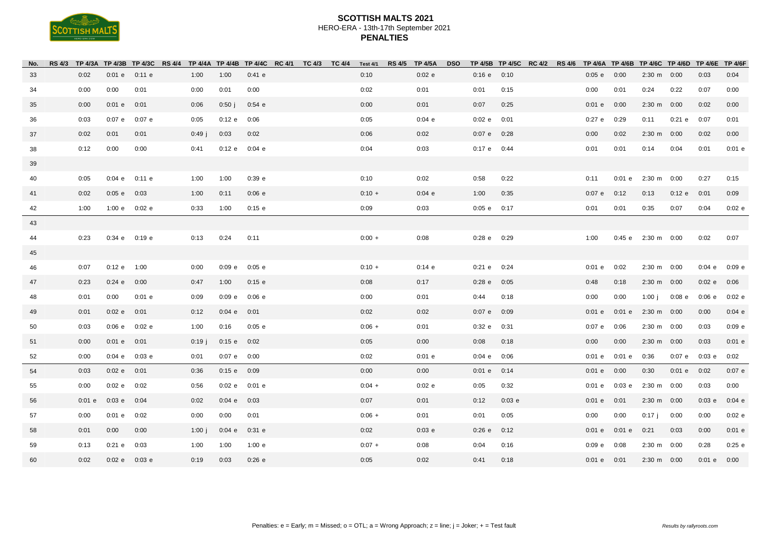

| No. |        |                 | RS 4/3 TP 4/3A TP 4/3B TP 4/3C RS 4/4 TP 4/4A TP 4/4B TP 4/4C RC 4/1 TC 4/3 TC 4/4 Test 4/1 |          |                   |        |  |          | RS 4/5 TP 4/5A |        | <b>DSO</b> |                 |        | TP 4/5B TP 4/5C RC 4/2 RS 4/6 TP 4/6A TP 4/6B TP 4/6C TP 4/6D TP 4/6E TP 4/6F |                 |          |                       |          |        |        |
|-----|--------|-----------------|---------------------------------------------------------------------------------------------|----------|-------------------|--------|--|----------|----------------|--------|------------|-----------------|--------|-------------------------------------------------------------------------------|-----------------|----------|-----------------------|----------|--------|--------|
| 33  | 0:02   |                 | $0:01$ e $0:11$ e                                                                           | 1:00     | 1:00              | 0:41 e |  | 0:10     |                | 0:02 e |            | $0:16$ e $0:10$ |        |                                                                               | 0:05 e          | 0:00     | 2:30 m 0:00           |          | 0:03   | 0:04   |
| 34  | 0:00   | 0:00            | 0:01                                                                                        | 0:00     | 0:01              | 0:00   |  | 0:02     |                | 0:01   |            | 0:01            | 0:15   |                                                                               | 0:00            | 0:01     | 0:24                  | 0:22     | 0:07   | 0:00   |
| 35  | 0:00   | $0:01$ e $0:01$ |                                                                                             | 0:06     | 0:50j             | 0:54 e |  | 0:00     |                | 0:01   |            | 0:07            | 0:25   |                                                                               | 0:01 e          | 0:00     | 2:30 m 0:00           |          | 0:02   | 0:00   |
| 36  | 0:03   |                 | 0:07 e 0:07 e                                                                               | 0:05     | 0:12 e            | 0:06   |  | 0:05     |                | 0:04 e |            | 0:02 e          | 0:01   |                                                                               | 0:27e           | 0:29     | 0:11                  | 0:21 e   | 0:07   | 0:01   |
| 37  | 0:02   | 0:01            | 0:01                                                                                        | $0:49$ j | 0:03              | 0:02   |  | 0:06     |                | 0:02   |            | $0:07$ e $0:28$ |        |                                                                               | 0:00            | 0:02     | $2:30 \text{ m}$ 0:00 |          | 0:02   | 0:00   |
| 38  | 0:12   | 0:00            | 0:00                                                                                        | 0:41     | 0:12 e            | 0:04 e |  | 0:04     |                | 0:03   |            | $0:17$ e $0:44$ |        |                                                                               | 0:01            | 0:01     | 0:14                  | 0:04     | 0:01   | 0:01 e |
| 39  |        |                 |                                                                                             |          |                   |        |  |          |                |        |            |                 |        |                                                                               |                 |          |                       |          |        |        |
| 40  | 0:05   |                 | $0:04$ e $0:11$ e                                                                           | 1:00     | 1:00              | 0:39 e |  | 0:10     |                | 0:02   |            | 0:58            | 0:22   |                                                                               | 0:11            | $0:01$ e | 2:30 m 0:00           |          | 0:27   | 0:15   |
| 41  | 0:02   | $0:05 e$ $0:03$ |                                                                                             | 1:00     | 0:11              | 0:06 e |  | $0:10 +$ |                | 0:04 e |            | 1:00            | 0:35   |                                                                               | 0:07e           | 0:12     | 0:13                  | 0:12 e   | 0:01   | 0:09   |
| 42  | 1:00   |                 | 1:00 $e$ 0:02 $e$                                                                           | 0:33     | 1:00              | 0:15 e |  | 0:09     |                | 0:03   |            | $0:05 e$ 0:17   |        |                                                                               | 0:01            | 0:01     | 0:35                  | 0:07     | 0:04   | 0:02 e |
| 43  |        |                 |                                                                                             |          |                   |        |  |          |                |        |            |                 |        |                                                                               |                 |          |                       |          |        |        |
| 44  | 0:23   |                 | $0:34$ e $0:19$ e                                                                           | 0:13     | 0:24              | 0:11   |  | $0:00 +$ |                | 0:08   |            | $0:28$ e $0:29$ |        |                                                                               | 1:00            |          | 0:45 e 2:30 m 0:00    |          | 0:02   | 0:07   |
| 45  |        |                 |                                                                                             |          |                   |        |  |          |                |        |            |                 |        |                                                                               |                 |          |                       |          |        |        |
| 46  | 0:07   | $0:12 e$ 1:00   |                                                                                             | 0:00     | $0:09$ e          | 0:05 e |  | $0:10 +$ |                | 0:14 e |            | $0:21$ e        | 0:24   |                                                                               | $0:01$ e        | 0:02     | 2:30 m 0:00           |          | 0:04 e | 0:09e  |
| 47  | 0:23   | $0:24$ e $0:00$ |                                                                                             | 0:47     | 1:00              | 0:15 e |  | 0:08     |                | 0:17   |            | $0:28$ e        | 0:05   |                                                                               | 0:48            | 0:18     | 2:30 m 0:00           |          | 0:02 e | 0:06   |
| 48  | 0:01   | 0:00            | 0:01 e                                                                                      | 0:09     | $0:09$ e $0:06$ e |        |  | 0:00     |                | 0:01   |            | 0:44            | 0:18   |                                                                               | 0:00            | 0:00     | 1:00 j                | $0:08$ e | 0:06 e | 0:02e  |
| 49  | 0:01   | 0:02 e 0:01     |                                                                                             | 0:12     | $0:04$ e $0:01$   |        |  | 0:02     |                | 0:02   |            | $0:07$ e $0:09$ |        |                                                                               | 0:01 e          | $0:01$ e | $2:30 \text{ m}$ 0:00 |          | 0:00   | 0:04 e |
| 50  | 0:03   |                 | $0:06 e$ $0:02 e$                                                                           | 1:00     | 0:16              | 0:05 e |  | $0:06 +$ |                | 0:01   |            | 0:32 e 0:31     |        |                                                                               | 0:07e           | 0:06     | $2:30 \text{ m}$ 0:00 |          | 0:03   | 0:09e  |
| 51  | 0:00   | $0:01$ e $0:01$ |                                                                                             | $0:19$ j | 0:15 e 0:02       |        |  | 0:05     |                | 0:00   |            | 0:08            | 0:18   |                                                                               | 0:00            | 0:00     | 2:30 m 0:00           |          | 0:03   | 0:01 e |
| 52  | 0:00   |                 | $0:04$ e $0:03$ e                                                                           | 0:01     | $0:07$ e $0:00$   |        |  | 0:02     |                | 0:01 e |            | 0:04 e          | 0:06   |                                                                               | 0:01 e          | $0:01$ e | 0:36                  | 0:07e    | 0:03 e | 0:02   |
| 54  | 0:03   | 0:02 e 0:01     |                                                                                             | 0:36     | 0:15 e 0:09       |        |  | 0:00     |                | 0:00   |            | $0:01$ e $0:14$ |        |                                                                               | $0:01$ e        | 0:00     | 0:30                  | $0:01$ e | 0:02   | 0:07e  |
| 55  | 0:00   | 0:02 e 0:02     |                                                                                             | 0:56     | $0:02 e$ 0:01 e   |        |  | $0:04 +$ |                | 0:02 e |            | 0:05            | 0:32   |                                                                               | 0:01 e          | $0:03$ e | $2:30 \text{ m}$ 0:00 |          | 0:03   | 0:00   |
| 56  | 0:01 e | 0:03 e 0:04     |                                                                                             | 0:02     | 0:04 e 0:03       |        |  | 0:07     |                | 0:01   |            | 0:12            | 0:03 e |                                                                               | $0:01$ e        | 0:01     | 2:30 m 0:00           |          | 0:03 e | 0:04 e |
| 57  | 0:00   | $0:01$ e $0:02$ |                                                                                             | 0:00     | 0:00              | 0:01   |  | $0:06 +$ |                | 0:01   |            | 0:01            | 0:05   |                                                                               | 0:00            | 0:00     | $0:17$ j              | 0:00     | 0:00   | 0:02e  |
| 58  | 0:01   | 0:00            | 0:00                                                                                        | 1:00 $j$ | 0:04 e            | 0:31 e |  | 0:02     |                | 0:03 e |            | 0:26 e          | 0:12   |                                                                               | 0:01 e          | $0:01$ e | 0:21                  | 0:03     | 0:00   | 0:01 e |
| 59  | 0:13   | $0:21$ e $0:03$ |                                                                                             | 1:00     | 1:00              | 1:00 e |  | $0:07 +$ |                | 0:08   |            | 0:04            | 0:16   |                                                                               | 0:09e           | 0:08     | 2:30 m 0:00           |          | 0:28   | 0:25 e |
| 60  | 0:02   |                 | $0:02 e$ 0:03 e                                                                             | 0:19     | 0:03              | 0:26 e |  | 0:05     |                | 0:02   |            | 0:41            | 0:18   |                                                                               | $0:01$ e $0:01$ |          | $2:30 \text{ m}$ 0:00 |          | 0:01 e | 0:00   |
|     |        |                 |                                                                                             |          |                   |        |  |          |                |        |            |                 |        |                                                                               |                 |          |                       |          |        |        |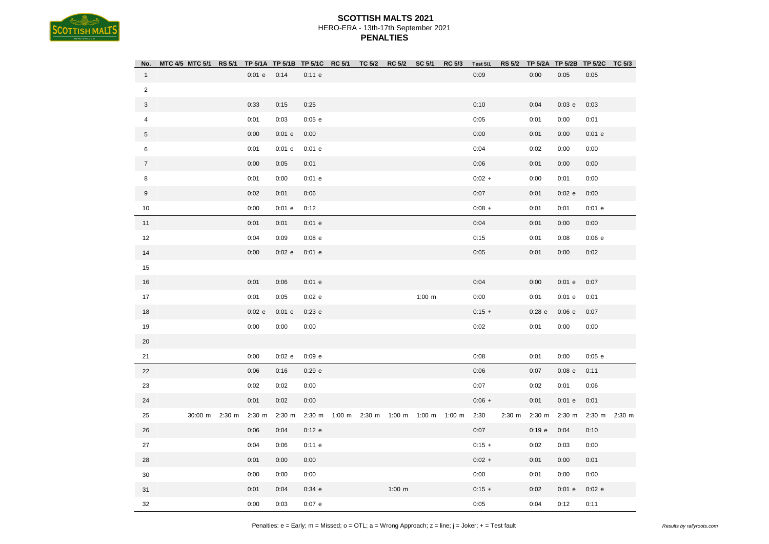| No.            | MTC 4/5 MTC 5/1 RS 5/1 TP 5/1A TP 5/1B TP 5/1C RC 5/1 TC 5/2 RC 5/2 SC 5/1 |             |             |          |  |                                           |             | <b>RC 5/3</b> | <b>Test 5/1</b> | <b>RS 5/2</b> |             |             | TP 5/2A TP 5/2B TP 5/2C TC 5/3 |  |
|----------------|----------------------------------------------------------------------------|-------------|-------------|----------|--|-------------------------------------------|-------------|---------------|-----------------|---------------|-------------|-------------|--------------------------------|--|
| $\mathbf{1}$   |                                                                            | 0:01 e      | 0:14        | 0:11 e   |  |                                           |             |               | 0:09            |               | 0:00        | 0:05        | 0:05                           |  |
| $\overline{2}$ |                                                                            |             |             |          |  |                                           |             |               |                 |               |             |             |                                |  |
| 3              |                                                                            | 0:33        | 0:15        | 0:25     |  |                                           |             |               | 0:10            |               | 0:04        | 0:03 e      | 0:03                           |  |
| $\overline{4}$ |                                                                            | 0:01        | 0:03        | 0:05 e   |  |                                           |             |               | 0:05            |               | 0:01        | 0:00        | 0:01                           |  |
| 5              |                                                                            | 0:00        | $0:01$ e    | 0:00     |  |                                           |             |               | 0:00            |               | 0:01        | 0:00        | 0:01 e                         |  |
| 6              |                                                                            | 0:01        | $0:01$ e    | 0:01 e   |  |                                           |             |               | 0:04            |               | 0:02        | 0:00        | 0:00                           |  |
| $\overline{7}$ |                                                                            | 0:00        | 0:05        | 0:01     |  |                                           |             |               | 0:06            |               | 0:01        | 0:00        | 0:00                           |  |
| 8              |                                                                            | 0:01        | 0:00        | 0:01 e   |  |                                           |             |               | $0:02 +$        |               | 0:00        | 0:01        | 0:00                           |  |
| 9              |                                                                            | 0:02        | 0:01        | 0:06     |  |                                           |             |               | 0:07            |               | 0:01        | 0:02 e      | 0:00                           |  |
| 10             |                                                                            | 0:00        | 0:01 e      | 0:12     |  |                                           |             |               | $0:08 +$        |               | 0:01        | 0:01        | 0:01 e                         |  |
| 11             |                                                                            | 0:01        | 0:01        | 0:01 e   |  |                                           |             |               | 0:04            |               | 0:01        | 0:00        | 0:00                           |  |
| 12             |                                                                            | 0:04        | 0:09        | $0:08$ e |  |                                           |             |               | 0:15            |               | 0:01        | 0:08        | 0:06 e                         |  |
| 14             |                                                                            | 0:00        | 0:02 e      | 0:01 e   |  |                                           |             |               | 0:05            |               | 0:01        | 0:00        | 0:02                           |  |
| 15             |                                                                            |             |             |          |  |                                           |             |               |                 |               |             |             |                                |  |
| 16             |                                                                            | 0:01        | 0:06        | 0:01 e   |  |                                           |             |               | 0:04            |               | 0:00        | 0:01 e      | 0:07                           |  |
| 17             |                                                                            | 0:01        | 0:05        | 0:02 e   |  |                                           | $1:00 \; m$ |               | 0:00            |               | 0:01        | 0:01e       | 0:01                           |  |
| 18             |                                                                            | 0:02e       | $0:01$ e    | 0:23 e   |  |                                           |             |               | $0:15 +$        |               | $0:28$ e    | 0:06e       | 0:07                           |  |
| 19             |                                                                            | 0:00        | 0:00        | 0:00     |  |                                           |             |               | 0:02            |               | 0:01        | 0:00        | 0:00                           |  |
| 20             |                                                                            |             |             |          |  |                                           |             |               |                 |               |             |             |                                |  |
| 21             |                                                                            | 0:00        | $0:02$ e    | 0:09 e   |  |                                           |             |               | 0:08            |               | 0:01        | 0:00        | $0:05$ e                       |  |
| 22             |                                                                            | 0:06        | 0:16        | 0:29e    |  |                                           |             |               | 0:06            |               | 0:07        | $0:08$ e    | 0:11                           |  |
| 23             |                                                                            | 0:02        | 0:02        | 0:00     |  |                                           |             |               | 0:07            |               | 0:02        | 0:01        | 0:06                           |  |
| 24             |                                                                            | 0:01        | 0:02        | 0:00     |  |                                           |             |               | $0:06 +$        |               | 0:01        | 0:01 e      | 0:01                           |  |
| 25             | 30:00 m 2:30 m                                                             | $2:30 \; m$ | $2:30 \; m$ |          |  | 2:30 m 1:00 m 2:30 m 1:00 m 1:00 m 1:00 m |             |               | 2:30            | $2:30 \; m$   | $2:30 \; m$ | $2:30 \; m$ | 2:30 m 2:30 m                  |  |
| 26             |                                                                            | 0:06        | 0:04        | 0:12 e   |  |                                           |             |               | 0:07            |               | 0:19e       | 0:04        | 0:10                           |  |
| 27             |                                                                            | 0:04        | 0:06        | 0:11 e   |  |                                           |             |               | $0:15 +$        |               | 0:02        | 0:03        | 0:00                           |  |
| ${\bf 28}$     |                                                                            | 0:01        | 0:00        | 0:00     |  |                                           |             |               | $0:02 +$        |               | 0:01        | 0:00        | 0:01                           |  |
| 30             |                                                                            | 0:00        | 0:00        | 0:00     |  |                                           |             |               | 0:00            |               | 0:01        | 0:00        | 0:00                           |  |
| 31             |                                                                            | 0:01        | 0:04        | 0:34 e   |  | $1:00 \; m$                               |             |               | $0:15 +$        |               | 0:02        | 0:01 e      | $0:02$ e                       |  |
| 32             |                                                                            | 0:00        | 0:03        | 0:07e    |  |                                           |             |               | 0:05            |               | 0:04        | 0:12        | 0:11                           |  |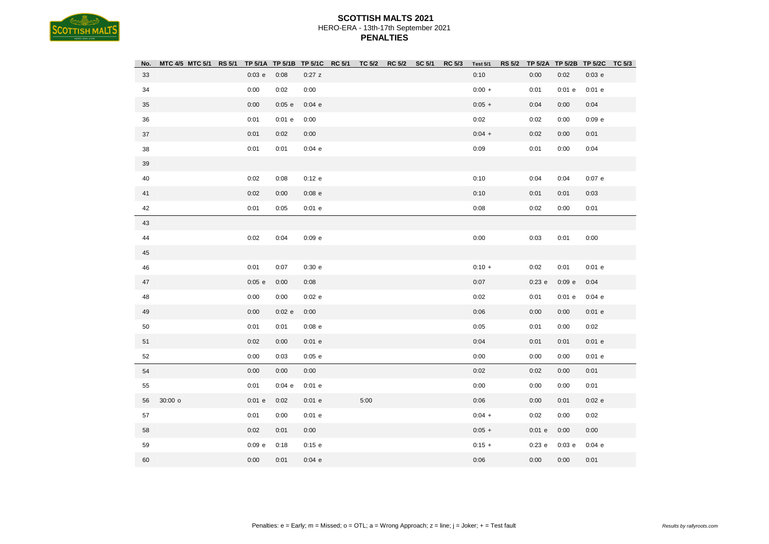| No.    | MTC 4/5 MTC 5/1 RS 5/1 TP 5/1A TP 5/1B TP 5/1C RC 5/1 TC 5/2 RC 5/2 SC 5/1 RC 5/3 |          |          |          |      |  | <b>Test 5/1</b> |          |          | RS 5/2 TP 5/2A TP 5/2B TP 5/2C TC 5/3 |  |
|--------|-----------------------------------------------------------------------------------|----------|----------|----------|------|--|-----------------|----------|----------|---------------------------------------|--|
| 33     |                                                                                   | 0:03 e   | 0:08     | 0:27z    |      |  | 0:10            | 0:00     | 0:02     | 0:03 e                                |  |
| $34\,$ |                                                                                   | 0:00     | 0:02     | 0:00     |      |  | $0:00 +$        | 0:01     | 0:01e    | 0:01e                                 |  |
| $35\,$ |                                                                                   | 0:00     | 0:05 e   | 0:04 e   |      |  | $0:05 +$        | 0:04     | 0:00     | 0:04                                  |  |
| $36\,$ |                                                                                   | 0:01     | $0:01$ e | 0:00     |      |  | 0:02            | 0:02     | 0:00     | 0:09e                                 |  |
| 37     |                                                                                   | 0:01     | 0:02     | 0:00     |      |  | $0:04 +$        | 0:02     | 0:00     | 0:01                                  |  |
| 38     |                                                                                   | 0:01     | 0:01     | 0:04 e   |      |  | 0:09            | 0:01     | 0:00     | 0:04                                  |  |
| 39     |                                                                                   |          |          |          |      |  |                 |          |          |                                       |  |
| 40     |                                                                                   | 0:02     | 0:08     | 0:12 e   |      |  | 0:10            | 0:04     | 0:04     | 0:07e                                 |  |
| 41     |                                                                                   | 0:02     | 0:00     | $0:08$ e |      |  | 0:10            | 0:01     | 0:01     | 0:03                                  |  |
| 42     |                                                                                   | 0:01     | 0:05     | 0:01 e   |      |  | 0:08            | 0:02     | 0:00     | 0:01                                  |  |
| 43     |                                                                                   |          |          |          |      |  |                 |          |          |                                       |  |
| 44     |                                                                                   | 0:02     | 0:04     | $0:09$ e |      |  | 0:00            | 0:03     | 0:01     | 0:00                                  |  |
| 45     |                                                                                   |          |          |          |      |  |                 |          |          |                                       |  |
| 46     |                                                                                   | 0:01     | 0:07     | 0:30e    |      |  | $0:10 +$        | 0:02     | 0:01     | $0:01$ e                              |  |
| 47     |                                                                                   | 0:05 e   | 0:00     | 0:08     |      |  | 0:07            | 0:23e    | 0:09e    | 0:04                                  |  |
| 48     |                                                                                   | 0:00     | 0:00     | 0:02 e   |      |  | 0:02            | 0:01     | $0:01$ e | 0:04 e                                |  |
| 49     |                                                                                   | 0:00     | $0:02$ e | 0:00     |      |  | 0:06            | 0:00     | 0:00     | $0:01$ e                              |  |
| $50\,$ |                                                                                   | 0:01     | 0:01     | $0:08$ e |      |  | 0:05            | 0:01     | 0:00     | 0:02                                  |  |
| 51     |                                                                                   | 0:02     | 0:00     | $0:01$ e |      |  | 0:04            | 0:01     | 0:01     | $0:01$ e                              |  |
| 52     |                                                                                   | 0:00     | 0:03     | 0:05 e   |      |  | 0:00            | 0:00     | 0:00     | 0:01 e                                |  |
| 54     |                                                                                   | 0:00     | 0:00     | 0:00     |      |  | 0:02            | 0:02     | 0:00     | 0:01                                  |  |
| 55     |                                                                                   | 0:01     | 0:04 e   | 0:01 e   |      |  | 0:00            | 0:00     | 0:00     | 0:01                                  |  |
| 56     | 30:00 o                                                                           | $0:01$ e | 0:02     | 0:01 e   | 5:00 |  | 0:06            | 0:00     | 0:01     | $0:02$ e                              |  |
| 57     |                                                                                   | 0:01     | 0:00     | $0:01$ e |      |  | $0:04 +$        | 0:02     | 0:00     | 0:02                                  |  |
| 58     |                                                                                   | 0:02     | 0:01     | 0:00     |      |  | $0:05 +$        | $0:01$ e | 0:00     | 0:00                                  |  |
| 59     |                                                                                   | 0:09e    | 0:18     | 0:15 e   |      |  | $0:15 +$        | 0:23 e   | 0:03 e   | 0:04 e                                |  |
| 60     |                                                                                   | 0:00     | 0:01     | 0:04e    |      |  | 0:06            | 0:00     | 0:00     | 0:01                                  |  |
|        |                                                                                   |          |          |          |      |  |                 |          |          |                                       |  |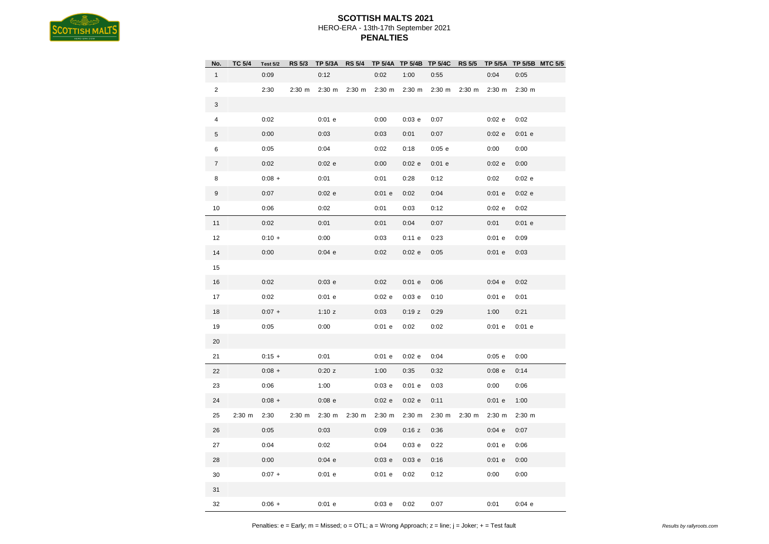

| No.            | TC 5/4      | <b>Test 5/2</b> | RS 5/3      | <b>TP 5/3A</b> |             |             |             | RS 5/4 TP 5/4A TP 5/4B TP 5/4C | <b>RS 5/5</b> |             | TP 5/5A TP 5/5B MTC 5/5 |  |
|----------------|-------------|-----------------|-------------|----------------|-------------|-------------|-------------|--------------------------------|---------------|-------------|-------------------------|--|
| $\mathbf{1}$   |             | 0:09            |             | 0:12           |             | 0:02        | 1:00        | 0:55                           |               | 0:04        | 0:05                    |  |
| $\overline{c}$ |             | 2:30            | $2:30 \; m$ | $2:30 \; m$    | $2:30 \; m$ | $2:30 \; m$ | $2:30 \; m$ | $2:30 \; m$                    | $2:30 \; m$   | $2:30 \; m$ | $2:30 \; m$             |  |
| 3              |             |                 |             |                |             |             |             |                                |               |             |                         |  |
| 4              |             | 0:02            |             | $0:01$ e       |             | 0:00        | 0:03 e      | 0:07                           |               | 0:02 e      | 0:02                    |  |
| 5              |             | 0:00            |             | 0:03           |             | 0:03        | 0:01        | 0:07                           |               | 0:02 e      | $0:01$ e                |  |
| 6              |             | 0:05            |             | 0:04           |             | 0:02        | 0:18        | $0:05$ e                       |               | 0:00        | 0:00                    |  |
| 7              |             | 0:02            |             | 0:02 e         |             | 0:00        | 0:02 e      | $0:01$ e                       |               | 0:02 e      | 0:00                    |  |
| 8              |             | $0:08 +$        |             | 0:01           |             | 0:01        | 0:28        | 0:12                           |               | 0:02        | $0:02$ e                |  |
| 9              |             | 0:07            |             | 0:02 e         |             | 0:01 e      | 0:02        | 0:04                           |               | 0:01 e      | 0:02 e                  |  |
| 10             |             | 0:06            |             | 0:02           |             | 0:01        | 0:03        | 0:12                           |               | 0:02 e      | 0:02                    |  |
| 11             |             | 0:02            |             | 0:01           |             | 0:01        | 0:04        | 0:07                           |               | 0:01        | $0:01$ e                |  |
| 12             |             | $0:10 +$        |             | 0:00           |             | 0:03        | 0:11 e      | 0:23                           |               | $0:01$ e    | 0:09                    |  |
| 14             |             | 0:00            |             | 0:04 e         |             | 0:02        | 0:02 e      | 0:05                           |               | 0:01 e      | 0:03                    |  |
| 15             |             |                 |             |                |             |             |             |                                |               |             |                         |  |
| 16             |             | 0:02            |             | 0:03 e         |             | 0:02        | $0:01$ e    | 0:06                           |               | 0:04 e      | 0:02                    |  |
| 17             |             | 0:02            |             | $0:01$ e       |             | 0:02 e      | 0:03 e      | 0:10                           |               | 0:01 e      | 0:01                    |  |
| 18             |             | $0:07 +$        |             | 1:10 $z$       |             | 0:03        | 0:19z       | 0:29                           |               | 1:00        | 0:21                    |  |
| 19             |             | 0:05            |             | 0:00           |             | 0:01 e      | 0:02        | 0:02                           |               | 0:01 e      | $0:01$ e                |  |
| 20             |             |                 |             |                |             |             |             |                                |               |             |                         |  |
| 21             |             | $0:15 +$        |             | 0:01           |             | 0:01 e      | 0:02 e      | 0:04                           |               | 0:05 e      | 0:00                    |  |
| 22             |             | $0:08 +$        |             | 0:20z          |             | 1:00        | 0:35        | 0:32                           |               | $0:08$ e    | 0:14                    |  |
| 23             |             | 0:06            |             | 1:00           |             | 0:03 e      | 0:01 e      | 0:03                           |               | 0:00        | 0:06                    |  |
| 24             |             | $0:08 +$        |             | $0:08$ e       |             | 0:02 e      | 0:02 e      | 0:11                           |               | $0:01$ e    | 1:00                    |  |
| 25             | $2:30 \; m$ | 2:30            | $2:30 \; m$ | $2:30 \; m$    | $2:30 \; m$ | $2:30 \; m$ | $2:30 \; m$ | $2:30 \; m$                    | $2:30 \; m$   | $2:30 \; m$ | $2:30 \; m$             |  |
| 26             |             | 0:05            |             | 0:03           |             | 0:09        | 0:16z       | 0:36                           |               | 0:04 e      | 0:07                    |  |
| 27             |             | 0:04            |             | 0:02           |             | 0:04        | 0:03 e      | 0:22                           |               | 0:01 e      | 0:06                    |  |
| 28             |             | 0:00            |             | 0:04 e         |             | 0:03 e      | $0:03$ e    | 0:16                           |               | $0:01$ e    | 0:00                    |  |
| 30             |             | $0:07 +$        |             | 0:01 e         |             | 0:01 e      | 0:02        | 0:12                           |               | 0:00        | 0:00                    |  |
| 31             |             |                 |             |                |             |             |             |                                |               |             |                         |  |
| 32             |             | $0:06 +$        |             | 0:01 e         |             | 0:03 e      | 0:02        | 0:07                           |               | 0:01        | 0:04 e                  |  |

Penalties: e = Early; m = Missed; o = OTL; a = Wrong Approach; z = line; j = Joker; + = Test fault *Pesalties: e = Early*; m = Missed; o = OTL; a = Wrong Approach; z = line; j = Joker; + = Test fault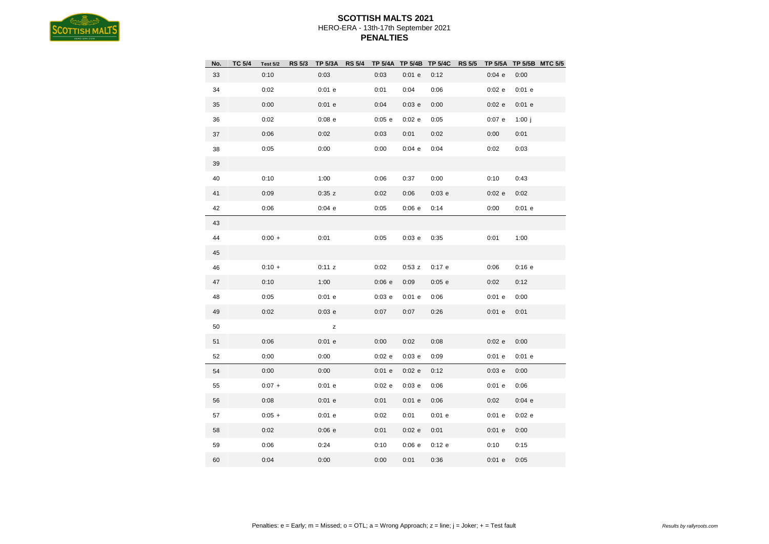

| No.    | <b>TC 5/4</b> | <b>Test 5/2</b> | <b>RS 5/3</b> | <b>TP 5/3A</b> | RS 5/4 TP 5/4A TP 5/4B TP 5/4C |          |          | <b>RS 5/5</b> | <b>TP 5/5A</b> |          | TP 5/5B MTC 5/5 |
|--------|---------------|-----------------|---------------|----------------|--------------------------------|----------|----------|---------------|----------------|----------|-----------------|
| 33     |               | 0:10            |               | 0:03           | 0:03                           | 0:01 e   | 0:12     |               | 0:04 e         | 0:00     |                 |
| 34     |               | 0:02            |               | $0:01$ e       | 0:01                           | 0:04     | 0:06     |               | 0:02e          | $0:01$ e |                 |
| 35     |               | 0:00            |               | $0:01$ e       | 0:04                           | 0:03 e   | 0:00     |               | $0:02$ e       | $0:01$ e |                 |
| 36     |               | 0:02            |               | $0:08$ e       | 0:05 e                         | 0:02 e   | 0:05     |               | 0:07e          | 1:00 $j$ |                 |
| 37     |               | 0:06            |               | 0:02           | 0:03                           | 0:01     | 0:02     |               | 0:00           | 0:01     |                 |
| 38     |               | 0:05            |               | 0:00           | 0:00                           | 0:04 e   | 0:04     |               | 0:02           | 0:03     |                 |
| 39     |               |                 |               |                |                                |          |          |               |                |          |                 |
| 40     |               | 0:10            |               | 1:00           | 0:06                           | 0:37     | 0:00     |               | 0:10           | 0:43     |                 |
| $41\,$ |               | 0:09            |               | 0:35z          | 0:02                           | 0:06     | $0:03$ e |               | $0:02$ e       | 0:02     |                 |
| 42     |               | 0:06            |               | 0:04 e         | 0:05                           | 0:06 e   | 0:14     |               | 0:00           | $0:01$ e |                 |
| 43     |               |                 |               |                |                                |          |          |               |                |          |                 |
| 44     |               | $0:00 +$        |               | 0:01           | 0:05                           | 0:03 e   | 0:35     |               | 0:01           | 1:00     |                 |
| 45     |               |                 |               |                |                                |          |          |               |                |          |                 |
| 46     |               | $0:10 +$        |               | 0:11 z         | 0:02                           | 0:53z    | 0:17e    |               | 0:06           | 0:16 e   |                 |
| 47     |               | 0:10            |               | 1:00           | 0:06 e                         | 0:09     | 0:05 e   |               | 0:02           | 0:12     |                 |
| 48     |               | 0:05            |               | $0:01$ e       | 0:03 e                         | $0:01$ e | 0:06     |               | 0:01 e         | 0:00     |                 |
| 49     |               | 0:02            |               | 0:03 e         | 0:07                           | 0:07     | 0:26     |               | $0:01$ e       | 0:01     |                 |
| 50     |               |                 |               | z              |                                |          |          |               |                |          |                 |
| 51     |               | 0:06            |               | $0:01$ e       | 0:00                           | 0:02     | 0:08     |               | 0:02 e         | 0:00     |                 |
| 52     |               | 0:00            |               | 0:00           | 0:02 e                         | 0:03 e   | 0:09     |               | 0:01 e         | 0:01 e   |                 |
| 54     |               | 0:00            |               | 0:00           | $0:01$ e                       | 0:02 e   | 0:12     |               | 0:03 e         | 0:00     |                 |
| 55     |               | $0:07 +$        |               | $0:01$ e       | 0:02e                          | 0:03 e   | 0:06     |               | 0:01 e         | 0:06     |                 |
| 56     |               | 0:08            |               | $0:01$ e       | 0:01                           | $0:01$ e | 0:06     |               | 0:02           | 0:04 e   |                 |
| 57     |               | $0:05 +$        |               | $0:01$ e       | 0:02                           | 0:01     | $0:01$ e |               | 0:01 e         | 0:02e    |                 |
| 58     |               | 0:02            |               | 0:06 e         | 0:01                           | 0:02 e   | 0:01     |               | $0:01$ e       | 0:00     |                 |
| 59     |               | 0:06            |               | 0:24           | 0:10                           | 0:06e    | 0:12 e   |               | 0:10           | 0:15     |                 |
| 60     |               | 0:04            |               | 0:00           | 0:00                           | 0:01     | 0:36     |               | $0:01$ e       | 0:05     |                 |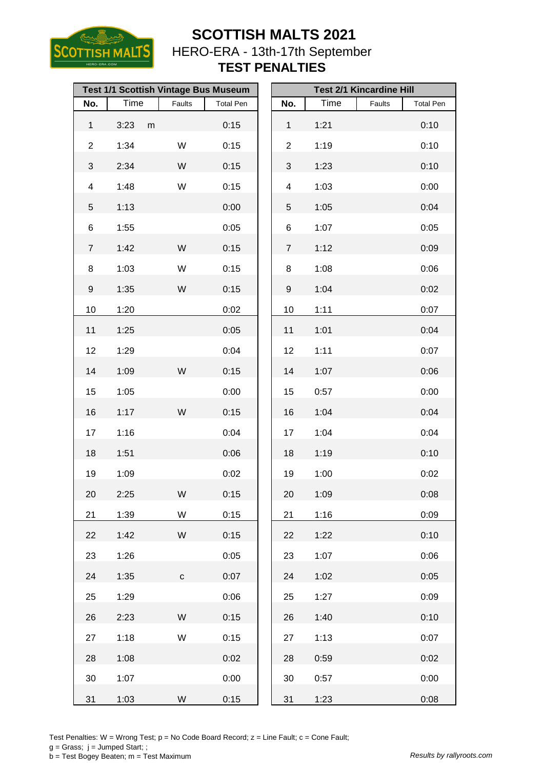

**TEST PENALTIES**

|                           | <b>Test 1/1 Scottish Vintage Bus Museum</b> |              |                  |                |      | <b>Test 2/1 Kincardine Hill</b> |                  |
|---------------------------|---------------------------------------------|--------------|------------------|----------------|------|---------------------------------|------------------|
| No.                       | Time                                        | Faults       | <b>Total Pen</b> | No.            | Time | Faults                          | <b>Total Pen</b> |
| $\mathbf{1}$              | 3:23<br>m                                   |              | 0:15             | $\mathbf{1}$   | 1:21 |                                 | 0:10             |
| $\overline{2}$            | 1:34                                        | W            | 0:15             | $\overline{c}$ | 1:19 |                                 | 0:10             |
| $\ensuremath{\mathsf{3}}$ | 2:34                                        | W            | 0:15             | 3              | 1:23 |                                 | 0:10             |
| 4                         | 1:48                                        | W            | 0:15             | 4              | 1:03 |                                 | 0:00             |
| 5                         | 1:13                                        |              | 0:00             | 5              | 1:05 |                                 | 0:04             |
| 6                         | 1:55                                        |              | 0:05             | 6              | 1:07 |                                 | 0:05             |
| $\overline{7}$            | 1:42                                        | W            | 0:15             | $\overline{7}$ | 1:12 |                                 | 0:09             |
| 8                         | 1:03                                        | W            | 0:15             | 8              | 1:08 |                                 | 0:06             |
| $\boldsymbol{9}$          | 1:35                                        | W            | 0:15             | 9              | 1:04 |                                 | 0:02             |
| 10                        | 1:20                                        |              | 0:02             | 10             | 1:11 |                                 | 0:07             |
| 11                        | 1:25                                        |              | 0:05             | 11             | 1:01 |                                 | 0:04             |
| 12                        | 1:29                                        |              | 0:04             | 12             | 1:11 |                                 | 0:07             |
| 14                        | 1:09                                        | W            | 0:15             | 14             | 1:07 |                                 | 0:06             |
| 15                        | 1:05                                        |              | 0:00             | 15             | 0:57 |                                 | 0:00             |
| 16                        | 1:17                                        | W            | 0:15             | 16             | 1:04 |                                 | 0:04             |
| 17                        | 1:16                                        |              | 0:04             | 17             | 1:04 |                                 | 0:04             |
| 18                        | 1:51                                        |              | 0:06             | 18             | 1:19 |                                 | 0:10             |
| 19                        | 1:09                                        |              | 0:02             | 19             | 1:00 |                                 | 0:02             |
| 20                        | 2:25                                        | W            | 0:15             | 20             | 1:09 |                                 | 0:08             |
| 21                        | 1:39                                        | W            | 0:15             | 21             | 1:16 |                                 | 0:09             |
| 22                        | 1:42                                        | W            | 0:15             | 22             | 1:22 |                                 | 0:10             |
| 23                        | 1:26                                        |              | 0:05             | 23             | 1:07 |                                 | 0:06             |
| 24                        | 1:35                                        | $\mathbf{C}$ | 0:07             | 24             | 1:02 |                                 | 0:05             |
| 25                        | 1:29                                        |              | 0:06             | 25             | 1:27 |                                 | 0:09             |
| 26                        | 2:23                                        | W            | 0:15             | 26             | 1:40 |                                 | 0:10             |
| 27                        | 1:18                                        | W            | 0:15             | 27             | 1:13 |                                 | 0:07             |
| 28                        | 1:08                                        |              | 0:02             | 28             | 0:59 |                                 | 0:02             |
| 30                        | 1:07                                        |              | 0:00             | 30             | 0:57 |                                 | 0:00             |
| 31                        | 1:03                                        | W            | 0:15             | 31             | 1:23 |                                 | 0:08             |

|                |      | <b>Test 2/1 Kincardine Hill</b> |                  |
|----------------|------|---------------------------------|------------------|
| No.            | Time | Faults                          | <b>Total Pen</b> |
| 1              | 1:21 |                                 | 0:10             |
| 2              | 1:19 |                                 | 0:10             |
| 3              | 1:23 |                                 | 0:10             |
| 4              | 1:03 |                                 | 0:00             |
| 5              | 1:05 |                                 | 0:04             |
| 6              | 1:07 |                                 | 0:05             |
| $\overline{7}$ | 1:12 |                                 | 0:09             |
| 8              | 1:08 |                                 | 0:06             |
| 9              | 1:04 |                                 | 0:02             |
| 10             | 1:11 |                                 | 0:07             |
| 11             | 1:01 |                                 | 0:04             |
| 12             | 1:11 |                                 | 0:07             |
| 14             | 1:07 |                                 | 0:06             |
| 15             | 0:57 |                                 | 0:00             |
| 16             | 1:04 |                                 | 0:04             |
| 17             | 1:04 |                                 | 0:04             |
| 18             | 1:19 |                                 | 0:10             |
| 19             | 1:00 |                                 | 0:02             |
| 20             | 1:09 |                                 | 0:08             |
| 21             | 1:16 |                                 | 0:09             |
| 22             | 1:22 |                                 | 0:10             |
| 23             | 1:07 |                                 | 0:06             |
| 24             | 1:02 |                                 | 0:05             |
| 25             | 1:27 |                                 | 0:09             |
| 26             | 1:40 |                                 | 0:10             |
| 27             | 1:13 |                                 | 0:07             |
| 28             | 0:59 |                                 | 0:02             |
| 30             | 0:57 |                                 | 0:00             |
| 31             | 1:23 |                                 | 0:08             |

Test Penalties: W = Wrong Test;  $p = No Code Board Record; z = Line Faul; c = Cone Faul;$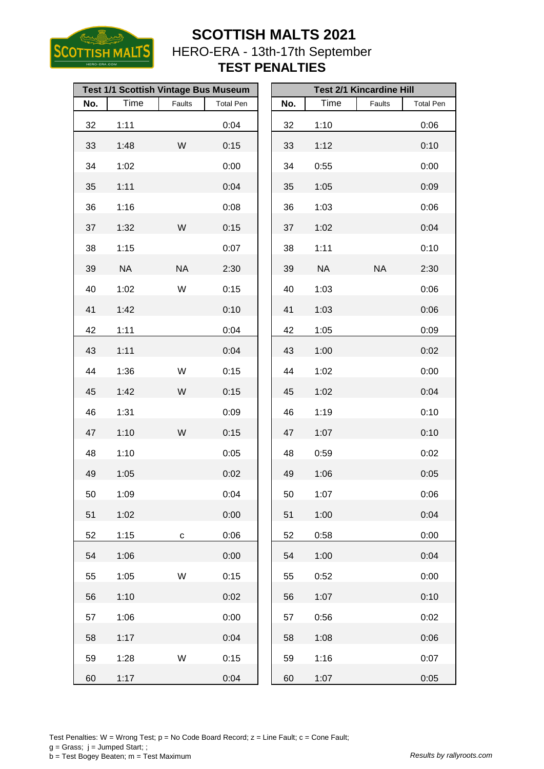

**TEST PENALTIES**

|     | Test 1/1 Scottish Vintage Bus Museum |              |                  | <b>Test 2/1 Kincardine Hill</b> |     |           |           |                  |
|-----|--------------------------------------|--------------|------------------|---------------------------------|-----|-----------|-----------|------------------|
| No. | Time                                 | Faults       | <b>Total Pen</b> |                                 | No. | Time      | Faults    | <b>Total Pen</b> |
| 32  | 1:11                                 |              | 0:04             |                                 | 32  | 1:10      |           | 0:06             |
| 33  | 1:48                                 | W            | 0:15             |                                 | 33  | 1:12      |           | 0:10             |
| 34  | 1:02                                 |              | 0:00             |                                 | 34  | 0:55      |           | 0:00             |
| 35  | 1:11                                 |              | 0:04             |                                 | 35  | 1:05      |           | 0:09             |
| 36  | 1:16                                 |              | 0:08             |                                 | 36  | 1:03      |           | 0:06             |
| 37  | 1:32                                 | W            | 0:15             |                                 | 37  | 1:02      |           | 0:04             |
| 38  | 1:15                                 |              | 0:07             |                                 | 38  | 1:11      |           | 0:10             |
| 39  | <b>NA</b>                            | <b>NA</b>    | 2:30             |                                 | 39  | <b>NA</b> | <b>NA</b> | 2:30             |
| 40  | 1:02                                 | W            | 0:15             |                                 | 40  | 1:03      |           | 0:06             |
| 41  | 1:42                                 |              | 0:10             |                                 | 41  | 1:03      |           | 0:06             |
| 42  | 1:11                                 |              | 0:04             |                                 | 42  | 1:05      |           | 0:09             |
| 43  | 1:11                                 |              | 0:04             |                                 | 43  | 1:00      |           | 0:02             |
| 44  | 1:36                                 | W            | 0:15             |                                 | 44  | 1:02      |           | 0:00             |
| 45  | 1:42                                 | W            | 0:15             |                                 | 45  | 1:02      |           | 0:04             |
| 46  | 1:31                                 |              | 0:09             |                                 | 46  | 1:19      |           | 0:10             |
| 47  | 1:10                                 | W            | 0:15             |                                 | 47  | 1:07      |           | 0:10             |
| 48  | 1:10                                 |              | 0:05             |                                 | 48  | 0:59      |           | 0:02             |
| 49  | 1:05                                 |              | 0:02             |                                 | 49  | 1:06      |           | 0:05             |
| 50  | 1:09                                 |              | 0:04             |                                 | 50  | 1:07      |           | 0:06             |
| 51  | 1:02                                 |              | 0:00             |                                 | 51  | 1:00      |           | 0:04             |
| 52  | 1:15                                 | $\mathtt{C}$ | 0:06             |                                 | 52  | 0:58      |           | 0:00             |
| 54  | 1:06                                 |              | 0:00             |                                 | 54  | 1:00      |           | 0:04             |
| 55  | 1:05                                 | W            | 0:15             |                                 | 55  | 0:52      |           | 0:00             |
| 56  | 1:10                                 |              | 0:02             |                                 | 56  | 1:07      |           | 0:10             |
| 57  | 1:06                                 |              | 0:00             |                                 | 57  | 0:56      |           | 0:02             |
| 58  | 1:17                                 |              | 0:04             |                                 | 58  | 1:08      |           | 0:06             |
| 59  | 1:28                                 | W            | 0:15             |                                 | 59  | 1:16      |           | 0:07             |
| 60  | 1:17                                 |              | 0:04             |                                 | 60  | 1:07      |           | 0:05             |

|     |           | <b>Test 2/1 Kincardine Hill</b> |                  |
|-----|-----------|---------------------------------|------------------|
| No. | Time      | Faults                          | <b>Total Pen</b> |
| 32  | 1:10      |                                 | 0:06             |
| 33  | 1:12      |                                 | 0:10             |
| 34  | 0:55      |                                 | 0:00             |
| 35  | 1:05      |                                 | 0:09             |
| 36  | 1:03      |                                 | 0:06             |
| 37  | 1:02      |                                 | 0:04             |
| 38  | 1:11      |                                 | 0:10             |
| 39  | <b>NA</b> | <b>NA</b>                       | 2:30             |
| 40  | 1:03      |                                 | 0:06             |
| 41  | 1:03      |                                 | 0:06             |
| 42  | 1:05      |                                 | 0:09             |
| 43  | 1:00      |                                 | 0:02             |
| 44  | 1:02      |                                 | 0:00             |
| 45  | 1:02      |                                 | 0:04             |
| 46  | 1:19      |                                 | 0:10             |
| 47  | 1:07      |                                 | 0:10             |
| 48  | 0:59      |                                 | 0:02             |
| 49  | 1:06      |                                 | 0:05             |
| 50  | 1:07      |                                 | 0:06             |
| 51  | 1:00      |                                 | 0:04             |
| 52  | 0:58      |                                 | 0:00             |
| 54  | 1:00      |                                 | 0:04             |
| 55  | 0:52      |                                 | 0:00             |
| 56  | 1:07      |                                 | 0:10             |
| 57  | 0:56      |                                 | 0:02             |
| 58  | 1:08      |                                 | 0:06             |
| 59  | 1:16      |                                 | 0:07             |
| GΩ  | 1.07      |                                 | ∩∙∩⊼             |

Test Penalties: W = Wrong Test;  $p = No Code Board Record; z = Line Faul; c = Cone Faul;$  $g =$  Grass;  $j =$  Jumped Start; ; b = Test Bogey Beaten; m = Test Maximum *Results by rallyroots.com*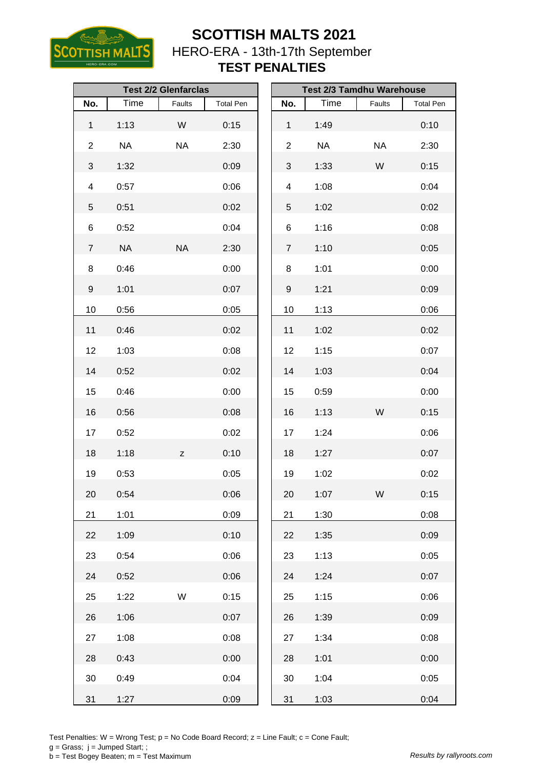

HERO-ERA - 13th-17th September **TEST PENALTIES**

|                  |           | <b>Test 2/2 Glenfarclas</b> |                  |                  |           | <b>Test 2/3 Tamdhu Warehouse</b> |                  |
|------------------|-----------|-----------------------------|------------------|------------------|-----------|----------------------------------|------------------|
| No.              | Time      | Faults                      | <b>Total Pen</b> | No.              | Time      | Faults                           | <b>Total Pen</b> |
| $\mathbf{1}$     | 1:13      | W                           | 0:15             | $\mathbf 1$      | 1:49      |                                  | 0:10             |
| $\overline{2}$   | <b>NA</b> | <b>NA</b>                   | 2:30             | $\overline{2}$   | <b>NA</b> | <b>NA</b>                        | 2:30             |
| $\sqrt{3}$       | 1:32      |                             | 0:09             | $\sqrt{3}$       | 1:33      | W                                | 0:15             |
| 4                | 0:57      |                             | 0:06             | 4                | 1:08      |                                  | 0:04             |
| 5                | 0:51      |                             | 0:02             | 5                | 1:02      |                                  | 0:02             |
| 6                | 0:52      |                             | 0:04             | 6                | 1:16      |                                  | 0:08             |
| $\overline{7}$   | <b>NA</b> | <b>NA</b>                   | 2:30             | $\boldsymbol{7}$ | 1:10      |                                  | 0:05             |
| 8                | 0:46      |                             | 0:00             | 8                | 1:01      |                                  | 0:00             |
| $\boldsymbol{9}$ | 1:01      |                             | 0:07             | $\mathsf g$      | 1:21      |                                  | 0:09             |
| 10               | 0:56      |                             | 0:05             | 10               | 1:13      |                                  | 0:06             |
| 11               | 0:46      |                             | 0:02             | 11               | 1:02      |                                  | 0:02             |
| 12               | 1:03      |                             | 0:08             | 12               | 1:15      |                                  | 0:07             |
| 14               | 0:52      |                             | 0:02             | 14               | 1:03      |                                  | 0:04             |
| 15               | 0:46      |                             | 0:00             | 15               | 0:59      |                                  | 0:00             |
| 16               | 0:56      |                             | 0:08             | 16               | 1:13      | W                                | 0:15             |
| 17               | 0:52      |                             | 0:02             | 17               | 1:24      |                                  | 0:06             |
| 18               | 1:18      | z                           | 0:10             | 18               | 1:27      |                                  | 0:07             |
| 19               | 0:53      |                             | 0:05             | 19               | 1:02      |                                  | 0:02             |
| 20               | 0:54      |                             | 0:06             | 20               | 1:07      | W                                | 0:15             |
| 21               | 1:01      |                             | 0:09             | 21               | 1:30      |                                  | 0:08             |
| 22               | 1:09      |                             | 0:10             | 22               | 1:35      |                                  | 0:09             |
| 23               | 0:54      |                             | 0:06             | 23               | 1:13      |                                  | 0:05             |
| 24               | 0:52      |                             | 0:06             | 24               | 1:24      |                                  | 0:07             |
| 25               | 1:22      | W                           | 0:15             | 25               | 1:15      |                                  | 0:06             |
| 26               | 1:06      |                             | 0:07             | 26               | 1:39      |                                  | 0:09             |
| 27               | 1:08      |                             | 0:08             | 27               | 1:34      |                                  | 0:08             |
| 28               | 0:43      |                             | 0:00             | 28               | 1:01      |                                  | 0:00             |
| 30               | 0:49      |                             | 0:04             | 30               | 1:04      |                                  | 0:05             |
| 31               | 1:27      |                             | 0:09             | 31               | 1:03      |                                  | 0:04             |
|                  |           |                             |                  |                  |           |                                  |                  |

|                |           | <b>Test 2/3 Tamdhu Warehouse</b> |                  |
|----------------|-----------|----------------------------------|------------------|
| No.            | Time      | <b>Faults</b>                    | <b>Total Pen</b> |
| 1              | 1:49      |                                  | 0:10             |
| $\overline{2}$ | <b>NA</b> | <b>NA</b>                        | 2:30             |
| 3              | 1:33      | W                                | 0:15             |
| 4              | 1:08      |                                  | 0:04             |
| 5              | 1:02      |                                  | 0:02             |
| 6              | 1:16      |                                  | 0:08             |
| $\overline{7}$ | 1:10      |                                  | 0:05             |
| 8              | 1:01      |                                  | 0:00             |
| 9              | 1:21      |                                  | 0:09             |
| 10             | 1:13      |                                  | 0:06             |
| 11             | 1:02      |                                  | 0:02             |
| 12             | 1:15      |                                  | 0:07             |
| 14             | 1:03      |                                  | 0:04             |
| 15             | 0:59      |                                  | 0:00             |
| 16             | 1:13      | W                                | 0:15             |
| 17             | 1:24      |                                  | 0:06             |
| 18             | 1:27      |                                  | 0:07             |
| 19             | 1:02      |                                  | 0:02             |
| 20             | 1:07      | W                                | 0:15             |
| 21             | 1:30      |                                  | 0:08             |
| 22             | 1:35      |                                  | 0:09             |
| 23             | 1:13      |                                  | 0:05             |
| 24             | 1:24      |                                  | 0:07             |
| 25             | 1:15      |                                  | 0:06             |
| 26             | 1:39      |                                  | 0:09             |
| 27             | 1:34      |                                  | 0:08             |
| 28             | 1:01      |                                  | 0:00             |
| 30             | 1:04      |                                  | 0:05             |
| 31             | 1:03      |                                  | 0:04             |

Test Penalties: W = Wrong Test;  $p = No Code Board Record; z = Line Faul; c = Cone Faul;$ 

 $g =$  Grass;  $j =$  Jumped Start; ;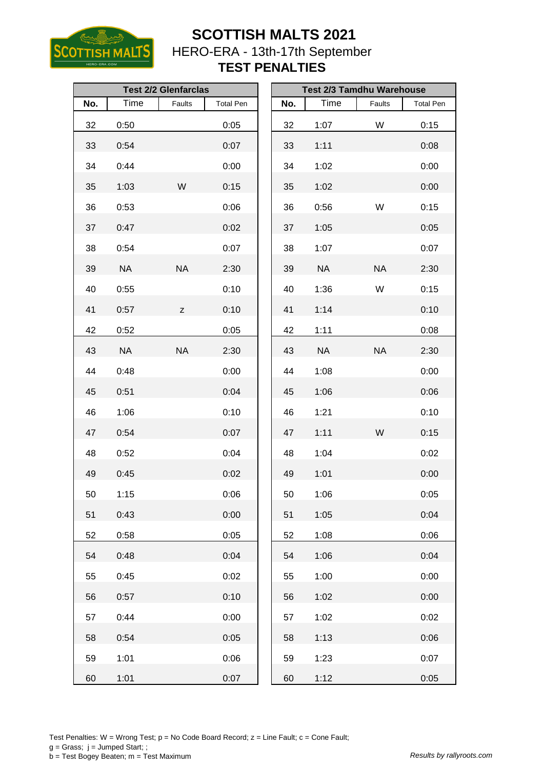

**TEST PENALTIES**

|     |           | <b>Test 2/2 Glenfarclas</b> |                  | <b>Test 2/3 Tamdhu Warehouse</b> |     |           |           |                  |
|-----|-----------|-----------------------------|------------------|----------------------------------|-----|-----------|-----------|------------------|
| No. | Time      | Faults                      | <b>Total Pen</b> |                                  | No. | Time      | Faults    | <b>Total Pen</b> |
| 32  | 0:50      |                             | 0:05             |                                  | 32  | 1:07      | W         | 0:15             |
| 33  | 0:54      |                             | 0:07             |                                  | 33  | 1:11      |           | 0:08             |
| 34  | 0:44      |                             | 0:00             |                                  | 34  | 1:02      |           | 0:00             |
| 35  | 1:03      | W                           | 0:15             |                                  | 35  | 1:02      |           | 0:00             |
| 36  | 0:53      |                             | 0:06             |                                  | 36  | 0:56      | W         | 0:15             |
| 37  | 0:47      |                             | 0:02             |                                  | 37  | 1:05      |           | 0:05             |
| 38  | 0:54      |                             | 0:07             |                                  | 38  | 1:07      |           | 0:07             |
| 39  | <b>NA</b> | <b>NA</b>                   | 2:30             |                                  | 39  | <b>NA</b> | <b>NA</b> | 2:30             |
| 40  | 0:55      |                             | 0:10             |                                  | 40  | 1:36      | W         | 0:15             |
| 41  | 0:57      | Z                           | 0:10             |                                  | 41  | 1:14      |           | 0:10             |
| 42  | 0:52      |                             | 0:05             |                                  | 42  | 1:11      |           | 0:08             |
| 43  | <b>NA</b> | <b>NA</b>                   | 2:30             |                                  | 43  | <b>NA</b> | <b>NA</b> | 2:30             |
| 44  | 0:48      |                             | 0:00             |                                  | 44  | 1:08      |           | 0:00             |
| 45  | 0:51      |                             | 0:04             |                                  | 45  | 1:06      |           | 0:06             |
| 46  | 1:06      |                             | 0:10             |                                  | 46  | 1:21      |           | 0:10             |
| 47  | 0:54      |                             | 0:07             |                                  | 47  | 1:11      | W         | 0:15             |
| 48  | 0:52      |                             | 0:04             |                                  | 48  | 1:04      |           | 0:02             |
| 49  | 0:45      |                             | 0:02             |                                  | 49  | 1:01      |           | 0:00             |
| 50  | 1:15      |                             | 0:06             |                                  | 50  | 1:06      |           | 0:05             |
| 51  | 0:43      |                             | 0:00             |                                  | 51  | 1:05      |           | 0:04             |
| 52  | 0:58      |                             | 0:05             |                                  | 52  | 1:08      |           | 0:06             |
| 54  | 0:48      |                             | 0:04             |                                  | 54  | 1:06      |           | 0:04             |
| 55  | 0:45      |                             | 0:02             |                                  | 55  | 1:00      |           | 0:00             |
| 56  | 0:57      |                             | 0:10             |                                  | 56  | 1:02      |           | 0:00             |
| 57  | 0:44      |                             | 0:00             |                                  | 57  | 1:02      |           | 0:02             |
| 58  | 0:54      |                             | 0:05             |                                  | 58  | 1:13      |           | 0:06             |
| 59  | 1:01      |                             | 0:06             |                                  | 59  | 1:23      |           | 0:07             |
| 60  | 1:01      |                             | 0:07             |                                  | 60  | 1:12      |           | 0:05             |

|     | Test 2/3 Tamdhu Warehouse |           |                  |
|-----|---------------------------|-----------|------------------|
| No. | Time                      | Faults    | <b>Total Pen</b> |
| 32  | 1:07                      | W         | 0:15             |
| 33  | 1:11                      |           | 0:08             |
| 34  | 1:02                      |           | 0:00             |
| 35  | 1:02                      |           | 0:00             |
| 36  | 0:56                      | W         | 0:15             |
| 37  | 1:05                      |           | 0:05             |
| 38  | 1:07                      |           | 0:07             |
| 39  | <b>NA</b>                 | <b>NA</b> | 2:30             |
| 40  | 1:36                      | W         | 0:15             |
| 41  | 1:14                      |           | 0:10             |
| 42  | 1:11                      |           | 0:08             |
| 43  | <b>NA</b>                 | <b>NA</b> | 2:30             |
| 44  | 1:08                      |           | 0:00             |
| 45  | 1:06                      |           | 0:06             |
| 46  | 1:21                      |           | 0:10             |
| 47  | 1:11                      | W         | 0:15             |
| 48  | 1:04                      |           | 0:02             |
| 49  | 1:01                      |           | 0:00             |
| 50  | 1:06                      |           | 0:05             |
| 51  | 1:05                      |           | 0:04             |
| 52  | 1:08                      |           | 0:06             |
| 54  | 1:06                      |           | 0:04             |
| 55  | 1:00                      |           | 0:00             |
| 56  | 1:02                      |           | 0:00             |
| 57  | 1:02                      |           | 0:02             |
| 58  | 1:13                      |           | 0:06             |
| 59  | 1:23                      |           | 0:07             |
| 60  | 1.12                      |           | 0.05             |

Test Penalties: W = Wrong Test;  $p = No Code Board Record; z = Line Faul; c = Cone Faul;$  $g =$  Grass;  $j =$  Jumped Start; ; b = Test Bogey Beaten; m = Test Maximum *Results by rallyroots.com*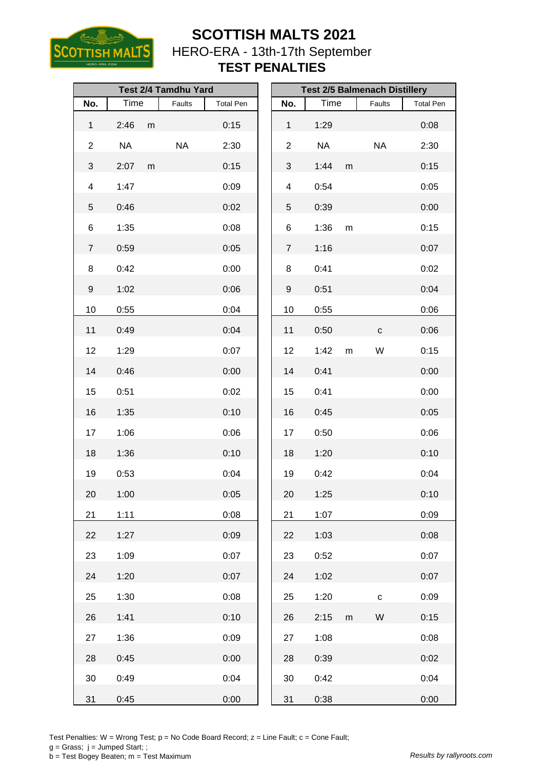

HERO-ERA - 13th-17th September **TEST PENALTIES**

|                  |                   | <b>Test 2/4 Tamdhu Yard</b> |                  | <b>Test 2/5 Balmenach Distillery</b> |           |           |              |                  |
|------------------|-------------------|-----------------------------|------------------|--------------------------------------|-----------|-----------|--------------|------------------|
| No.              | Time              | Faults                      | <b>Total Pen</b> | No.                                  | Time      |           | Faults       | <b>Total Pen</b> |
| $\mathbf{1}$     | 2:46<br>${\sf m}$ |                             | 0:15             | $\mathbf 1$                          | 1:29      |           |              | 0:08             |
| $\overline{c}$   | <b>NA</b>         | <b>NA</b>                   | 2:30             | $\overline{2}$                       | <b>NA</b> |           | <b>NA</b>    | 2:30             |
| $\mathfrak{S}$   | 2:07<br>${\sf m}$ |                             | 0:15             | $\ensuremath{\mathsf{3}}$            | 1:44      | ${\sf m}$ |              | 0:15             |
| 4                | 1:47              |                             | 0:09             | 4                                    | 0:54      |           |              | 0:05             |
| 5                | 0:46              |                             | 0:02             | 5                                    | 0:39      |           |              | 0:00             |
| 6                | 1:35              |                             | 0:08             | 6                                    | 1:36      | ${\sf m}$ |              | 0:15             |
| $\overline{7}$   | 0:59              |                             | 0:05             | $\boldsymbol{7}$                     | 1:16      |           |              | 0:07             |
| 8                | 0:42              |                             | 0:00             | 8                                    | 0:41      |           |              | 0:02             |
| $\boldsymbol{9}$ | 1:02              |                             | 0:06             | $\mathsf g$                          | 0:51      |           |              | 0:04             |
| 10               | 0:55              |                             | 0:04             | 10                                   | 0:55      |           |              | 0:06             |
| 11               | 0:49              |                             | 0:04             | 11                                   | 0:50      |           | ${\bf C}$    | 0:06             |
| 12               | 1:29              |                             | 0:07             | 12                                   | 1:42      | ${\sf m}$ | W            | 0:15             |
| 14               | 0:46              |                             | 0:00             | 14                                   | 0:41      |           |              | 0:00             |
| 15               | 0:51              |                             | 0:02             | 15                                   | 0:41      |           |              | 0:00             |
| 16               | 1:35              |                             | 0:10             | 16                                   | 0:45      |           |              | 0:05             |
| 17               | 1:06              |                             | 0:06             | 17                                   | 0:50      |           |              | 0:06             |
| 18               | 1:36              |                             | 0:10             | 18                                   | 1:20      |           |              | 0:10             |
| 19               | 0:53              |                             | 0:04             | 19                                   | 0:42      |           |              | 0:04             |
| 20               | 1:00              |                             | 0:05             | 20                                   | 1:25      |           |              | 0:10             |
| 21               | 1:11              |                             | 0:08             | 21                                   | 1:07      |           |              | 0:09             |
| 22               | 1:27              |                             | 0:09             | 22                                   | 1:03      |           |              | 0:08             |
| 23               | 1:09              |                             | 0:07             | 23                                   | 0:52      |           |              | 0:07             |
| 24               | 1:20              |                             | 0:07             | 24                                   | 1:02      |           |              | 0:07             |
| 25               | 1:30              |                             | 0:08             | 25                                   | 1:20      |           | $\mathbf{C}$ | 0:09             |
| 26               | 1:41              |                             | 0:10             | 26                                   | 2:15      | ${\sf m}$ | W            | 0:15             |
| 27               | 1:36              |                             | 0:09             | 27                                   | 1:08      |           |              | 0:08             |
| 28               | 0:45              |                             | 0:00             | 28                                   | 0:39      |           |              | 0:02             |
| 30               | 0:49              |                             | 0:04             | 30                                   | 0:42      |           |              | 0:04             |
| 31               | 0:45              |                             | 0:00             | 31                                   | 0:38      |           |              | 0:00             |

| <b>Test 2/5 Balmenach Distillery</b> |           |   |               |                  |  |  |  |
|--------------------------------------|-----------|---|---------------|------------------|--|--|--|
| No.                                  | Time      |   | <b>Faults</b> | <b>Total Pen</b> |  |  |  |
| 1                                    | 1:29      |   |               | 0:08             |  |  |  |
| 2                                    | <b>NA</b> |   | <b>NA</b>     | 2:30             |  |  |  |
| 3                                    | 1:44      | m |               | 0:15             |  |  |  |
| $\overline{\mathbf{4}}$              | 0:54      |   |               | 0:05             |  |  |  |
| 5                                    | 0:39      |   |               | 0:00             |  |  |  |
| 6                                    | 1:36      | m |               | 0:15             |  |  |  |
| $\overline{7}$                       | 1:16      |   |               | 0:07             |  |  |  |
| 8                                    | 0:41      |   |               | 0:02             |  |  |  |
| 9                                    | 0:51      |   |               | 0:04             |  |  |  |
| 10                                   | 0:55      |   |               | 0:06             |  |  |  |
| 11                                   | 0:50      |   | С             | 0:06             |  |  |  |
| 12                                   | 1:42      | m | W             | 0:15             |  |  |  |
| 14                                   | 0:41      |   |               | 0:00             |  |  |  |
| 15                                   | 0:41      |   |               | 0:00             |  |  |  |
| 16                                   | 0:45      |   |               | 0:05             |  |  |  |
| 17                                   | 0:50      |   |               | 0:06             |  |  |  |
| 18                                   | 1:20      |   |               | 0:10             |  |  |  |
| 19                                   | 0:42      |   |               | 0:04             |  |  |  |
| 20                                   | 1:25      |   |               | 0:10             |  |  |  |
| 21                                   | 1:07      |   |               | 0:09             |  |  |  |
| 22                                   | 1:03      |   |               | 0:08             |  |  |  |
| 23                                   | 0:52      |   |               | 0:07             |  |  |  |
| 24                                   | 1:02      |   |               | 0:07             |  |  |  |
| 25                                   | 1:20      |   | C             | 0:09             |  |  |  |
| 26                                   | 2:15      | m | W             | 0:15             |  |  |  |
| 27                                   | 1:08      |   |               | 0:08             |  |  |  |
| 28                                   | 0:39      |   |               | 0:02             |  |  |  |
| 30                                   | 0:42      |   |               | 0:04             |  |  |  |
| 31                                   | 0:38      |   |               | 0:00             |  |  |  |

Test Penalties: W = Wrong Test;  $p = No Code Board Record; z = Line Faul; c = Cone Faul;$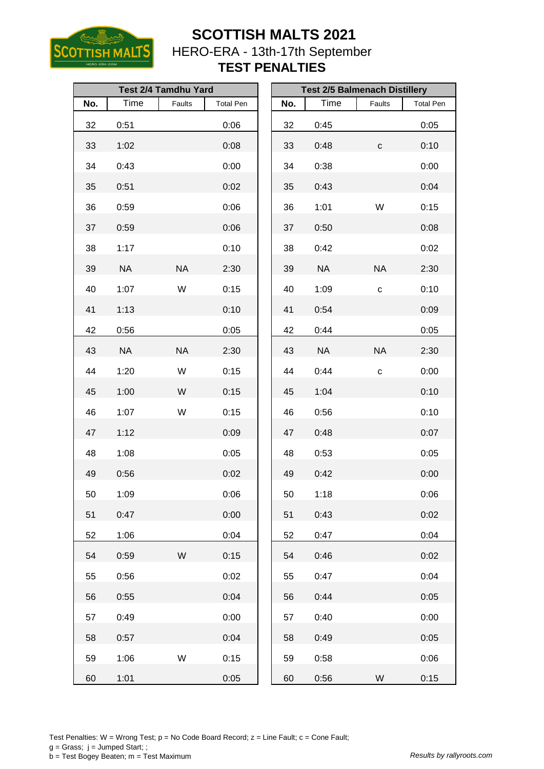

**TEST PENALTIES**

|     |           | <b>Test 2/4 Tamdhu Yard</b> |                  | <b>Test 2/5 Balmenach Distillery</b> |     |           |              |                  |
|-----|-----------|-----------------------------|------------------|--------------------------------------|-----|-----------|--------------|------------------|
| No. | Time      | Faults                      | <b>Total Pen</b> |                                      | No. | Time      | Faults       | <b>Total Pen</b> |
| 32  | 0:51      |                             | 0:06             |                                      | 32  | 0:45      |              | 0:05             |
| 33  | 1:02      |                             | 0:08             |                                      | 33  | 0:48      | $\mathtt{C}$ | 0:10             |
| 34  | 0:43      |                             | 0:00             |                                      | 34  | 0:38      |              | 0:00             |
| 35  | 0:51      |                             | 0:02             |                                      | 35  | 0:43      |              | 0:04             |
| 36  | 0:59      |                             | 0:06             |                                      | 36  | 1:01      | W            | 0:15             |
| 37  | 0:59      |                             | 0:06             |                                      | 37  | 0:50      |              | 0:08             |
| 38  | 1:17      |                             | 0:10             |                                      | 38  | 0:42      |              | 0:02             |
| 39  | <b>NA</b> | <b>NA</b>                   | 2:30             |                                      | 39  | <b>NA</b> | <b>NA</b>    | 2:30             |
| 40  | 1:07      | W                           | 0:15             |                                      | 40  | 1:09      | $\mathbf{C}$ | 0:10             |
| 41  | 1:13      |                             | 0:10             |                                      | 41  | 0:54      |              | 0:09             |
| 42  | 0:56      |                             | 0:05             |                                      | 42  | 0:44      |              | 0:05             |
| 43  | <b>NA</b> | <b>NA</b>                   | 2:30             |                                      | 43  | <b>NA</b> | <b>NA</b>    | 2:30             |
| 44  | 1:20      | W                           | 0:15             |                                      | 44  | 0:44      | $\mathbf{C}$ | 0:00             |
| 45  | 1:00      | W                           | 0:15             |                                      | 45  | 1:04      |              | 0:10             |
| 46  | 1:07      | W                           | 0:15             |                                      | 46  | 0:56      |              | 0:10             |
| 47  | 1:12      |                             | 0:09             |                                      | 47  | 0:48      |              | 0:07             |
| 48  | 1:08      |                             | 0:05             |                                      | 48  | 0:53      |              | 0:05             |
| 49  | 0:56      |                             | 0:02             |                                      | 49  | 0:42      |              | 0:00             |
| 50  | 1:09      |                             | 0:06             |                                      | 50  | 1:18      |              | 0:06             |
| 51  | 0:47      |                             | 0:00             |                                      | 51  | 0:43      |              | 0:02             |
| 52  | 1:06      |                             | 0:04             |                                      | 52  | 0:47      |              | 0:04             |
| 54  | 0:59      | W                           | 0:15             |                                      | 54  | 0:46      |              | 0:02             |
| 55  | 0:56      |                             | 0:02             |                                      | 55  | 0:47      |              | 0:04             |
| 56  | 0:55      |                             | 0:04             |                                      | 56  | 0:44      |              | 0:05             |
| 57  | 0:49      |                             | 0:00             |                                      | 57  | 0:40      |              | 0:00             |
| 58  | 0:57      |                             | 0:04             |                                      | 58  | 0:49      |              | 0:05             |
| 59  | 1:06      | W                           | 0:15             |                                      | 59  | 0:58      |              | 0:06             |
| 60  | 1:01      |                             | 0:05             |                                      | 60  | 0:56      | W            | 0:15             |

|     |             | <b>Test 2/5 Balmenach Distillery</b> |                  |
|-----|-------------|--------------------------------------|------------------|
| No. | <b>Time</b> | <b>Faults</b>                        | <b>Total Pen</b> |
| 32  | 0:45        |                                      | 0:05             |
| 33  | 0:48        | C                                    | 0:10             |
| 34  | 0:38        |                                      | 0:00             |
| 35  | 0:43        |                                      | 0:04             |
| 36  | 1:01        | W                                    | 0:15             |
| 37  | 0:50        |                                      | 0:08             |
| 38  | 0:42        |                                      | 0:02             |
| 39  | <b>NA</b>   | <b>NA</b>                            | 2:30             |
| 40  | 1:09        | С                                    | 0:10             |
| 41  | 0:54        |                                      | 0:09             |
| 42  | 0:44        |                                      | 0:05             |
| 43  | <b>NA</b>   | <b>NA</b>                            | 2:30             |
| 44  | 0:44        | C                                    | 0:00             |
| 45  | 1:04        |                                      | 0:10             |
| 46  | 0:56        |                                      | 0:10             |
| 47  | 0:48        |                                      | 0:07             |
| 48  | 0:53        |                                      | 0:05             |
| 49  | 0:42        |                                      | 0:00             |
| 50  | 1:18        |                                      | 0:06             |
| 51  | 0:43        |                                      | 0:02             |
| 52  | 0:47        |                                      | 0:04             |
| 54  | 0:46        |                                      | 0:02             |
| 55  | 0:47        |                                      | 0:04             |
| 56  | 0:44        |                                      | 0:05             |
| 57  | 0:40        |                                      | 0:00             |
| 58  | 0:49        |                                      | 0:05             |
| 59  | 0:58        |                                      | 0:06             |
| 60  | 0.56        | W                                    | 0.15             |

Test Penalties: W = Wrong Test;  $p = No Code Board Record; z = Line Faul; c = Cone Faul;$  $g =$  Grass;  $j =$  Jumped Start; ; b = Test Bogey Beaten; m = Test Maximum *Results by rallyroots.com*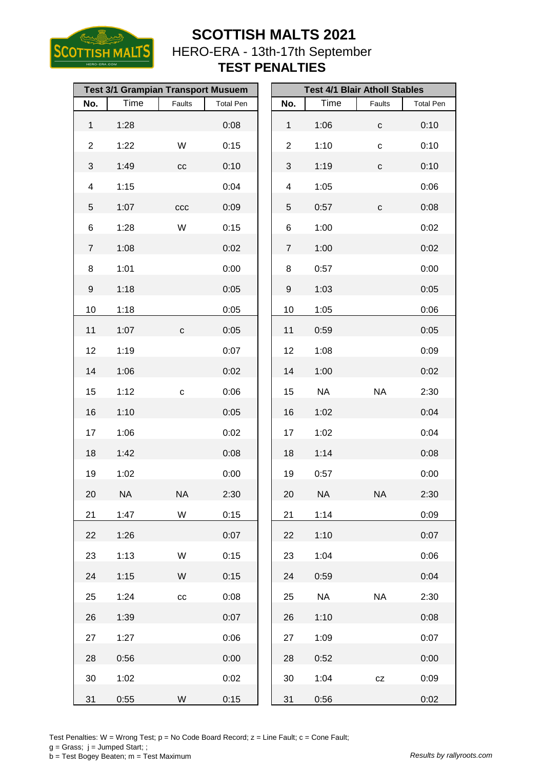

HERO-ERA - 13th-17th September **TEST PENALTIES**

|                  |           | <b>Test 3/1 Grampian Transport Musuem</b> |                  |                  |           | <b>Test 4/1 Blair Atholl Stables</b> |                  |
|------------------|-----------|-------------------------------------------|------------------|------------------|-----------|--------------------------------------|------------------|
| No.              | Time      | Faults                                    | <b>Total Pen</b> | No.              | Time      | Faults                               | <b>Total Pen</b> |
| $\mathbf{1}$     | 1:28      |                                           | 0:08             | $\mathbf{1}$     | 1:06      | $\mathtt{C}$                         | 0:10             |
| $\overline{2}$   | 1:22      | W                                         | 0:15             | $\overline{2}$   | 1:10      | $\mathbf C$                          | 0:10             |
| 3                | 1:49      | cc                                        | 0:10             | $\mathfrak{S}$   | 1:19      | $\mathbf{C}$                         | 0:10             |
| 4                | 1:15      |                                           | 0:04             | 4                | 1:05      |                                      | 0:06             |
| 5                | 1:07      | ccc                                       | 0:09             | 5                | 0:57      | $\mathtt{C}$                         | 0:08             |
| 6                | 1:28      | W                                         | 0:15             | 6                | 1:00      |                                      | 0:02             |
| $\overline{7}$   | 1:08      |                                           | 0:02             | $\boldsymbol{7}$ | 1:00      |                                      | 0:02             |
| 8                | 1:01      |                                           | 0:00             | 8                | 0:57      |                                      | 0:00             |
| $\boldsymbol{9}$ | 1:18      |                                           | 0:05             | 9                | 1:03      |                                      | 0:05             |
| 10               | 1:18      |                                           | 0:05             | 10               | 1:05      |                                      | 0:06             |
| 11               | 1:07      | С                                         | 0:05             | 11               | 0:59      |                                      | 0:05             |
| 12               | 1:19      |                                           | 0:07             | 12               | 1:08      |                                      | 0:09             |
| 14               | 1:06      |                                           | 0:02             | 14               | 1:00      |                                      | 0:02             |
| 15               | 1:12      | C                                         | 0:06             | 15               | <b>NA</b> | <b>NA</b>                            | 2:30             |
| 16               | 1:10      |                                           | 0:05             | 16               | 1:02      |                                      | 0:04             |
| 17               | 1:06      |                                           | 0:02             | 17               | 1:02      |                                      | 0:04             |
| 18               | 1:42      |                                           | 0:08             | 18               | 1:14      |                                      | 0:08             |
| 19               | 1:02      |                                           | 0:00             | 19               | 0:57      |                                      | 0:00             |
| 20               | <b>NA</b> | <b>NA</b>                                 | 2:30             | 20               | <b>NA</b> | ΝA                                   | 2:30             |
| 21               | 1:47      | W                                         | 0:15             | 21               | 1:14      |                                      | 0:09             |
| 22               | 1:26      |                                           | 0:07             | 22               | 1:10      |                                      | 0:07             |
| 23               | 1:13      | W                                         | 0:15             | 23               | 1:04      |                                      | 0:06             |
| 24               | 1:15      | W                                         | 0:15             | 24               | 0:59      |                                      | 0:04             |
| 25               | 1:24      | $_{\rm CC}$                               | 0:08             | 25               | <b>NA</b> | <b>NA</b>                            | 2:30             |
| 26               | 1:39      |                                           | 0:07             | 26               | 1:10      |                                      | 0:08             |
| 27               | 1:27      |                                           | 0:06             | 27               | 1:09      |                                      | 0:07             |
| 28               | 0:56      |                                           | 0:00             | 28               | 0:52      |                                      | 0:00             |
| 30               | 1:02      |                                           | 0:02             | 30               | 1:04      | CZ                                   | 0:09             |
| 31               | 0:55      | W                                         | 0:15             | 31               | 0:56      |                                      | 0:02             |

|                |           | <b>Test 4/1 Blair Atholl Stables</b> |                  |
|----------------|-----------|--------------------------------------|------------------|
| No.            | Time      | <b>Faults</b>                        | <b>Total Pen</b> |
| $\mathbf{1}$   | 1:06      | C                                    | 0:10             |
| $\overline{2}$ | 1:10      | C                                    | 0:10             |
| 3              | 1:19      | C                                    | 0:10             |
| 4              | 1:05      |                                      | 0:06             |
| 5              | 0:57      | C                                    | 0:08             |
| 6              | 1:00      |                                      | 0:02             |
| $\overline{7}$ | 1:00      |                                      | 0:02             |
| 8              | 0:57      |                                      | 0:00             |
| 9              | 1:03      |                                      | 0:05             |
| 10             | 1:05      |                                      | 0:06             |
| 11             | 0:59      |                                      | 0:05             |
| 12             | 1:08      |                                      | 0:09             |
| 14             | 1:00      |                                      | 0:02             |
| 15             | <b>NA</b> | <b>NA</b>                            | 2:30             |
| 16             | 1:02      |                                      | 0:04             |
| 17             | 1:02      |                                      | 0:04             |
| 18             | 1:14      |                                      | 0:08             |
| 19             | 0:57      |                                      | 0:00             |
| 20             | <b>NA</b> | <b>NA</b>                            | 2:30             |
| 21             | 1:14      |                                      | 0:09             |
| 22             | 1:10      |                                      | 0:07             |
| 23             | 1:04      |                                      | 0:06             |
| 24             | 0:59      |                                      | 0:04             |
| 25             | <b>NA</b> | <b>NA</b>                            | 2:30             |
| 26             | 1:10      |                                      | 0:08             |
| 27             | 1:09      |                                      | 0:07             |
| 28             | 0:52      |                                      | 0:00             |
| 30             | 1:04      | CZ                                   | 0:09             |
| 31             | 0:56      |                                      | 0:02             |

Test Penalties: W = Wrong Test;  $p = No Code Board Record; z = Line Faul; c = Cone Faul;$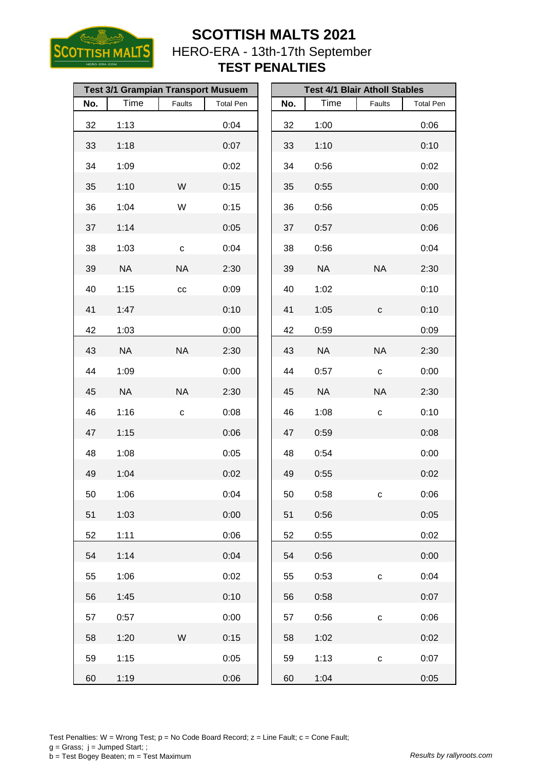

**TEST PENALTIES**

|     |           | <b>Test 3/1 Grampian Transport Musuem</b> |                  |     | <b>Test 4/1 Blair Atholl Stables</b> |              |                  |  |
|-----|-----------|-------------------------------------------|------------------|-----|--------------------------------------|--------------|------------------|--|
| No. | Time      | Faults                                    | <b>Total Pen</b> | No. | Time                                 | Faults       | <b>Total Pen</b> |  |
| 32  | 1:13      |                                           | 0:04             | 32  | 1:00                                 |              | 0:06             |  |
| 33  | 1:18      |                                           | 0:07             | 33  | 1:10                                 |              | 0:10             |  |
| 34  | 1:09      |                                           | 0:02             | 34  | 0:56                                 |              | 0:02             |  |
| 35  | 1:10      | W                                         | 0:15             | 35  | 0:55                                 |              | 0:00             |  |
| 36  | 1:04      | W                                         | 0:15             | 36  | 0:56                                 |              | 0:05             |  |
| 37  | 1:14      |                                           | 0:05             | 37  | 0:57                                 |              | 0:06             |  |
| 38  | 1:03      | С                                         | 0:04             | 38  | 0:56                                 |              | 0:04             |  |
| 39  | <b>NA</b> | <b>NA</b>                                 | 2:30             | 39  | <b>NA</b>                            | <b>NA</b>    | 2:30             |  |
| 40  | 1:15      | cc                                        | 0:09             | 40  | 1:02                                 |              | 0:10             |  |
| 41  | 1:47      |                                           | 0:10             | 41  | 1:05                                 | $\mathtt{C}$ | 0:10             |  |
| 42  | 1:03      |                                           | 0:00             | 42  | 0:59                                 |              | 0:09             |  |
| 43  | <b>NA</b> | <b>NA</b>                                 | 2:30             | 43  | <b>NA</b>                            | <b>NA</b>    | 2:30             |  |
| 44  | 1:09      |                                           | 0:00             | 44  | 0:57                                 | $\mathbf C$  | 0:00             |  |
| 45  | <b>NA</b> | <b>NA</b>                                 | 2:30             | 45  | <b>NA</b>                            | <b>NA</b>    | 2:30             |  |
| 46  | 1:16      | С                                         | 0:08             | 46  | 1:08                                 | $\mathbf C$  | 0:10             |  |
| 47  | 1:15      |                                           | 0:06             | 47  | 0:59                                 |              | 0:08             |  |
| 48  | 1:08      |                                           | 0:05             | 48  | 0:54                                 |              | 0:00             |  |
| 49  | 1:04      |                                           | 0:02             | 49  | 0:55                                 |              | 0:02             |  |
| 50  | 1:06      |                                           | 0:04             | 50  | 0:58                                 |              | 0:06             |  |
| 51  | 1:03      |                                           | 0:00             | 51  | 0:56                                 |              | 0:05             |  |
| 52  | 1:11      |                                           | 0:06             | 52  | 0:55                                 |              | 0:02             |  |
| 54  | 1:14      |                                           | 0:04             | 54  | 0:56                                 |              | 0:00             |  |
| 55  | 1:06      |                                           | 0:02             | 55  | 0:53                                 | $\mathbf{C}$ | 0:04             |  |
| 56  | 1:45      |                                           | 0:10             | 56  | 0:58                                 |              | 0:07             |  |
| 57  | 0:57      |                                           | 0:00             | 57  | 0:56                                 | $\mathbf{C}$ | 0:06             |  |
| 58  | 1:20      | W                                         | 0:15             | 58  | 1:02                                 |              | 0:02             |  |
| 59  | 1:15      |                                           | 0:05             | 59  | 1:13                                 | C            | 0:07             |  |
| 60  | 1:19      |                                           | 0:06             | 60  | 1:04                                 |              | 0:05             |  |

|     |             | <b>Test 4/1 Blair Atholl Stables</b> |                  |
|-----|-------------|--------------------------------------|------------------|
| No. | <b>Time</b> | Faults                               | <b>Total Pen</b> |
| 32  | 1:00        |                                      | 0:06             |
| 33  | 1:10        |                                      | 0:10             |
| 34  | 0:56        |                                      | 0:02             |
| 35  | 0:55        |                                      | 0:00             |
| 36  | 0:56        |                                      | 0:05             |
| 37  | 0:57        |                                      | 0:06             |
| 38  | 0:56        |                                      | 0:04             |
| 39  | <b>NA</b>   | <b>NA</b>                            | 2:30             |
| 40  | 1:02        |                                      | 0:10             |
| 41  | 1:05        | С                                    | 0:10             |
| 42  | 0:59        |                                      | 0:09             |
| 43  | ΝA          | NA                                   | 2:30             |
| 44  | 0:57        | С                                    | 0:00             |
| 45  | <b>NA</b>   | NA                                   | 2:30             |
| 46  | 1:08        | С                                    | 0:10             |
| 47  | 0:59        |                                      | 0:08             |
| 48  | 0:54        |                                      | 0:00             |
| 49  | 0:55        |                                      | 0:02             |
| 50  | 0:58        | C                                    | 0:06             |
| 51  | 0:56        |                                      | 0:05             |
| 52  | 0:55        |                                      | 0:02             |
| 54  | 0:56        |                                      | 0:00             |
| 55  | 0:53        | C                                    | 0:04             |
| 56  | 0:58        |                                      | 0:07             |
| 57  | 0:56        | C                                    | 0:06             |
| 58  | 1:02        |                                      | 0:02             |
| 59  | 1:13        | C                                    | 0:07             |
| 60  | 1:04        |                                      | 0:05             |

Test Penalties: W = Wrong Test;  $p = No Code Board Record; z = Line Faul; c = Cone Faul;$  $g =$  Grass;  $j =$  Jumped Start; ; b = Test Bogey Beaten; m = Test Maximum *Results by rallyroots.com*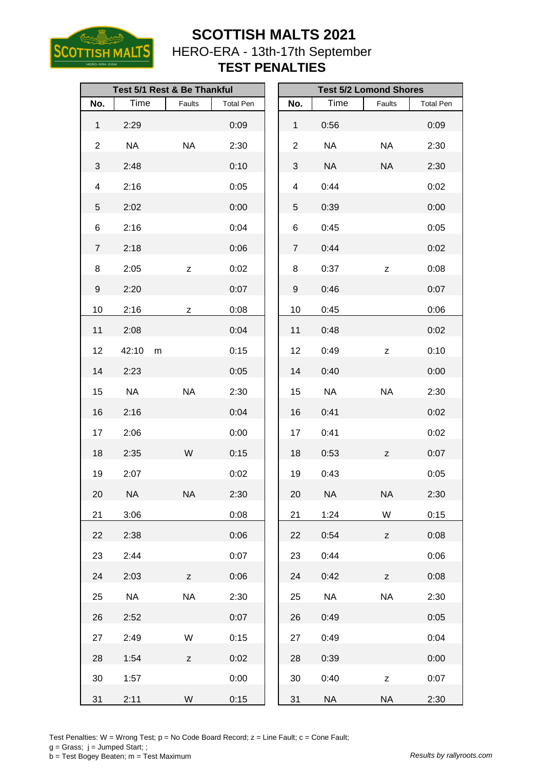

**TEST PENALTIES**

|                |           | Test 5/1 Rest & Be Thankful |                  |                |           | <b>Test 5/2 Lomond Shores</b> |                  |
|----------------|-----------|-----------------------------|------------------|----------------|-----------|-------------------------------|------------------|
| No.            | Time      | Faults                      | <b>Total Pen</b> | No.            | Time      | Faults                        | <b>Total Pen</b> |
| $\mathbf{1}$   | 2:29      |                             | 0:09             | $\mathbf{1}$   | 0:56      |                               | 0:09             |
| $\overline{2}$ | <b>NA</b> | <b>NA</b>                   | 2:30             | $\overline{2}$ | <b>NA</b> | <b>NA</b>                     | 2:30             |
| 3              | 2:48      |                             | 0:10             | 3              | <b>NA</b> | <b>NA</b>                     | 2:30             |
| 4              | 2:16      |                             | 0:05             | 4              | 0:44      |                               | 0:02             |
| 5              | 2:02      |                             | 0:00             | 5              | 0:39      |                               | 0:00             |
| 6              | 2:16      |                             | 0:04             | 6              | 0:45      |                               | 0:05             |
| $\overline{7}$ | 2:18      |                             | 0:06             | $\overline{7}$ | 0:44      |                               | 0:02             |
| 8              | 2:05      | z                           | 0:02             | 8              | 0:37      | z                             | 0:08             |
| 9              | 2:20      |                             | 0:07             | 9              | 0:46      |                               | 0:07             |
| 10             | 2:16      | z                           | 0:08             | 10             | 0:45      |                               | 0:06             |
| 11             | 2:08      |                             | 0:04             | 11             | 0:48      |                               | 0:02             |
| 12             | 42:10     | m                           | 0:15             | 12             | 0:49      | Z                             | 0:10             |
| 14             | 2:23      |                             | 0:05             | 14             | 0:40      |                               | 0:00             |
| 15             | NA        | <b>NA</b>                   | 2:30             | 15             | <b>NA</b> | <b>NA</b>                     | 2:30             |
| 16             | 2:16      |                             | 0:04             | 16             | 0:41      |                               | 0:02             |
| 17             | 2:06      |                             | 0:00             | 17             | 0:41      |                               | 0:02             |
| 18             | 2:35      | W                           | 0:15             | 18             | 0:53      | z                             | 0:07             |
| 19             | 2:07      |                             | 0:02             | 19             | 0:43      |                               | 0:05             |
| 20             | <b>NA</b> | <b>NA</b>                   | 2:30             | 20             | <b>NA</b> | <b>NA</b>                     | 2:30             |
| 21             | 3:06      |                             | 0:08             | 21             | 1:24      | W                             | 0:15             |
| 22             | 2:38      |                             | 0:06             | 22             | 0:54      | Z                             | 0:08             |
| 23             | 2:44      |                             | 0:07             | 23             | 0:44      |                               | 0:06             |
| 24             | 2:03      | Z                           | 0:06             | 24             | 0:42      | Z                             | 0:08             |
| 25             | <b>NA</b> | <b>NA</b>                   | 2:30             | 25             | <b>NA</b> | <b>NA</b>                     | 2:30             |
| 26             | 2:52      |                             | 0:07             | 26             | 0:49      |                               | 0:05             |
| 27             | 2:49      | W                           | 0:15             | 27             | 0:49      |                               | 0:04             |
| 28             | 1:54      | Z                           | 0:02             | 28             | 0:39      |                               | 0:00             |
| 30             | 1:57      |                             | 0:00             | 30             | 0:40      | $\mathsf Z$                   | 0:07             |
| 31             | 2:11      | W                           | 0:15             | 31             | $\sf NA$  | <b>NA</b>                     | 2:30             |

| <b>Test 5/2 Lomond Shores</b> |            |               |                  |  |  |  |  |  |  |  |  |  |
|-------------------------------|------------|---------------|------------------|--|--|--|--|--|--|--|--|--|
| No.                           | Time       | <b>Faults</b> | <b>Total Pen</b> |  |  |  |  |  |  |  |  |  |
| 1                             | 0:56       |               | 0:09             |  |  |  |  |  |  |  |  |  |
| 2                             | <b>NA</b>  | <b>NA</b>     | 2:30             |  |  |  |  |  |  |  |  |  |
| 3                             | <b>NA</b>  | <b>NA</b>     | 2:30             |  |  |  |  |  |  |  |  |  |
| 4                             | 0:44       |               | 0:02             |  |  |  |  |  |  |  |  |  |
| 5                             | 0:39       |               | 0:00             |  |  |  |  |  |  |  |  |  |
| 6                             | 0:45       |               | 0:05             |  |  |  |  |  |  |  |  |  |
| $\overline{7}$                | 0:44       |               | 0:02             |  |  |  |  |  |  |  |  |  |
| 8                             | 0:37       | Z             | 0:08             |  |  |  |  |  |  |  |  |  |
| 9                             | 0:46       |               | 0:07             |  |  |  |  |  |  |  |  |  |
| 10                            | 0:45       |               | 0:06             |  |  |  |  |  |  |  |  |  |
| 11                            | 0:48       |               | 0:02             |  |  |  |  |  |  |  |  |  |
| 12                            | 0:49       | z             | 0:10             |  |  |  |  |  |  |  |  |  |
| 14                            | 0:40       |               | 0:00             |  |  |  |  |  |  |  |  |  |
| 15                            | <b>NA</b>  | <b>NA</b>     | 2:30             |  |  |  |  |  |  |  |  |  |
| 16                            | 0:41       |               | 0:02             |  |  |  |  |  |  |  |  |  |
| 17                            | 0:41       |               | 0:02             |  |  |  |  |  |  |  |  |  |
| 18                            | 0:53       | Z             | 0:07             |  |  |  |  |  |  |  |  |  |
| 19                            | 0:43       |               | 0:05             |  |  |  |  |  |  |  |  |  |
| 20                            | <b>NA</b>  | <b>NA</b>     | 2:30             |  |  |  |  |  |  |  |  |  |
| 21                            | 1:24       | W             | 0:15             |  |  |  |  |  |  |  |  |  |
| 22                            | 0:54       | Z             | 0:08             |  |  |  |  |  |  |  |  |  |
| 23                            | 0:44       |               | 0:06             |  |  |  |  |  |  |  |  |  |
| 24                            | 0:42       | Z             | 0:08             |  |  |  |  |  |  |  |  |  |
| 25                            | <b>NA</b>  | NA            | 2:30             |  |  |  |  |  |  |  |  |  |
| 26                            | 0:49       |               | 0:05             |  |  |  |  |  |  |  |  |  |
| 27                            | 0:49       |               | 0:04             |  |  |  |  |  |  |  |  |  |
| 28                            | 0:39       |               | 0:00             |  |  |  |  |  |  |  |  |  |
| 30                            | 0:40       | Z             | 0:07             |  |  |  |  |  |  |  |  |  |
| 24                            | <b>NIA</b> | <b>NIA</b>    | ∩פ∙פ             |  |  |  |  |  |  |  |  |  |

Test Penalties: W = Wrong Test;  $p = No Code Board Record; z = Line Faul; c = Cone Faul;$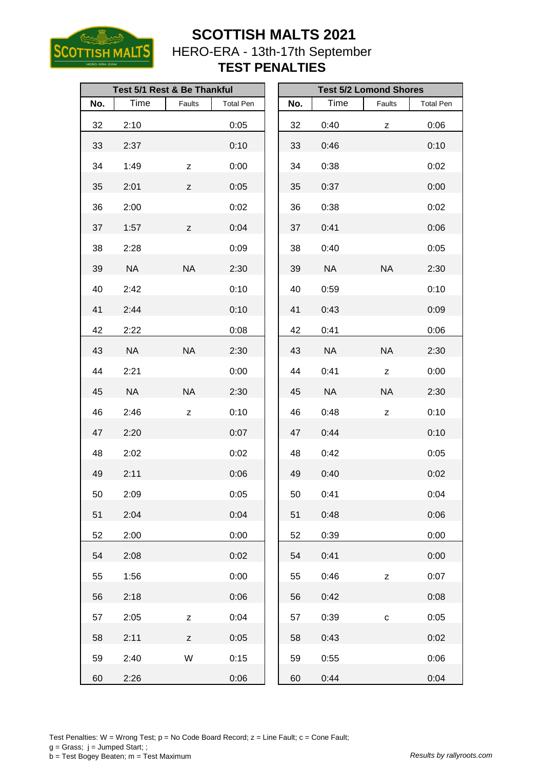

### **TEST PENALTIES**

|     |           | Test 5/1 Rest & Be Thankful                                 |                  |     | <b>Test 5/2 Lomond Shores</b> |                                            |                  |  |
|-----|-----------|-------------------------------------------------------------|------------------|-----|-------------------------------|--------------------------------------------|------------------|--|
| No. | Time      | Faults                                                      | <b>Total Pen</b> | No. | Time                          | Faults                                     | <b>Total Pen</b> |  |
| 32  | 2:10      |                                                             | 0:05             | 32  | 0:40                          | z                                          | 0:06             |  |
| 33  | 2:37      |                                                             | 0:10             | 33  | 0:46                          |                                            | 0:10             |  |
| 34  | 1:49      | Z                                                           | 0:00             | 34  | 0:38                          |                                            | 0:02             |  |
| 35  | 2:01      | Z                                                           | 0:05             | 35  | 0:37                          |                                            | 0:00             |  |
| 36  | 2:00      |                                                             | 0:02             | 36  | 0:38                          |                                            | 0:02             |  |
| 37  | 1:57      | Z                                                           | 0:04             | 37  | 0:41                          |                                            | 0:06             |  |
| 38  | 2:28      |                                                             | 0:09             | 38  | 0:40                          |                                            | 0:05             |  |
| 39  | <b>NA</b> | <b>NA</b>                                                   | 2:30             | 39  | <b>NA</b>                     | <b>NA</b>                                  | 2:30             |  |
| 40  | 2:42      |                                                             | 0:10             | 40  | 0:59                          |                                            | 0:10             |  |
| 41  | 2:44      |                                                             | 0:10             | 41  | 0:43                          |                                            | 0:09             |  |
| 42  | 2:22      |                                                             | 0:08             | 42  | 0:41                          |                                            | 0:06             |  |
| 43  | <b>NA</b> | <b>NA</b>                                                   | 2:30             | 43  | <b>NA</b>                     | <b>NA</b>                                  | 2:30             |  |
| 44  | 2:21      |                                                             | 0:00             | 44  | 0:41                          | $\mathsf{Z}% _{0}\left( \mathsf{Z}\right)$ | 0:00             |  |
| 45  | <b>NA</b> | <b>NA</b>                                                   | 2:30             | 45  | <b>NA</b>                     | <b>NA</b>                                  | 2:30             |  |
| 46  | 2:46      | Z                                                           | 0:10             | 46  | 0:48                          | z                                          | 0:10             |  |
| 47  | 2:20      |                                                             | 0:07             | 47  | 0:44                          |                                            | 0:10             |  |
| 48  | 2:02      |                                                             | 0:02             | 48  | 0:42                          |                                            | 0:05             |  |
| 49  | 2:11      |                                                             | 0:06             | 49  | 0:40                          |                                            | 0:02             |  |
| 50  | 2:09      |                                                             | 0:05             | 50  | 0:41                          |                                            | 0:04             |  |
| 51  | 2:04      |                                                             | 0:04             | 51  | 0:48                          |                                            | 0:06             |  |
| 52  | 2:00      |                                                             | 0:00             | 52  | 0:39                          |                                            | 0:00             |  |
| 54  | 2:08      |                                                             | 0:02             | 54  | 0:41                          |                                            | 0:00             |  |
| 55  | 1:56      |                                                             | 0:00             | 55  | 0:46                          | Z                                          | 0:07             |  |
| 56  | 2:18      |                                                             | 0:06             | 56  | 0:42                          |                                            | 0:08             |  |
| 57  | 2:05      | $\mathsf{Z}% _{M_{1},M_{2}}^{\alpha,\beta}(\mathbb{R}^{N})$ | 0:04             | 57  | 0:39                          | $\mathbf{C}$                               | 0:05             |  |
| 58  | 2:11      | Z                                                           | 0:05             | 58  | 0:43                          |                                            | 0:02             |  |
| 59  | 2:40      | W                                                           | 0:15             | 59  | 0:55                          |                                            | 0:06             |  |
| 60  | 2:26      |                                                             | 0:06             | 60  | 0:44                          |                                            | 0:04             |  |

|     |           | <b>Test 5/2 Lomond Shores</b> |                  |
|-----|-----------|-------------------------------|------------------|
| No. | Time      | Faults                        | <b>Total Pen</b> |
| 32  | 0:40      | z                             | 0:06             |
| 33  | 0:46      |                               | 0:10             |
| 34  | 0:38      |                               | 0:02             |
| 35  | 0:37      |                               | 0:00             |
| 36  | 0:38      |                               | 0:02             |
| 37  | 0:41      |                               | 0:06             |
| 38  | 0:40      |                               | 0:05             |
| 39  | <b>NA</b> | <b>NA</b>                     | 2:30             |
| 40  | 0:59      |                               | 0:10             |
| 41  | 0:43      |                               | 0:09             |
| 42  | 0:41      |                               | 0:06             |
| 43  | <b>NA</b> | <b>NA</b>                     | 2:30             |
| 44  | 0:41      | z                             | 0:00             |
| 45  | <b>NA</b> | ΝA                            | 2:30             |
| 46  | 0:48      | z                             | 0:10             |
| 47  | 0:44      |                               | 0:10             |
| 48  | 0:42      |                               | 0:05             |
| 49  | 0:40      |                               | 0:02             |
| 50  | 0:41      |                               | 0:04             |
| 51  | 0:48      |                               | 0:06             |
| 52  | 0:39      |                               | 0:00             |
| 54  | 0:41      |                               | 0:00             |
| 55  | 0:46      | z                             | 0:07             |
| 56  | 0:42      |                               | 0:08             |
| 57  | 0:39      | C                             | 0:05             |
| 58  | 0:43      |                               | 0:02             |
| 59  | 0:55      |                               | 0:06             |
|     |           |                               |                  |

Test Penalties: W = Wrong Test;  $p = No Code Board Record; z = Line Faul; c = Cone Faul;$  $g =$  Grass;  $j =$  Jumped Start; ; b = Test Bogey Beaten; m = Test Maximum *Results by rallyroots.com*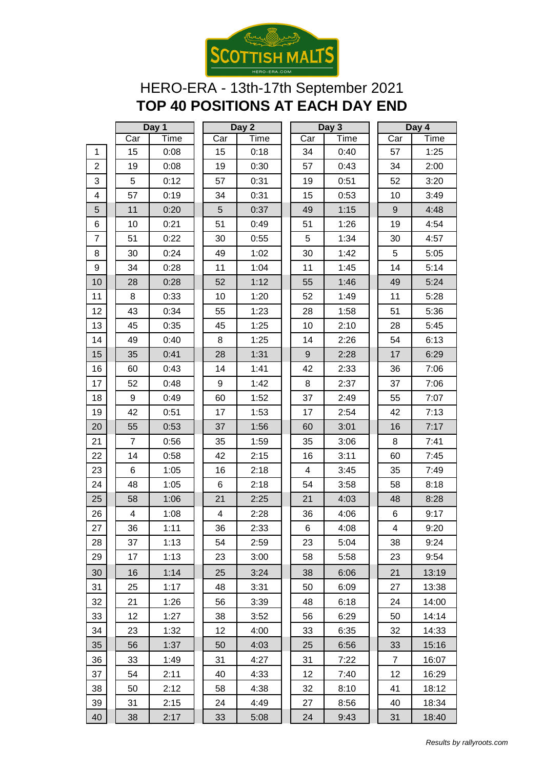

### HERO-ERA - 13th-17th September 2021 **TOP 40 POSITIONS AT EACH DAY END**

|                |                | Day 1 |     | Day 2       |  |       | Day 3       |                | Day 4 |
|----------------|----------------|-------|-----|-------------|--|-------|-------------|----------------|-------|
|                | Car            | Time  | Car | <b>Time</b> |  | Car   | <b>Time</b> | Car            | Time  |
| 1              | 15             | 0:08  | 15  | 0:18        |  | 34    | 0:40        | 57             | 1:25  |
| $\overline{2}$ | 19             | 0:08  | 19  | 0:30        |  | 57    | 0:43        | 34             | 2:00  |
| 3              | 5              | 0:12  | 57  | 0:31        |  | 19    | 0:51        | 52             | 3:20  |
| 4              | 57             | 0:19  | 34  | 0:31        |  | 15    | 0:53        | 10             | 3:49  |
| 5              | 11             | 0:20  | 5   | 0:37        |  | 49    | 1:15        | 9              | 4:48  |
| 6              | 10             | 0:21  | 51  | 0:49        |  | 51    | 1:26        | 19             | 4:54  |
| $\overline{7}$ | 51             | 0:22  | 30  | 0:55        |  | 5     | 1:34        | 30             | 4:57  |
| 8              | 30             | 0:24  | 49  | 1:02        |  | 30    | 1:42        | 5              | 5:05  |
| 9              | 34             | 0:28  | 11  | 1:04        |  | 11    | 1:45        | 14             | 5:14  |
| 10             | 28             | 0:28  | 52  | 1:12        |  | 55    | 1:46        | 49             | 5:24  |
| 11             | 8              | 0:33  | 10  | 1:20        |  | 52    | 1:49        | 11             | 5:28  |
| 12             | 43             | 0:34  | 55  | 1:23        |  | 28    | 1:58        | 51             | 5:36  |
| 13             | 45             | 0:35  | 45  | 1:25        |  | 10    | 2:10        | 28             | 5:45  |
| 14             | 49             | 0:40  | 8   | 1:25        |  | 14    | 2:26        | 54             | 6:13  |
| 15             | 35             | 0:41  | 28  | 1:31        |  | $9\,$ | 2:28        | 17             | 6:29  |
| 16             | 60             | 0:43  | 14  | 1:41        |  | 42    | 2:33        | 36             | 7:06  |
| 17             | 52             | 0:48  | 9   | 1:42        |  | 8     | 2:37        | 37             | 7:06  |
| 18             | 9              | 0:49  | 60  | 1:52        |  | 37    | 2:49        | 55             | 7:07  |
| 19             | 42             | 0:51  | 17  | 1:53        |  | 17    | 2:54        | 42             | 7:13  |
| 20             | 55             | 0:53  | 37  | 1:56        |  | 60    | 3:01        | 16             | 7:17  |
| 21             | $\overline{7}$ | 0:56  | 35  | 1:59        |  | 35    | 3:06        | 8              | 7:41  |
| 22             | 14             | 0:58  | 42  | 2:15        |  | 16    | 3:11        | 60             | 7:45  |
| 23             | 6              | 1:05  | 16  | 2:18        |  | 4     | 3:45        | 35             | 7:49  |
| 24             | 48             | 1:05  | 6   | 2:18        |  | 54    | 3:58        | 58             | 8:18  |
| 25             | 58             | 1:06  | 21  | 2:25        |  | 21    | 4:03        | 48             | 8:28  |
| 26             | 4              | 1:08  | 4   | 2:28        |  | 36    | 4:06        | 6              | 9:17  |
| 27             | 36             | 1:11  | 36  | 2:33        |  | 6     | 4:08        | $\overline{4}$ | 9:20  |
| 28             | 37             | 1:13  | 54  | 2:59        |  | 23    | 5:04        | 38             | 9:24  |
| 29             | 17             | 1:13  | 23  | 3:00        |  | 58    | 5:58        | 23             | 9:54  |
| 30             | 16             | 1:14  | 25  | 3:24        |  | 38    | 6:06        | 21             | 13:19 |
| 31             | 25             | 1:17  | 48  | 3:31        |  | 50    | 6:09        | 27             | 13:38 |
| 32             | 21             | 1:26  | 56  | 3:39        |  | 48    | 6:18        | 24             | 14:00 |
| 33             | 12             | 1:27  | 38  | 3:52        |  | 56    | 6:29        | 50             | 14:14 |
| 34             | 23             | 1:32  | 12  | 4:00        |  | 33    | 6:35        | 32             | 14:33 |
| 35             | 56             | 1:37  | 50  | 4:03        |  | 25    | 6:56        | 33             | 15:16 |
| 36             | 33             | 1:49  | 31  | 4:27        |  | 31    | 7:22        | $\overline{7}$ | 16:07 |
| 37             | 54             | 2:11  | 40  | 4:33        |  | 12    | 7:40        | 12             | 16:29 |
| 38             | 50             | 2:12  | 58  | 4:38        |  | 32    | 8:10        | 41             | 18:12 |
| 39             | 31             | 2:15  | 24  | 4:49        |  | 27    | 8:56        | 40             | 18:34 |
| 40             | 38             | 2:17  | 33  | 5:08        |  | 24    | 9:43        | 31             | 18:40 |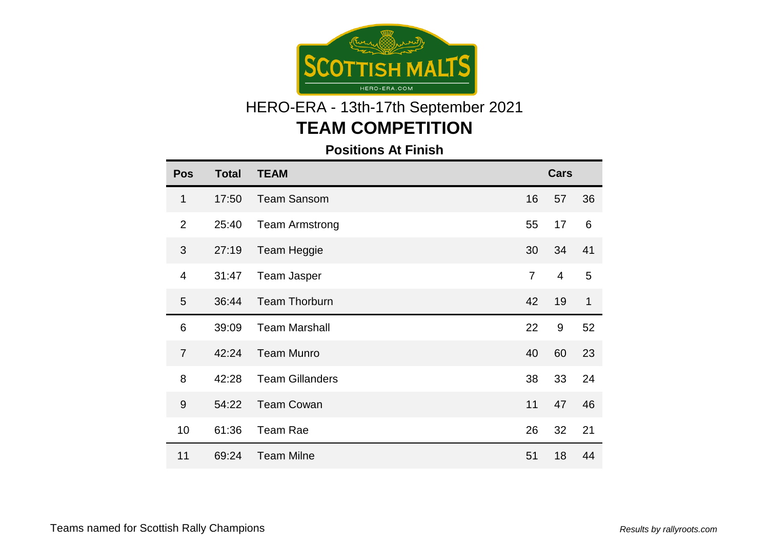

### HERO-ERA - 13th-17th September 2021 **TEAM COMPETITION**

#### **Positions At Finish**

| <b>Pos</b>     | <b>Total</b> | <b>TEAM</b>            |                | <b>Cars</b>      |              |
|----------------|--------------|------------------------|----------------|------------------|--------------|
| 1              | 17:50        | <b>Team Sansom</b>     | 16             | 57               | 36           |
| $\overline{2}$ | 25:40        | <b>Team Armstrong</b>  | 55             | 17               | 6            |
| 3              | 27:19        | Team Heggie            | 30             | 34               | 41           |
| $\overline{4}$ | 31:47        | <b>Team Jasper</b>     | $\overline{7}$ | $\overline{4}$   | 5            |
| 5              | 36:44        | <b>Team Thorburn</b>   | 42             | 19               | $\mathbf{1}$ |
| 6              | 39:09        | <b>Team Marshall</b>   | 22             | $\boldsymbol{9}$ | 52           |
| $\overline{7}$ | 42:24        | <b>Team Munro</b>      | 40             | 60               | 23           |
| 8              | 42:28        | <b>Team Gillanders</b> | 38             | 33               | 24           |
| 9              | 54:22        | <b>Team Cowan</b>      | 11             | 47               | 46           |
| 10             | 61:36        | <b>Team Rae</b>        | 26             | 32               | 21           |
| 11             | 69:24        | <b>Team Milne</b>      | 51             | 18               | 44           |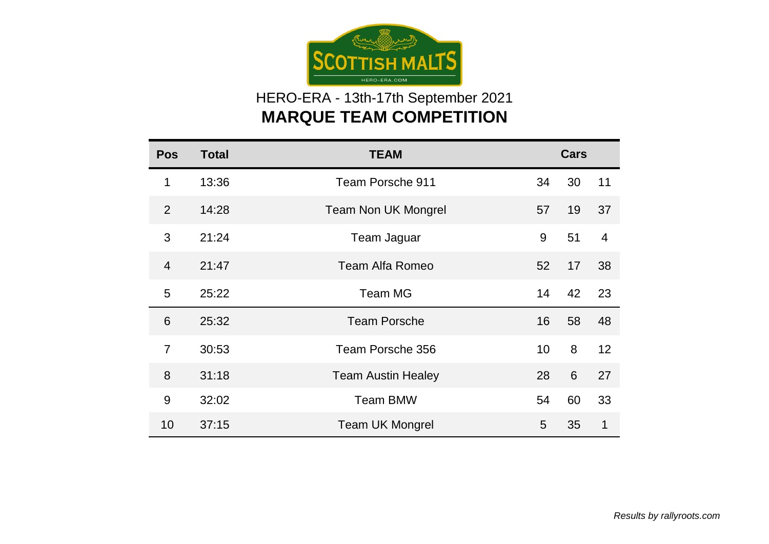

## HERO-ERA - 13th-17th September 2021 **MARQUE TEAM COMPETITION**

| <b>Pos</b>     | <b>Total</b> | <b>TEAM</b>                |    |    |                |  |  |  |  |  |  |  |
|----------------|--------------|----------------------------|----|----|----------------|--|--|--|--|--|--|--|
| 1              | 13:36        | Team Porsche 911           | 34 | 30 | 11             |  |  |  |  |  |  |  |
| 2              | 14:28        | <b>Team Non UK Mongrel</b> | 57 | 19 | 37             |  |  |  |  |  |  |  |
| 3              | 21:24        | <b>Team Jaguar</b>         | 9  | 51 | $\overline{4}$ |  |  |  |  |  |  |  |
| $\overline{4}$ | 21:47        | <b>Team Alfa Romeo</b>     | 52 | 17 | 38             |  |  |  |  |  |  |  |
| 5              | 25:22        | <b>Team MG</b>             | 14 | 42 | 23             |  |  |  |  |  |  |  |
| 6              | 25:32        | <b>Team Porsche</b>        | 16 | 58 | 48             |  |  |  |  |  |  |  |
| $\overline{7}$ | 30:53        | Team Porsche 356           | 10 | 8  | 12             |  |  |  |  |  |  |  |
| 8              | 31:18        | <b>Team Austin Healey</b>  | 28 | 6  | 27             |  |  |  |  |  |  |  |
| 9              | 32:02        | <b>Team BMW</b>            | 54 | 60 | 33             |  |  |  |  |  |  |  |
| 10             | 37:15        | <b>Team UK Mongrel</b>     | 5  | 35 | $\mathbf{1}$   |  |  |  |  |  |  |  |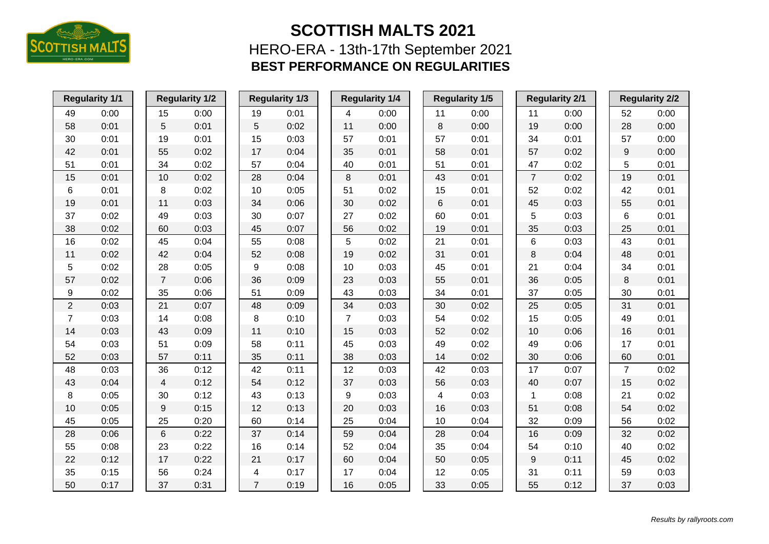

|                | <b>Regularity 1/1</b> |                  | <b>Regularity 1/2</b> |                | <b>Regularity 1/3</b> |                | <b>Regularity 1/4</b> |                          | <b>Regularity 1/5</b> |                | <b>Regularity 2/1</b> |                | <b>Regularity 2/2</b> |
|----------------|-----------------------|------------------|-----------------------|----------------|-----------------------|----------------|-----------------------|--------------------------|-----------------------|----------------|-----------------------|----------------|-----------------------|
| 49             | 0:00                  | 15               | 0:00                  | 19             | 0:01                  | 4              | 0:00                  | 11                       | 0:00                  | 11             | 0:00                  | 52             | 0:00                  |
| 58             | 0:01                  | 5                | 0:01                  | 5              | 0:02                  | 11             | 0:00                  | 8                        | 0:00                  | 19             | 0:00                  | 28             | 0:00                  |
| 30             | 0:01                  | 19               | 0:01                  | 15             | 0:03                  | 57             | 0:01                  | 57                       | 0:01                  | 34             | 0:01                  | 57             | 0:00                  |
| 42             | 0:01                  | 55               | 0:02                  | 17             | 0:04                  | 35             | 0:01                  | 58                       | 0:01                  | 57             | 0:02                  | 9              | 0:00                  |
| 51             | 0:01                  | 34               | 0:02                  | 57             | 0:04                  | 40             | 0:01                  | 51                       | 0:01                  | 47             | 0:02                  | 5              | 0:01                  |
| 15             | 0:01                  | 10               | 0:02                  | 28             | 0:04                  | 8              | 0:01                  | 43                       | 0:01                  | $\overline{7}$ | 0:02                  | 19             | 0:01                  |
| 6              | 0:01                  | 8                | 0:02                  | 10             | 0:05                  | 51             | 0:02                  | 15                       | 0:01                  | 52             | 0:02                  | 42             | 0:01                  |
| 19             | 0:01                  | 11               | 0:03                  | 34             | 0:06                  | 30             | 0:02                  | $\,6\,$                  | 0:01                  | 45             | 0:03                  | 55             | 0:01                  |
| 37             | 0:02                  | 49               | 0:03                  | 30             | 0:07                  | 27             | 0:02                  | 60                       | 0:01                  | 5              | 0:03                  | 6              | 0:01                  |
| 38             | 0:02                  | 60               | 0:03                  | 45             | 0:07                  | 56             | 0:02                  | 19                       | 0:01                  | 35             | 0:03                  | 25             | 0:01                  |
| 16             | 0:02                  | 45               | 0:04                  | 55             | 0:08                  | 5              | 0:02                  | 21                       | 0:01                  | 6              | 0:03                  | 43             | 0:01                  |
| 11             | 0:02                  | 42               | 0:04                  | 52             | 0:08                  | 19             | 0:02                  | 31                       | 0:01                  | 8              | 0:04                  | 48             | 0:01                  |
| 5              | 0:02                  | 28               | 0:05                  | 9              | 0:08                  | 10             | 0:03                  | 45                       | 0:01                  | 21             | 0:04                  | 34             | 0:01                  |
| 57             | 0:02                  | $\overline{7}$   | 0:06                  | 36             | 0:09                  | 23             | 0:03                  | 55                       | 0:01                  | 36             | 0:05                  | 8              | 0:01                  |
| 9              | 0:02                  | 35               | 0:06                  | 51             | 0:09                  | 43             | 0:03                  | 34                       | 0:01                  | 37             | 0:05                  | 30             | 0:01                  |
| $\overline{c}$ | 0:03                  | 21               | 0:07                  | 48             | 0:09                  | 34             | 0:03                  | 30                       | 0:02                  | 25             | 0:05                  | 31             | 0:01                  |
| $\overline{7}$ | 0:03                  | 14               | 0:08                  | 8              | 0:10                  | $\overline{7}$ | 0:03                  | 54                       | 0:02                  | 15             | 0:05                  | 49             | 0:01                  |
| 14             | 0:03                  | 43               | 0:09                  | 11             | 0:10                  | 15             | 0:03                  | 52                       | 0:02                  | 10             | 0:06                  | 16             | 0:01                  |
| 54             | 0:03                  | 51               | 0:09                  | 58             | 0:11                  | 45             | 0:03                  | 49                       | 0:02                  | 49             | 0:06                  | 17             | 0:01                  |
| 52             | 0:03                  | 57               | 0:11                  | 35             | 0:11                  | 38             | 0:03                  | 14                       | 0:02                  | 30             | 0:06                  | 60             | 0:01                  |
| 48             | 0:03                  | 36               | 0:12                  | 42             | 0:11                  | 12             | 0:03                  | 42                       | 0:03                  | 17             | 0:07                  | $\overline{7}$ | 0:02                  |
| 43             | 0:04                  | 4                | 0:12                  | 54             | 0:12                  | 37             | 0:03                  | 56                       | 0:03                  | 40             | 0:07                  | 15             | 0:02                  |
| 8              | 0:05                  | 30               | 0:12                  | 43             | 0:13                  | 9              | 0:03                  | $\overline{\mathcal{A}}$ | 0:03                  | $\mathbf 1$    | 0:08                  | 21             | 0:02                  |
| 10             | 0:05                  | $\boldsymbol{9}$ | 0:15                  | 12             | 0:13                  | 20             | 0:03                  | 16                       | 0:03                  | 51             | 0:08                  | 54             | 0:02                  |
| 45             | 0:05                  | 25               | 0:20                  | 60             | 0:14                  | 25             | 0:04                  | 10                       | 0:04                  | 32             | 0:09                  | 56             | 0:02                  |
| 28             | 0:06                  | $6\phantom{1}$   | 0:22                  | 37             | 0:14                  | 59             | 0:04                  | 28                       | 0:04                  | 16             | 0:09                  | 32             | 0:02                  |
| 55             | 0:08                  | 23               | 0:22                  | 16             | 0:14                  | 52             | 0:04                  | 35                       | 0:04                  | 54             | 0:10                  | 40             | 0:02                  |
| 22             | 0:12                  | 17               | 0:22                  | 21             | 0:17                  | 60             | 0:04                  | 50                       | 0:05                  | 9              | 0:11                  | 45             | 0:02                  |
| 35             | 0:15                  | 56               | 0:24                  | 4              | 0:17                  | 17             | 0:04                  | 12                       | 0:05                  | 31             | 0:11                  | 59             | 0:03                  |
| 50             | 0:17                  | 37               | 0:31                  | $\overline{7}$ | 0:19                  | 16             | 0:05                  | 33                       | 0:05                  | 55             | 0:12                  | 37             | 0:03                  |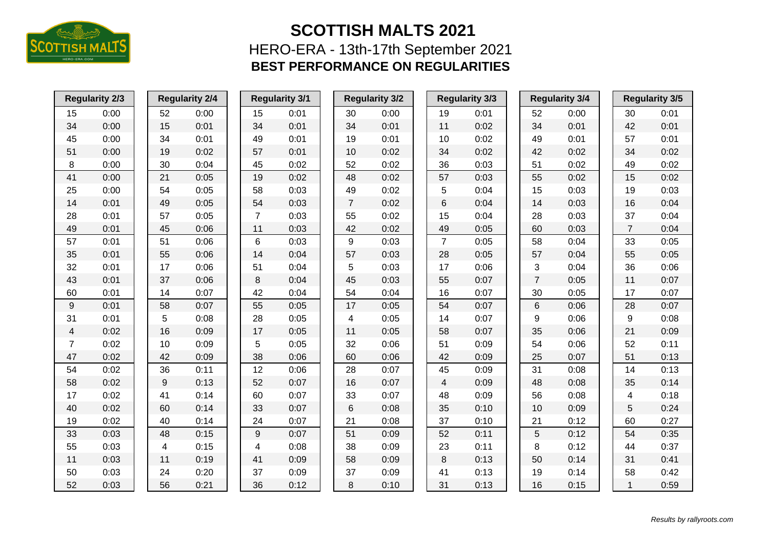

| <b>Regularity 2/3</b><br><b>Regularity 2/4</b> |      |    |      | <b>Regularity 3/1</b> | <b>Regularity 3/2</b> |                | <b>Regularity 3/3</b> |                |      | <b>Regularity 3/4</b> |                |      | <b>Regularity 3/5</b> |                |      |  |
|------------------------------------------------|------|----|------|-----------------------|-----------------------|----------------|-----------------------|----------------|------|-----------------------|----------------|------|-----------------------|----------------|------|--|
| 15                                             | 0:00 | 52 | 0:00 | 15                    | 0:01                  | 30             | 0:00                  | 19             | 0:01 |                       | 52             | 0:00 |                       | 30             | 0:01 |  |
| 34                                             | 0:00 | 15 | 0:01 | 34                    | 0:01                  | 34             | 0:01                  | 11             | 0:02 |                       | 34             | 0:01 |                       | 42             | 0:01 |  |
| 45                                             | 0:00 | 34 | 0:01 | 49                    | 0:01                  | 19             | 0:01                  | 10             | 0:02 |                       | 49             | 0:01 |                       | 57             | 0:01 |  |
| 51                                             | 0:00 | 19 | 0:02 | 57                    | 0:01                  | 10             | 0:02                  | 34             | 0:02 |                       | 42             | 0:02 |                       | 34             | 0:02 |  |
| 8                                              | 0:00 | 30 | 0:04 | 45                    | 0:02                  | 52             | 0:02                  | 36             | 0:03 |                       | 51             | 0:02 |                       | 49             | 0:02 |  |
| 41                                             | 0:00 | 21 | 0:05 | 19                    | 0:02                  | 48             | 0:02                  | 57             | 0:03 |                       | 55             | 0:02 |                       | 15             | 0:02 |  |
| 25                                             | 0:00 | 54 | 0:05 | 58                    | 0:03                  | 49             | 0:02                  | 5              | 0:04 |                       | 15             | 0:03 |                       | 19             | 0:03 |  |
| 14                                             | 0:01 | 49 | 0:05 | 54                    | 0:03                  | $\overline{7}$ | 0:02                  | $\,6$          | 0:04 |                       | 14             | 0:03 |                       | 16             | 0:04 |  |
| 28                                             | 0:01 | 57 | 0:05 | $\overline{7}$        | 0:03                  | 55             | 0:02                  | 15             | 0:04 |                       | 28             | 0:03 |                       | 37             | 0:04 |  |
| 49                                             | 0:01 | 45 | 0:06 | 11                    | 0:03                  | 42             | 0:02                  | 49             | 0:05 |                       | 60             | 0:03 |                       | $\overline{7}$ | 0:04 |  |
| 57                                             | 0:01 | 51 | 0:06 | 6                     | 0:03                  | 9              | 0:03                  | $\overline{7}$ | 0:05 |                       | 58             | 0:04 |                       | 33             | 0:05 |  |
| 35                                             | 0:01 | 55 | 0:06 | 14                    | 0:04                  | 57             | 0:03                  | 28             | 0:05 |                       | 57             | 0:04 |                       | 55             | 0:05 |  |
| 32                                             | 0:01 | 17 | 0:06 | 51                    | 0:04                  | 5              | 0:03                  | 17             | 0:06 |                       | 3              | 0:04 |                       | 36             | 0:06 |  |
| 43                                             | 0:01 | 37 | 0:06 | 8                     | 0:04                  | 45             | 0:03                  | 55             | 0:07 |                       | $\overline{7}$ | 0:05 |                       | 11             | 0:07 |  |
| 60                                             | 0:01 | 14 | 0:07 | 42                    | 0:04                  | 54             | 0:04                  | 16             | 0:07 |                       | 30             | 0:05 |                       | 17             | 0:07 |  |
| $\boldsymbol{9}$                               | 0:01 | 58 | 0:07 | 55                    | 0:05                  | 17             | 0:05                  | 54             | 0:07 |                       | $\,6$          | 0:06 |                       | 28             | 0:07 |  |
| 31                                             | 0:01 | 5  | 0:08 | 28                    | 0:05                  | 4              | 0:05                  | 14             | 0:07 |                       | 9              | 0:06 |                       | 9              | 0:08 |  |
| $\overline{\mathcal{A}}$                       | 0:02 | 16 | 0:09 | 17                    | 0:05                  | 11             | 0:05                  | 58             | 0:07 |                       | 35             | 0:06 |                       | 21             | 0:09 |  |
| $\overline{7}$                                 | 0:02 | 10 | 0:09 | 5                     | 0:05                  | 32             | 0:06                  | 51             | 0:09 |                       | 54             | 0:06 |                       | 52             | 0:11 |  |
| 47                                             | 0:02 | 42 | 0:09 | 38                    | 0:06                  | 60             | 0:06                  | 42             | 0:09 |                       | 25             | 0:07 |                       | 51             | 0:13 |  |
| 54                                             | 0:02 | 36 | 0:11 | 12                    | 0:06                  | 28             | 0:07                  | 45             | 0:09 |                       | 31             | 0:08 |                       | 14             | 0:13 |  |
| 58                                             | 0:02 | 9  | 0:13 | 52                    | 0:07                  | 16             | 0:07                  | 4              | 0:09 |                       | 48             | 0:08 |                       | 35             | 0:14 |  |
| 17                                             | 0:02 | 41 | 0:14 | 60                    | 0:07                  | 33             | 0:07                  | 48             | 0:09 |                       | 56             | 0:08 |                       | 4              | 0:18 |  |
| 40                                             | 0:02 | 60 | 0:14 | 33                    | 0:07                  | 6              | 0:08                  | 35             | 0:10 |                       | 10             | 0:09 |                       | 5              | 0:24 |  |
| 19                                             | 0:02 | 40 | 0:14 | 24                    | 0:07                  | 21             | 0:08                  | 37             | 0:10 |                       | 21             | 0:12 |                       | 60             | 0:27 |  |
| 33                                             | 0:03 | 48 | 0:15 | 9                     | 0:07                  | 51             | 0:09                  | 52             | 0:11 |                       | 5              | 0:12 |                       | 54             | 0:35 |  |
| 55                                             | 0:03 | 4  | 0:15 | 4                     | 0:08                  | 38             | 0:09                  | 23             | 0:11 |                       | 8              | 0:12 |                       | 44             | 0:37 |  |
| 11                                             | 0:03 | 11 | 0:19 | 41                    | 0:09                  | 58             | 0:09                  | 8              | 0:13 |                       | 50             | 0:14 |                       | 31             | 0:41 |  |
| 50                                             | 0:03 | 24 | 0:20 | 37                    | 0:09                  | 37             | 0:09                  | 41             | 0:13 |                       | 19             | 0:14 |                       | 58             | 0:42 |  |
| 52                                             | 0:03 | 56 | 0:21 | 36                    | 0:12                  | 8              | 0:10                  | 31             | 0:13 |                       | 16             | 0:15 |                       | 1              | 0:59 |  |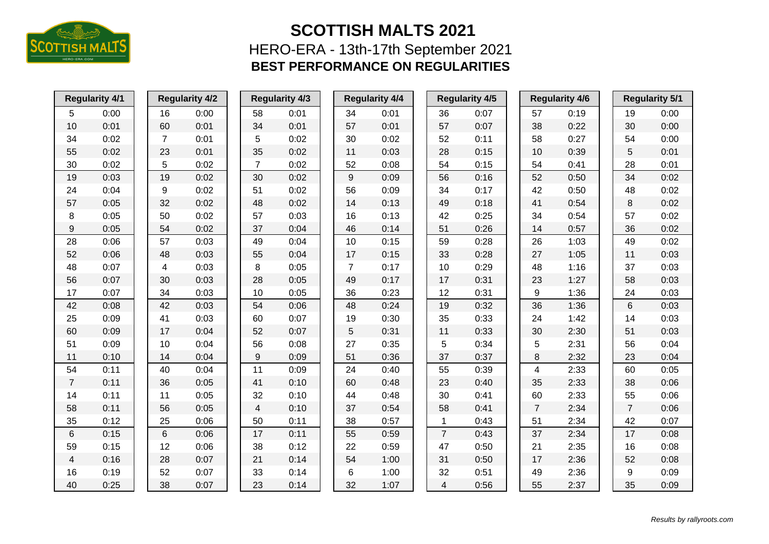

| <b>Regularity 4/1</b><br><b>Regularity 4/2</b> |      |                |      | <b>Regularity 4/3</b> |      | <b>Regularity 4/4</b> |      |  | <b>Regularity 4/5</b> |      | <b>Regularity 4/6</b> |      | <b>Regularity 5/1</b> |      |
|------------------------------------------------|------|----------------|------|-----------------------|------|-----------------------|------|--|-----------------------|------|-----------------------|------|-----------------------|------|
| 5                                              | 0:00 | 16             | 0:00 | 58                    | 0:01 | 34                    | 0:01 |  | 36                    | 0:07 | 57                    | 0:19 | 19                    | 0:00 |
| 10                                             | 0:01 | 60             | 0:01 | 34                    | 0:01 | 57                    | 0:01 |  | 57                    | 0:07 | 38                    | 0:22 | 30                    | 0:00 |
| 34                                             | 0:02 | $\overline{7}$ | 0:01 | 5                     | 0:02 | 30                    | 0:02 |  | 52                    | 0:11 | 58                    | 0:27 | 54                    | 0:00 |
| 55                                             | 0:02 | 23             | 0:01 | 35                    | 0:02 | 11                    | 0:03 |  | 28                    | 0:15 | 10                    | 0:39 | 5                     | 0:01 |
| 30                                             | 0:02 | 5              | 0:02 | $\overline{7}$        | 0:02 | 52                    | 0:08 |  | 54                    | 0:15 | 54                    | 0:41 | 28                    | 0:01 |
| 19                                             | 0:03 | 19             | 0:02 | 30                    | 0:02 | $\boldsymbol{9}$      | 0:09 |  | 56                    | 0:16 | 52                    | 0:50 | 34                    | 0:02 |
| 24                                             | 0:04 | 9              | 0:02 | 51                    | 0:02 | 56                    | 0:09 |  | 34                    | 0:17 | 42                    | 0:50 | 48                    | 0:02 |
| 57                                             | 0:05 | 32             | 0:02 | 48                    | 0:02 | 14                    | 0:13 |  | 49                    | 0:18 | 41                    | 0:54 | 8                     | 0:02 |
| 8                                              | 0:05 | 50             | 0:02 | 57                    | 0:03 | 16                    | 0:13 |  | 42                    | 0:25 | 34                    | 0:54 | 57                    | 0:02 |
| 9                                              | 0:05 | 54             | 0:02 | 37                    | 0:04 | 46                    | 0:14 |  | 51                    | 0:26 | 14                    | 0:57 | 36                    | 0:02 |
| 28                                             | 0:06 | 57             | 0:03 | 49                    | 0:04 | 10                    | 0:15 |  | 59                    | 0:28 | 26                    | 1:03 | 49                    | 0:02 |
| 52                                             | 0:06 | 48             | 0:03 | 55                    | 0:04 | 17                    | 0:15 |  | 33                    | 0:28 | 27                    | 1:05 | 11                    | 0:03 |
| 48                                             | 0:07 | 4              | 0:03 | 8                     | 0:05 | $\overline{7}$        | 0:17 |  | 10                    | 0:29 | 48                    | 1:16 | 37                    | 0:03 |
| 56                                             | 0:07 | 30             | 0:03 | 28                    | 0:05 | 49                    | 0:17 |  | 17                    | 0:31 | 23                    | 1:27 | 58                    | 0:03 |
| 17                                             | 0:07 | 34             | 0:03 | 10                    | 0:05 | 36                    | 0:23 |  | 12                    | 0:31 | 9                     | 1:36 | 24                    | 0:03 |
| 42                                             | 0:08 | 42             | 0:03 | 54                    | 0:06 | 48                    | 0:24 |  | 19                    | 0:32 | 36                    | 1:36 | 6                     | 0:03 |
| 25                                             | 0:09 | 41             | 0:03 | 60                    | 0:07 | 19                    | 0:30 |  | 35                    | 0:33 | 24                    | 1:42 | 14                    | 0:03 |
| 60                                             | 0:09 | 17             | 0:04 | 52                    | 0:07 | 5                     | 0:31 |  | 11                    | 0:33 | 30                    | 2:30 | 51                    | 0:03 |
| 51                                             | 0:09 | 10             | 0:04 | 56                    | 0:08 | 27                    | 0:35 |  | 5                     | 0:34 | 5                     | 2:31 | 56                    | 0:04 |
| 11                                             | 0:10 | 14             | 0:04 | 9                     | 0:09 | 51                    | 0:36 |  | 37                    | 0:37 | 8                     | 2:32 | 23                    | 0:04 |
| 54                                             | 0:11 | 40             | 0:04 | 11                    | 0:09 | 24                    | 0:40 |  | 55                    | 0:39 | 4                     | 2:33 | 60                    | 0:05 |
| $\overline{7}$                                 | 0:11 | 36             | 0:05 | 41                    | 0:10 | 60                    | 0:48 |  | 23                    | 0:40 | 35                    | 2:33 | 38                    | 0:06 |
| 14                                             | 0:11 | 11             | 0:05 | 32                    | 0:10 | 44                    | 0:48 |  | 30                    | 0:41 | 60                    | 2:33 | 55                    | 0:06 |
| 58                                             | 0:11 | 56             | 0:05 | $\overline{4}$        | 0:10 | 37                    | 0:54 |  | 58                    | 0:41 | $\overline{7}$        | 2:34 | $\overline{7}$        | 0:06 |
| 35                                             | 0:12 | 25             | 0:06 | 50                    | 0:11 | 38                    | 0:57 |  | 1                     | 0:43 | 51                    | 2:34 | 42                    | 0:07 |
| $\,6$                                          | 0:15 | 6              | 0:06 | 17                    | 0:11 | 55                    | 0:59 |  | $\overline{7}$        | 0:43 | 37                    | 2:34 | 17                    | 0:08 |
| 59                                             | 0:15 | 12             | 0:06 | 38                    | 0:12 | 22                    | 0:59 |  | 47                    | 0:50 | 21                    | 2:35 | 16                    | 0:08 |
| 4                                              | 0:16 | 28             | 0:07 | 21                    | 0:14 | 54                    | 1:00 |  | 31                    | 0:50 | 17                    | 2:36 | 52                    | 0:08 |
| 16                                             | 0:19 | 52             | 0:07 | 33                    | 0:14 | 6                     | 1:00 |  | 32                    | 0:51 | 49                    | 2:36 | 9                     | 0:09 |
| 40                                             | 0:25 | 38             | 0:07 | 23                    | 0:14 | 32                    | 1:07 |  | 4                     | 0:56 | 55                    | 2:37 | 35                    | 0:09 |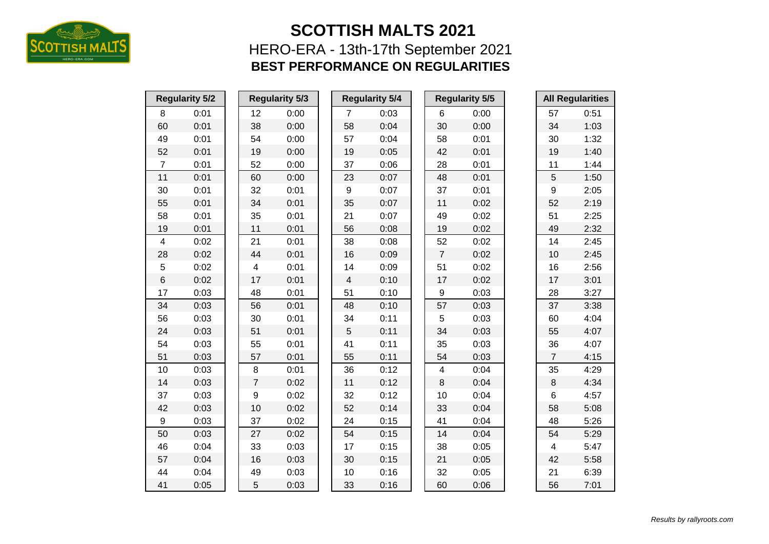

| <b>Regularity 5/2</b> |      |                         | <b>Regularity 5/3</b> |                          | <b>Regularity 5/4</b> |                         | <b>Regularity 5/5</b> |                  | <b>All Regularities</b> |
|-----------------------|------|-------------------------|-----------------------|--------------------------|-----------------------|-------------------------|-----------------------|------------------|-------------------------|
| 8                     | 0:01 | 12                      | 0:00                  | $\overline{7}$           | 0:03                  | 6                       | 0:00                  | 57               | 0:51                    |
| 60                    | 0:01 | 38                      | 0:00                  | 58                       | 0:04                  | 30                      | 0:00                  | 34               | 1:03                    |
| 49                    | 0:01 | 54                      | 0:00                  | 57                       | 0:04                  | 58                      | 0:01                  | 30               | 1:32                    |
| 52                    | 0:01 | 19                      | 0:00                  | 19                       | 0:05                  | 42                      | 0:01                  | 19               | 1:40                    |
| $\overline{7}$        | 0:01 | 52                      | 0:00                  | 37                       | 0:06                  | 28                      | 0:01                  | 11               | 1:44                    |
| 11                    | 0:01 | 60                      | 0:00                  | 23                       | 0:07                  | 48                      | 0:01                  | $\sqrt{5}$       | 1:50                    |
| 30                    | 0:01 | 32                      | 0:01                  | 9                        | 0:07                  | 37                      | 0:01                  | $\boldsymbol{9}$ | 2:05                    |
| 55                    | 0:01 | 34                      | 0:01                  | 35                       | 0:07                  | 11                      | 0:02                  | 52               | 2:19                    |
| 58                    | 0:01 | 35                      | 0:01                  | 21                       | 0:07                  | 49                      | 0:02                  | 51               | 2:25                    |
| 19                    | 0:01 | 11                      | 0:01                  | 56                       | 0:08                  | 19                      | 0:02                  | 49               | 2:32                    |
| $\overline{4}$        | 0:02 | 21                      | 0:01                  | 38                       | 0:08                  | 52                      | 0:02                  | 14               | 2:45                    |
| 28                    | 0:02 | 44                      | 0:01                  | 16                       | 0:09                  | $\overline{7}$          | 0:02                  | 10               | 2:45                    |
| 5                     | 0:02 | $\overline{\mathbf{4}}$ | 0:01                  | 14                       | 0:09                  | 51                      | 0:02                  | 16               | 2:56                    |
| 6                     | 0:02 | 17                      | 0:01                  | $\overline{\mathcal{A}}$ | 0:10                  | 17                      | 0:02                  | 17               | 3:01                    |
| 17                    | 0:03 | 48                      | 0:01                  | 51                       | 0:10                  | 9                       | 0:03                  | 28               | 3:27                    |
| 34                    | 0:03 | 56                      | 0:01                  | 48                       | 0:10                  | 57                      | 0:03                  | 37               | 3:38                    |
| 56                    | 0:03 | 30                      | 0:01                  | 34                       | 0:11                  | 5                       | 0:03                  | 60               | 4:04                    |
| 24                    | 0:03 | 51                      | 0:01                  | 5                        | 0:11                  | 34                      | 0:03                  | 55               | 4:07                    |
| 54                    | 0:03 | 55                      | 0:01                  | 41                       | 0:11                  | 35                      | 0:03                  | 36               | 4:07                    |
| 51                    | 0:03 | 57                      | 0:01                  | 55                       | 0:11                  | 54                      | 0:03                  | $\overline{7}$   | 4:15                    |
| 10                    | 0:03 | $\,8\,$                 | 0:01                  | 36                       | 0:12                  | $\overline{\mathbf{4}}$ | 0:04                  | 35               | 4:29                    |
| 14                    | 0:03 | $\overline{7}$          | 0:02                  | 11                       | 0:12                  | 8                       | 0:04                  | $\,8\,$          | 4:34                    |
| 37                    | 0:03 | $\boldsymbol{9}$        | 0:02                  | 32                       | 0:12                  | 10                      | 0:04                  | $\,6\,$          | 4:57                    |
| 42                    | 0:03 | 10                      | 0:02                  | 52                       | 0:14                  | 33                      | 0:04                  | 58               | 5:08                    |
| $\boldsymbol{9}$      | 0:03 | 37                      | 0:02                  | 24                       | 0:15                  | 41                      | 0:04                  | 48               | 5:26                    |
| 50                    | 0:03 | 27                      | 0:02                  | 54                       | 0:15                  | 14                      | 0:04                  | 54               | 5:29                    |
| 46                    | 0:04 | 33                      | 0:03                  | 17                       | 0:15                  | 38                      | 0:05                  | 4                | 5:47                    |
| 57                    | 0:04 | 16                      | 0:03                  | 30                       | 0:15                  | 21                      | 0:05                  | 42               | 5:58                    |
| 44                    | 0:04 | 49                      | 0:03                  | 10                       | 0:16                  | 32                      | 0:05                  | 21               | 6:39                    |
| 41                    | 0:05 | 5                       | 0:03                  | 33                       | 0:16                  | 60                      | 0:06                  | 56               | 7:01                    |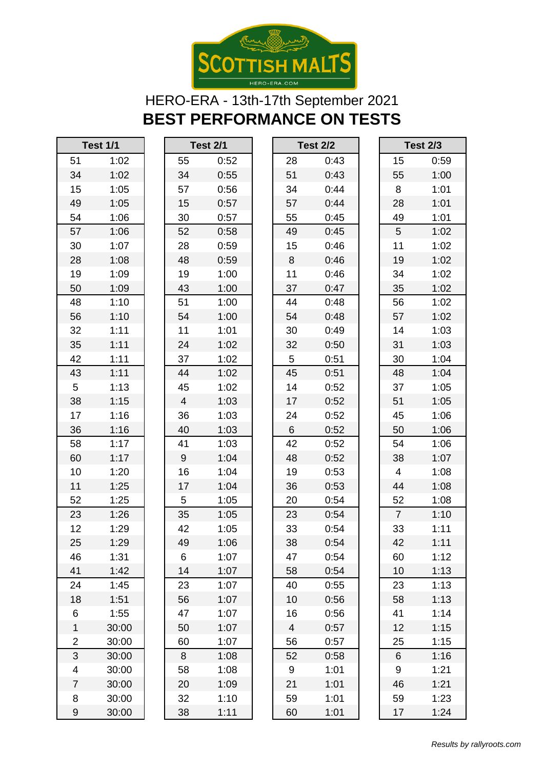

| <b>Test 1/1</b>         |       |  |  |  |  |
|-------------------------|-------|--|--|--|--|
| 51                      | 1:02  |  |  |  |  |
| 34                      | 1:02  |  |  |  |  |
| 15                      | 1:05  |  |  |  |  |
| 49                      | 1:05  |  |  |  |  |
| 54                      | 1:06  |  |  |  |  |
| 57                      | 1:06  |  |  |  |  |
| 30                      | 1:07  |  |  |  |  |
| 28                      | 1:08  |  |  |  |  |
| 19                      | 1:09  |  |  |  |  |
| 50                      | 1:09  |  |  |  |  |
| 48                      | 1:10  |  |  |  |  |
| 56                      | 1:10  |  |  |  |  |
| 32                      | 1:11  |  |  |  |  |
| 35                      | 1:11  |  |  |  |  |
| 42                      | 1:11  |  |  |  |  |
| 43                      | 1:11  |  |  |  |  |
| 5                       | 1:13  |  |  |  |  |
| 38                      | 1:15  |  |  |  |  |
| 17                      | 1:16  |  |  |  |  |
| 36                      | 1:16  |  |  |  |  |
| 58                      | 1:17  |  |  |  |  |
| 60                      | 1:17  |  |  |  |  |
| 10                      | 1:20  |  |  |  |  |
| 11                      | 1:25  |  |  |  |  |
| 52                      | 1:25  |  |  |  |  |
| 23                      | 1:26  |  |  |  |  |
| 12                      | 1:29  |  |  |  |  |
| 25                      | 1:29  |  |  |  |  |
| 46                      | 1:31  |  |  |  |  |
| 41                      | 1:42  |  |  |  |  |
| 24                      | 1:45  |  |  |  |  |
| 18                      | 1:51  |  |  |  |  |
| 6                       | 1:55  |  |  |  |  |
| $\overline{1}$          | 30:00 |  |  |  |  |
| $\overline{\mathbf{c}}$ | 30:00 |  |  |  |  |
| 3                       | 30:00 |  |  |  |  |
| 4                       | 30:00 |  |  |  |  |
| 7                       | 30:00 |  |  |  |  |
| 8                       | 30:00 |  |  |  |  |
| 9                       | 30:00 |  |  |  |  |

| <b>Test 2/1</b>  |      |
|------------------|------|
| 55               | 0:52 |
| 34               | 0:55 |
| 57               | 0:56 |
| 15               | 0:57 |
| 30               | 0:57 |
| 52               | 0:58 |
| 28               | 0:59 |
| 48               | 0:59 |
| 19               | 1:00 |
| 43               | 1:00 |
| 51               | 1:00 |
| 54               | 1:00 |
| 11               | 1:01 |
| 24               | 1:02 |
| 37               | 1:02 |
| 44               | 1:02 |
| 45               | 1:02 |
| $\overline{4}$   | 1:03 |
| 36               | 1:03 |
| 40               | 1:03 |
| 41               | 1:03 |
| $\boldsymbol{9}$ | 1:04 |
| 16               | 1:04 |
| 17               | 1:04 |
| 5                | 1:05 |
| 35               | 1:05 |
| 42               | 1:05 |
| 49               | 1:06 |
| 6                | 1:07 |
| 14               | 1:07 |
| 23               | 1:07 |
| 56               | 1:07 |
| 47               | 1:07 |
| 50               | 1:07 |
| 60               | 1:07 |
| $\,8\,$          | 1:08 |
| 58               | 1:08 |
| 20               | 1:09 |
| 32               | 1:10 |

|                         | <b>Test 1/1</b> |                | <b>Test 2/1</b> |    | <b>Test 2/2</b> |                 | <b>Test 2/3</b> |
|-------------------------|-----------------|----------------|-----------------|----|-----------------|-----------------|-----------------|
| 51                      | 1:02            | 55             | 0:52            | 28 | 0:43            | 15              | 0:59            |
| 34                      | 1:02            | 34             | 0:55            | 51 | 0:43            | 55              | 1:00            |
| 15                      | 1:05            | 57             | 0:56            | 34 | 0:44            | 8               | 1:01            |
| 49                      | 1:05            | 15             | 0:57            | 57 | 0:44            | 28              | 1:01            |
| 54                      | 1:06            | 30             | 0:57            | 55 | 0:45            | 49              | 1:01            |
| 57                      | 1:06            | 52             | 0:58            | 49 | 0:45            | $5\phantom{.0}$ | 1:02            |
| 30                      | 1:07            | 28             | 0:59            | 15 | 0:46            | 11              | 1:02            |
| 28                      | 1:08            | 48             | 0:59            | 8  | 0:46            | 19              | 1:02            |
| 19                      | 1:09            | 19             | 1:00            | 11 | 0:46            | 34              | 1:02            |
| 50                      | 1:09            | 43             | 1:00            | 37 | 0:47            | 35              | 1:02            |
| 48                      | 1:10            | 51             | 1:00            | 44 | 0:48            | 56              | 1:02            |
| 56                      | 1:10            | 54             | 1:00            | 54 | 0:48            | 57              | 1:02            |
| 32                      | 1:11            | 11             | 1:01            | 30 | 0:49            | 14              | 1:03            |
| 35                      | 1:11            | 24             | 1:02            | 32 | 0:50            | 31              | 1:03            |
| 42                      | 1:11            | 37             | 1:02            | 5  | 0:51            | 30              | 1:04            |
| 43                      | 1:11            | 44             | 1:02            | 45 | 0:51            | 48              | 1:04            |
| $5\phantom{.0}$         | 1:13            | 45             | 1:02            | 14 | 0:52            | 37              | 1:05            |
| 38                      | 1:15            | $\overline{4}$ | 1:03            | 17 | 0:52            | 51              | 1:05            |
| 17                      | 1:16            | 36             | 1:03            | 24 | 0:52            | 45              | 1:06            |
| 36                      | 1:16            | 40             | 1:03            | 6  | 0:52            | 50              | 1:06            |
| 58                      | 1:17            | 41             | 1:03            | 42 | 0:52            | 54              | 1:06            |
| 60                      | 1:17            | 9              | 1:04            | 48 | 0:52            | 38              | 1:07            |
| 10                      | 1:20            | 16             | 1:04            | 19 | 0:53            | $\overline{4}$  | 1:08            |
| 11                      | 1:25            | 17             | 1:04            | 36 | 0:53            | 44              | 1:08            |
| 52                      | 1:25            | 5              | 1:05            | 20 | 0:54            | 52              | 1:08            |
| 23                      | 1:26            | 35             | 1:05            | 23 | 0:54            | $\overline{7}$  | 1:10            |
| 12                      | 1:29            | 42             | 1:05            | 33 | 0:54            | 33              | 1:11            |
| 25                      | 1:29            | 49             | 1:06            | 38 | 0:54            | 42              | 1:11            |
| 46                      | 1:31            | 6              | 1:07            | 47 | 0:54            | 60              | 1:12            |
| 41                      | 1:42            | 14             | 1:07            | 58 | 0:54            | 10              | 1:13            |
| 24                      | 1:45            | 23             | 1:07            | 40 | 0:55            | 23              | 1:13            |
| 18                      | 1:51            | 56             | 1:07            | 10 | 0:56            | 58              | 1:13            |
| 6                       | 1:55            | 47             | 1:07            | 16 | 0:56            | 41              | 1:14            |
| $\mathbf 1$             | 30:00           | 50             | 1:07            | 4  | 0:57            | 12              | 1:15            |
| $\overline{\mathbf{c}}$ | 30:00           | 60             | 1:07            | 56 | 0:57            | 25              | 1:15            |
| 3                       | 30:00           | 8              | 1:08            | 52 | 0:58            | $6\,$           | 1:16            |
| 4                       | 30:00           | 58             | 1:08            | 9  | 1:01            | 9               | 1:21            |
| $\overline{7}$          | 30:00           | 20             | 1:09            | 21 | 1:01            | 46              | 1:21            |
| 8                       | 30:00           | 32             | 1:10            | 59 | 1:01            | 59              | 1:23            |
| $9\,$                   | 30:00           | 38             | 1:11            | 60 | 1:01            | 17              | 1:24            |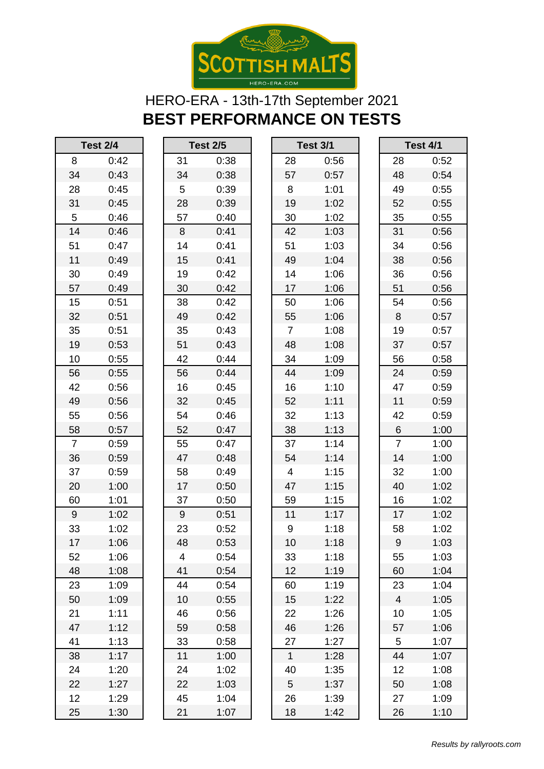

| <b>Test 2/4</b> |      |       | <b>Test 2/5</b> |                | <b>Test 3/1</b> |                  | <b>Test 4/1</b> |
|-----------------|------|-------|-----------------|----------------|-----------------|------------------|-----------------|
| 8               | 0:42 | 31    | 0:38            | 28             | 0:56            | 28               | 0:52            |
| 34              | 0:43 | 34    | 0:38            | 57             | 0:57            | 48               | 0:54            |
| 28              | 0:45 | 5     | 0:39            | 8              | 1:01            | 49               | 0:55            |
| 31              | 0:45 | 28    | 0:39            | 19             | 1:02            | 52               | 0:55            |
| 5               | 0:46 | 57    | 0:40            | 30             | 1:02            | 35               | 0:55            |
| 14              | 0:46 | 8     | 0:41            | 42             | 1:03            | 31               | 0:56            |
| 51              | 0:47 | 14    | 0:41            | 51             | 1:03            | 34               | 0:56            |
| 11              | 0:49 | 15    | 0:41            | 49             | 1:04            | 38               | 0:56            |
| 30              | 0:49 | 19    | 0:42            | 14             | 1:06            | 36               | 0:56            |
| 57              | 0:49 | 30    | 0:42            | 17             | 1:06            | 51               | 0:56            |
| 15              | 0:51 | 38    | 0:42            | 50             | 1:06            | 54               | 0:56            |
| 32              | 0:51 | 49    | 0:42            | 55             | 1:06            | 8                | 0:57            |
| 35              | 0:51 | 35    | 0:43            | $\overline{7}$ | 1:08            | 19               | 0:57            |
| 19              | 0:53 | 51    | 0:43            | 48             | 1:08            | 37               | 0:57            |
| 10              | 0:55 | 42    | 0:44            | 34             | 1:09            | 56               | 0:58            |
| 56              | 0:55 | 56    | 0:44            | 44             | 1:09            | 24               | 0:59            |
| 42              | 0:56 | 16    | 0:45            | 16             | 1:10            | 47               | 0:59            |
| 49              | 0:56 | 32    | 0:45            | 52             | 1:11            | 11               | 0:59            |
| 55              | 0:56 | 54    | 0:46            | 32             | 1:13            | 42               | 0:59            |
| 58              | 0:57 | 52    | 0:47            | 38             | 1:13            | 6                | 1:00            |
| $\overline{7}$  | 0:59 | 55    | 0:47            | 37             | 1:14            | $\overline{7}$   | 1:00            |
| 36              | 0:59 | 47    | 0:48            | 54             | 1:14            | 14               | 1:00            |
| 37              | 0:59 | 58    | 0:49            | $\overline{4}$ | 1:15            | 32               | 1:00            |
| 20              | 1:00 | 17    | 0:50            | 47             | 1:15            | 40               | 1:02            |
| 60              | 1:01 | 37    | 0:50            | 59             | 1:15            | 16               | 1:02            |
| $9\,$           | 1:02 | $9\,$ | 0:51            | 11             | 1:17            | 17               | 1:02            |
| 33              | 1:02 | 23    | 0:52            | 9              | 1:18            | 58               | 1:02            |
| 17              | 1:06 | 48    | 0:53            | 10             | 1:18            | $\boldsymbol{9}$ | 1:03            |
| 52              | 1:06 | 4     | 0:54            | 33             | 1:18            | 55               | 1:03            |
| 48              | 1:08 | 41    | 0:54            | 12             | 1:19            | 60               | 1:04            |
| 23              | 1:09 | 44    | 0:54            | 60             | 1:19            | 23               | 1:04            |
| 50              | 1:09 | 10    | 0:55            | 15             | 1:22            | $\overline{4}$   | 1:05            |
| 21              | 1:11 | 46    | 0:56            | 22             | 1:26            | 10               | 1:05            |
| 47              | 1:12 | 59    | 0:58            | 46             | 1:26            | 57               | 1:06            |
| 41              | 1:13 | 33    | 0:58            | 27             | 1:27            | 5                | 1:07            |
| 38              | 1:17 | 11    | 1:00            | $\mathbf{1}$   | 1:28            | 44               | 1:07            |
| 24              | 1:20 | 24    | 1:02            | 40             | 1:35            | 12               | 1:08            |
| 22              | 1:27 | 22    | 1:03            | 5              | 1:37            | 50               | 1:08            |
| 12              | 1:29 | 45    | 1:04            | 26             | 1:39            | 27               | 1:09            |
| 25              | 1:30 | 21    | 1:07            | 18             | 1:42            | 26               | 1:10            |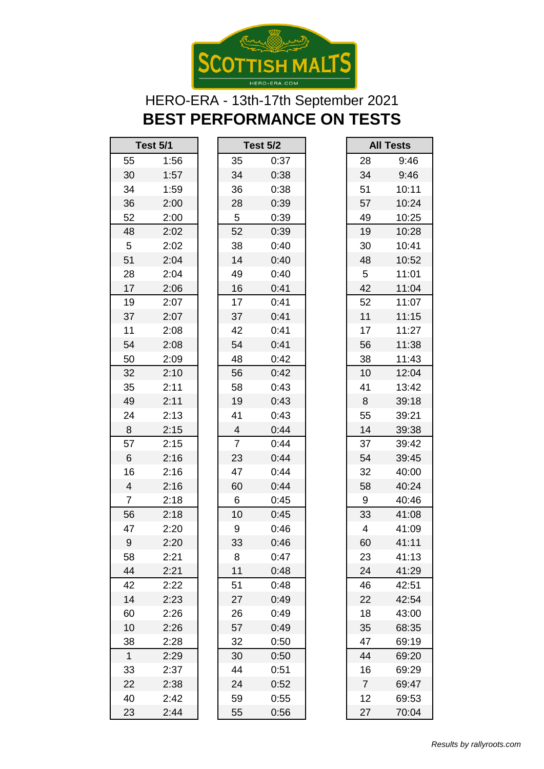

|                         | <b>Test 5/1</b> |                | <b>Test 5/2</b> |                | <b>All Tests</b> |
|-------------------------|-----------------|----------------|-----------------|----------------|------------------|
| 55                      | 1:56            | 35             | 0:37            | 28             | 9:46             |
| 30                      | 1:57            | 34             | 0:38            | 34             | 9:46             |
| 34                      | 1:59            | 36             | 0:38            | 51             | 10:11            |
| 36                      | 2:00            | 28             | 0:39            | 57             | 10:24            |
| 52                      | 2:00            | 5              | 0:39            | 49             | 10:25            |
| 48                      | 2:02            | 52             | 0:39            | 19             | 10:28            |
| 5                       | 2:02            | 38             | 0:40            | 30             | 10:41            |
| 51                      | 2:04            | 14             | 0:40            | 48             | 10:52            |
| 28                      | 2:04            | 49             | 0:40            | 5              | 11:01            |
| 17                      | 2:06            | 16             | 0:41            | 42             | 11:04            |
| 19                      | 2:07            | 17             | 0:41            | 52             | 11:07            |
| 37                      | 2:07            | 37             | 0:41            | 11             | 11:15            |
| 11                      | 2:08            | 42             | 0:41            | 17             | 11:27            |
| 54                      | 2:08            | 54             | 0:41            | 56             | 11:38            |
| 50                      | 2:09            | 48             | 0:42            | 38             | 11:43            |
| 32                      | 2:10            | 56             | 0:42            | 10             | 12:04            |
| 35                      | 2:11            | 58             | 0:43            | 41             | 13:42            |
| 49                      | 2:11            | 19             | 0:43            | 8              | 39:18            |
| 24                      | 2:13            | 41             | 0:43            | 55             | 39:21            |
| 8                       | 2:15            | 4              | 0:44            | 14             | 39:38            |
| 57                      | 2:15            | $\overline{7}$ | 0:44            | 37             | 39:42            |
| 6                       | 2:16            | 23             | 0:44            | 54             | 39:45            |
| 16                      | 2:16            | 47             | 0:44            | 32             | 40:00            |
| $\overline{\mathbf{4}}$ | 2:16            | 60             | 0:44            | 58             | 40:24            |
| $\overline{7}$          | 2:18            | 6              | 0:45            | 9              | 40:46            |
| 56                      | 2:18            | 10             | 0:45            | 33             | 41:08            |
| 47                      | 2:20            | 9              | 0:46            | 4              | 41:09            |
| 9                       | 2:20            | 33             | 0:46            | 60             | 41:11            |
| 58                      | 2:21            | 8              | 0:47            | 23             | 41:13            |
| 44                      | 2:21            | 11             | 0:48            | 24             | 41:29            |
| 42                      | 2:22            | 51             | 0:48            | 46             | 42:51            |
| 14                      | 2:23            | 27             | 0:49            | 22             | 42:54            |
| 60                      | 2:26            | 26             | 0:49            | 18             | 43:00            |
| 10                      | 2:26            | 57             | 0:49            | 35             | 68:35            |
| 38                      | 2:28            | 32             | 0:50            | 47             | 69:19            |
| $\mathbf{1}$            | 2:29            | 30             | 0:50            | 44             | 69:20            |
| 33                      | 2:37            | 44             | 0:51            | 16             | 69:29            |
| 22                      | 2:38            | 24             | 0:52            | $\overline{7}$ | 69:47            |
| 40                      | 2:42            | 59             | 0:55            | 12             | 69:53            |
| 23                      | 2:44            | 55             | 0:56            | 27             | 70:04            |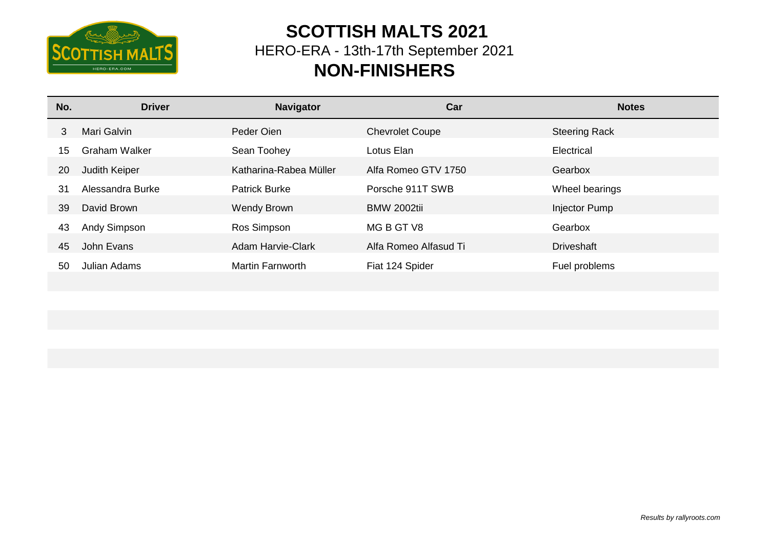

 **SCOTTISH MALTS 2021** HERO-ERA - 13th-17th September 2021 **NON-FINISHERS**

| No. | <b>Driver</b>        | <b>Navigator</b>         | Car                    | <b>Notes</b>         |
|-----|----------------------|--------------------------|------------------------|----------------------|
| 3   | Mari Galvin          | Peder Oien               | <b>Chevrolet Coupe</b> | <b>Steering Rack</b> |
| 15  | <b>Graham Walker</b> | Sean Toohey              | Lotus Elan             | Electrical           |
| 20  | <b>Judith Keiper</b> | Katharina-Rabea Müller   | Alfa Romeo GTV 1750    | Gearbox              |
| 31  | Alessandra Burke     | <b>Patrick Burke</b>     | Porsche 911T SWB       | Wheel bearings       |
| 39  | David Brown          | <b>Wendy Brown</b>       | <b>BMW 2002tii</b>     | Injector Pump        |
| 43  | <b>Andy Simpson</b>  | Ros Simpson              | MG B GT V8             | Gearbox              |
| 45  | John Evans           | <b>Adam Harvie-Clark</b> | Alfa Romeo Alfasud Ti  | <b>Driveshaft</b>    |
| 50  | <b>Julian Adams</b>  | <b>Martin Farnworth</b>  | Fiat 124 Spider        | Fuel problems        |
|     |                      |                          |                        |                      |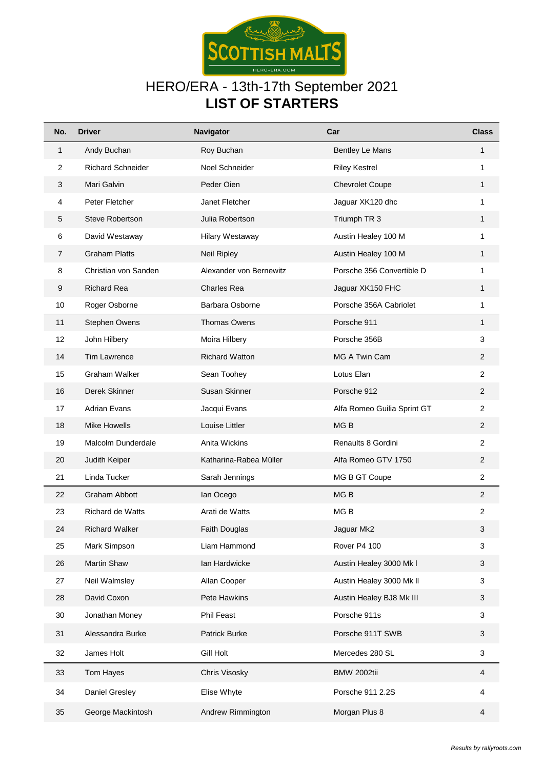

### HERO/ERA - 13th-17th September 2021 **LIST OF STARTERS**

| No. | <b>Driver</b>        | <b>Navigator</b>        | Car                         | <b>Class</b>   |
|-----|----------------------|-------------------------|-----------------------------|----------------|
| 1   | Andy Buchan          | Roy Buchan              | <b>Bentley Le Mans</b>      | $\mathbf{1}$   |
| 2   | Richard Schneider    | Noel Schneider          | <b>Riley Kestrel</b>        | 1              |
| 3   | Mari Galvin          | Peder Oien              | <b>Chevrolet Coupe</b>      | $\mathbf{1}$   |
| 4   | Peter Fletcher       | Janet Fletcher          | Jaguar XK120 dhc            | $\mathbf{1}$   |
| 5   | Steve Robertson      | Julia Robertson         | Triumph TR 3                | $\mathbf{1}$   |
| 6   | David Westaway       | <b>Hilary Westaway</b>  | Austin Healey 100 M         | 1              |
| 7   | <b>Graham Platts</b> | Neil Ripley             | Austin Healey 100 M         | $\mathbf{1}$   |
| 8   | Christian von Sanden | Alexander von Bernewitz | Porsche 356 Convertible D   | 1              |
| 9   | <b>Richard Rea</b>   | <b>Charles Rea</b>      | Jaguar XK150 FHC            | 1              |
| 10  | Roger Osborne        | Barbara Osborne         | Porsche 356A Cabriolet      | $\mathbf{1}$   |
| 11  | Stephen Owens        | <b>Thomas Owens</b>     | Porsche 911                 | $\mathbf{1}$   |
| 12  | John Hilbery         | Moira Hilbery           | Porsche 356B                | 3              |
| 14  | Tim Lawrence         | <b>Richard Watton</b>   | MG A Twin Cam               | $\overline{2}$ |
| 15  | Graham Walker        | Sean Toohey             | Lotus Elan                  | $\overline{2}$ |
| 16  | Derek Skinner        | Susan Skinner           | Porsche 912                 | 2              |
| 17  | <b>Adrian Evans</b>  | Jacqui Evans            | Alfa Romeo Guilia Sprint GT | $\overline{2}$ |
| 18  | <b>Mike Howells</b>  | Louise Littler          | MG <sub>B</sub>             | $\overline{2}$ |
| 19  | Malcolm Dunderdale   | Anita Wickins           | Renaults 8 Gordini          | $\overline{c}$ |
| 20  | Judith Keiper        | Katharina-Rabea Müller  | Alfa Romeo GTV 1750         | $\overline{2}$ |
| 21  | Linda Tucker         | Sarah Jennings          | MG B GT Coupe               | $\overline{2}$ |
| 22  | Graham Abbott        | lan Ocego               | MG <sub>B</sub>             | 2              |
| 23  | Richard de Watts     | Arati de Watts          | MG <sub>B</sub>             | 2              |
| 24  | Richard Walker       | <b>Faith Douglas</b>    | Jaguar Mk2                  | 3              |
| 25  | Mark Simpson         | Liam Hammond            | Rover P4 100                | 3              |
| 26  | Martin Shaw          | Ian Hardwicke           | Austin Healey 3000 Mk I     | $\mathfrak{S}$ |
| 27  | Neil Walmsley        | Allan Cooper            | Austin Healey 3000 Mk II    | 3              |
| 28  | David Coxon          | Pete Hawkins            | Austin Healey BJ8 Mk III    | 3              |
| 30  | Jonathan Money       | Phil Feast              | Porsche 911s                | $\sqrt{3}$     |
| 31  | Alessandra Burke     | <b>Patrick Burke</b>    | Porsche 911T SWB            | 3              |
| 32  | James Holt           | Gill Holt               | Mercedes 280 SL             | $\mathsf 3$    |
| 33  | Tom Hayes            | Chris Visosky           | BMW 2002tii                 | $\overline{4}$ |
| 34  | Daniel Gresley       | Elise Whyte             | Porsche 911 2.2S            | 4              |
| 35  | George Mackintosh    | Andrew Rimmington       | Morgan Plus 8               | 4              |